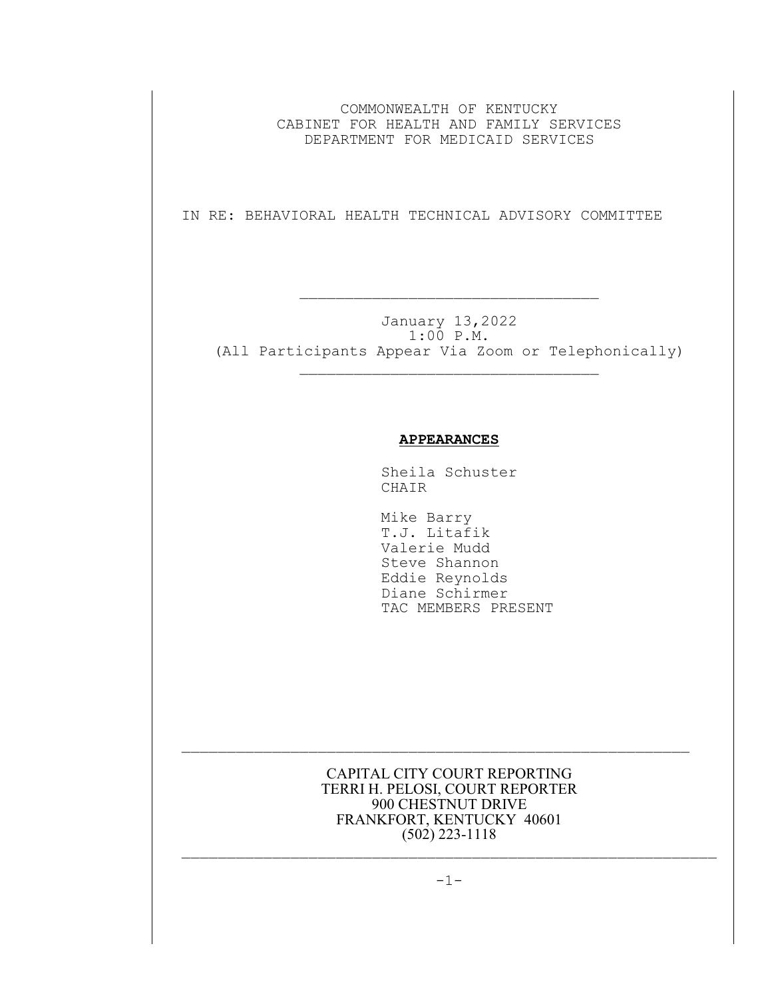COMMONWEALTH OF KENTUCKY CABINET FOR HEALTH AND FAMILY SERVICES DEPARTMENT FOR MEDICAID SERVICES

IN RE: BEHAVIORAL HEALTH TECHNICAL ADVISORY COMMITTEE

 $\mathcal{L}_\text{max}$  and  $\mathcal{L}_\text{max}$  and  $\mathcal{L}_\text{max}$  and  $\mathcal{L}_\text{max}$ 

January 13,2022 1:00 P.M. (All Participants Appear Via Zoom or Telephonically)  $\mathcal{L}_\text{max}$ 

## **APPEARANCES**

Sheila Schuster CHAIR

 Mike Barry T.J. Litafik Valerie Mudd Steve Shannon Eddie Reynolds Diane Schirmer TAC MEMBERS PRESENT

CAPITAL CITY COURT REPORTING TERRI H. PELOSI, COURT REPORTER 900 CHESTNUT DRIVE FRANKFORT, KENTUCKY 40601 (502) 223-1118

 $\mathcal{L}_\text{max}$  and the contract of the contract of the contract of the contract of the contract of the contract of

 $\mathcal{L}_\text{max}$  and the contract of the contract of the contract of the contract of the contract of the contract of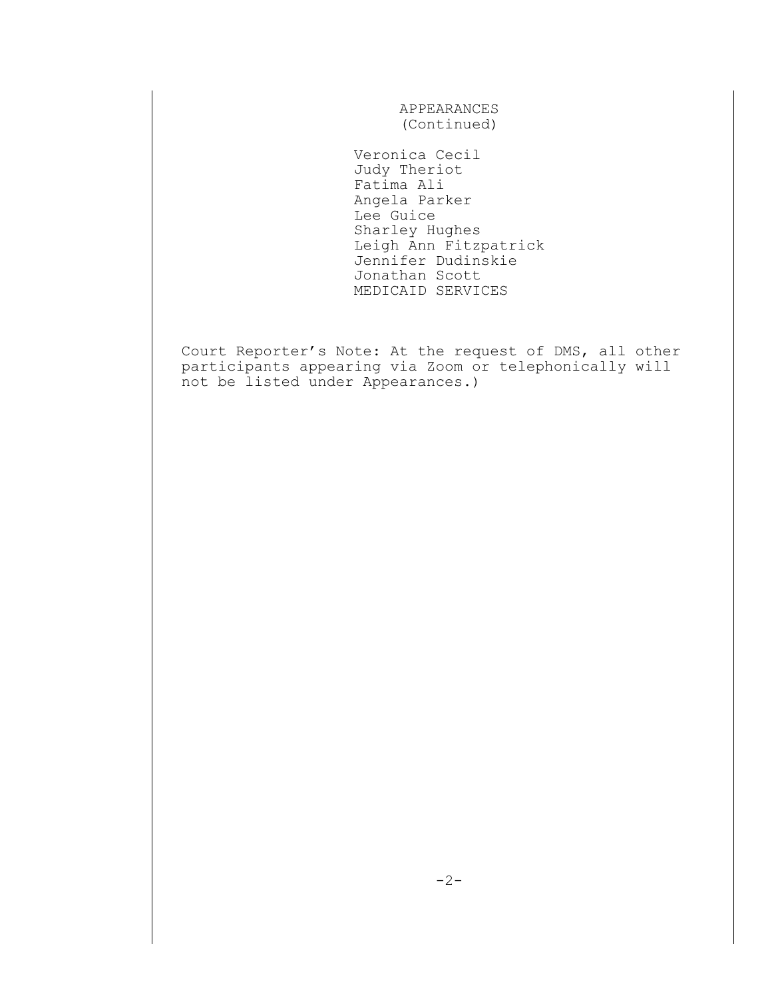APPEARANCES (Continued)

 Veronica Cecil Judy Theriot Fatima Ali Angela Parker Lee Guice Sharley Hughes Leigh Ann Fitzpatrick Jennifer Dudinskie Jonathan Scott MEDICAID SERVICES

Court Reporter's Note: At the request of DMS, all other participants appearing via Zoom or telephonically will not be listed under Appearances.)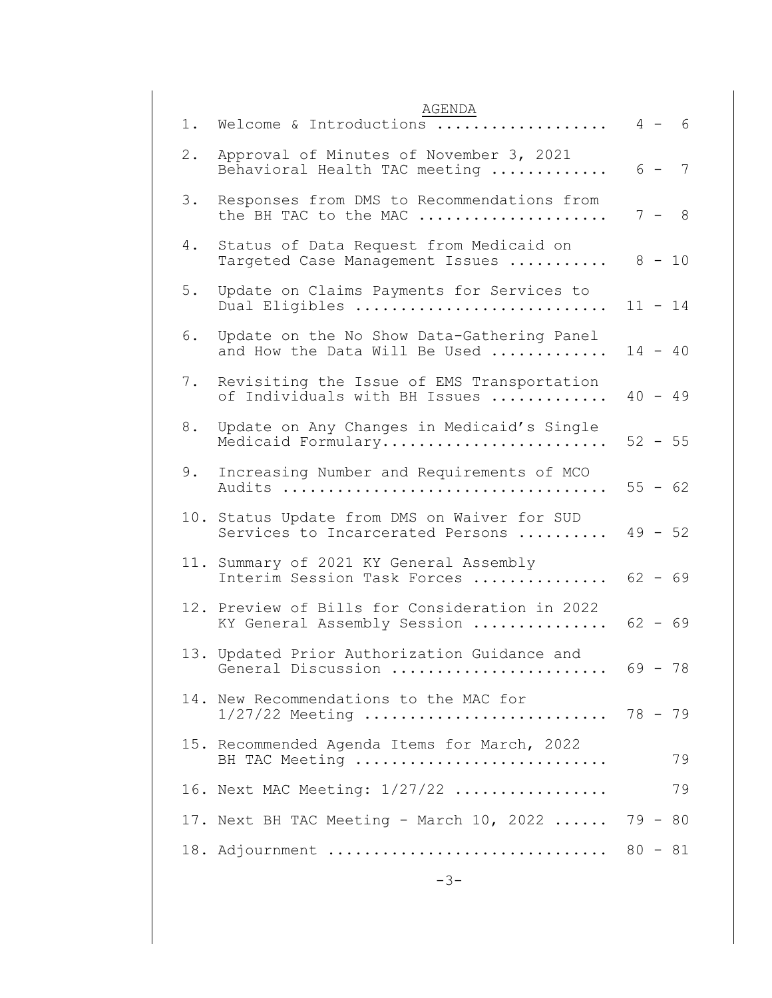| AGENDA<br>Welcome & Introductions<br>1.                                           |  | $4 - 6$   |
|-----------------------------------------------------------------------------------|--|-----------|
| Approval of Minutes of November 3, 2021<br>2.<br>Behavioral Health TAC meeting    |  | $6 - 7$   |
| 3.<br>Responses from DMS to Recommendations from<br>the BH TAC to the MAC         |  | $7 - 8$   |
| 4.<br>Status of Data Request from Medicaid on<br>Targeted Case Management Issues  |  | $8 - 10$  |
| 5.<br>Update on Claims Payments for Services to<br>Dual Eligibles                 |  | $11 - 14$ |
| Update on the No Show Data-Gathering Panel<br>6.<br>and How the Data Will Be Used |  | $14 - 40$ |
| Revisiting the Issue of EMS Transportation<br>7.<br>of Individuals with BH Issues |  | $40 - 49$ |
| Update on Any Changes in Medicaid's Single<br>8.<br>Medicaid Formulary            |  | $52 - 55$ |
| 9.<br>Increasing Number and Requirements of MCO                                   |  | $55 - 62$ |
| 10. Status Update from DMS on Waiver for SUD<br>Services to Incarcerated Persons  |  | $49 - 52$ |
| 11. Summary of 2021 KY General Assembly<br>Interim Session Task Forces            |  | $62 - 69$ |
| 12. Preview of Bills for Consideration in 2022<br>KY General Assembly Session     |  | $62 - 69$ |
| 13. Updated Prior Authorization Guidance and<br>General Discussion                |  | 69 - 78   |
| 14. New Recommendations to the MAC for<br>$1/27/22$ Meeting  78 - 79              |  |           |
| 15. Recommended Agenda Items for March, 2022<br>BH TAC Meeting                    |  | 79        |
| 16. Next MAC Meeting: 1/27/22                                                     |  | 79        |
| 17. Next BH TAC Meeting - March $10$ , 2022                                       |  | $79 - 80$ |
| 18. Adjournment  80 - 81                                                          |  |           |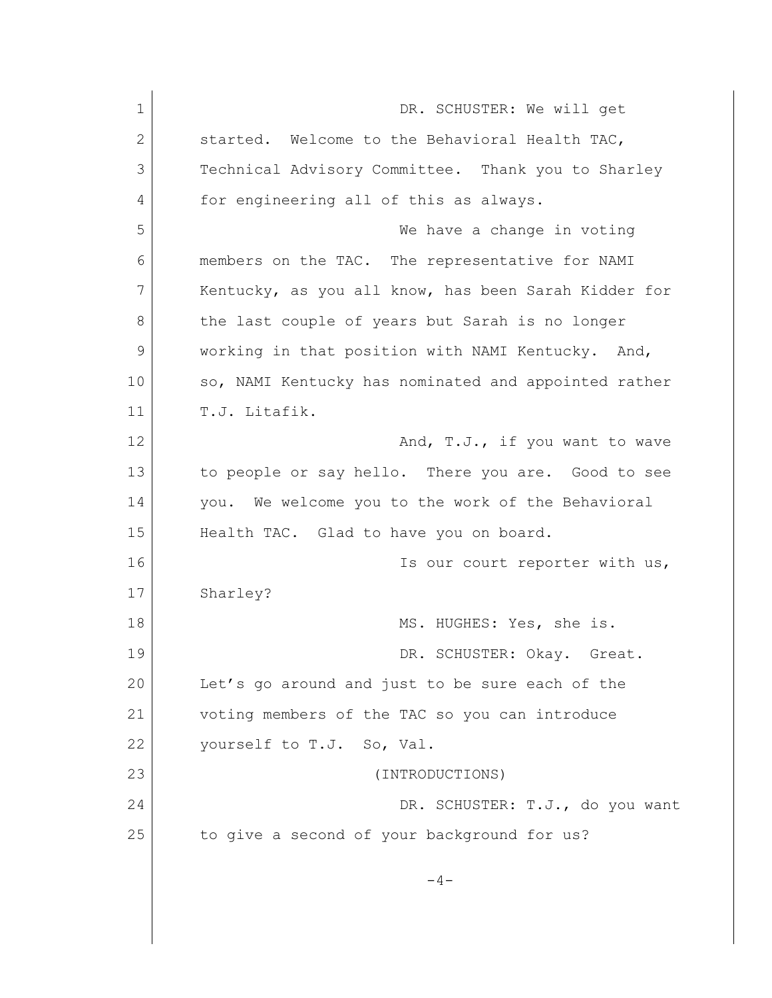1 DR. SCHUSTER: We will get 2 Started. Welcome to the Behavioral Health TAC, 3 Technical Advisory Committee. Thank you to Sharley 4 for engineering all of this as always. 5 We have a change in voting 6 members on the TAC. The representative for NAMI 7 Kentucky, as you all know, has been Sarah Kidder for 8 the last couple of years but Sarah is no longer 9 working in that position with NAMI Kentucky. And, 10 so, NAMI Kentucky has nominated and appointed rather 11 T.J. Litafik. 12 **And, T.J., if you want to wave** 13 to people or say hello. There you are. Good to see 14 you. We welcome you to the work of the Behavioral 15 Health TAC. Glad to have you on board. 16 **Is our court reporter with us,** 17 Sharley? 18 MS. HUGHES: Yes, she is. 19 DR. SCHUSTER: Okay. Great. 20 Let's go around and just to be sure each of the 21 voting members of the TAC so you can introduce 22 vourself to T.J. So, Val. 23 (INTRODUCTIONS) 24 DR. SCHUSTER: T.J., do you want 25 to give a second of your background for us?  $-4-$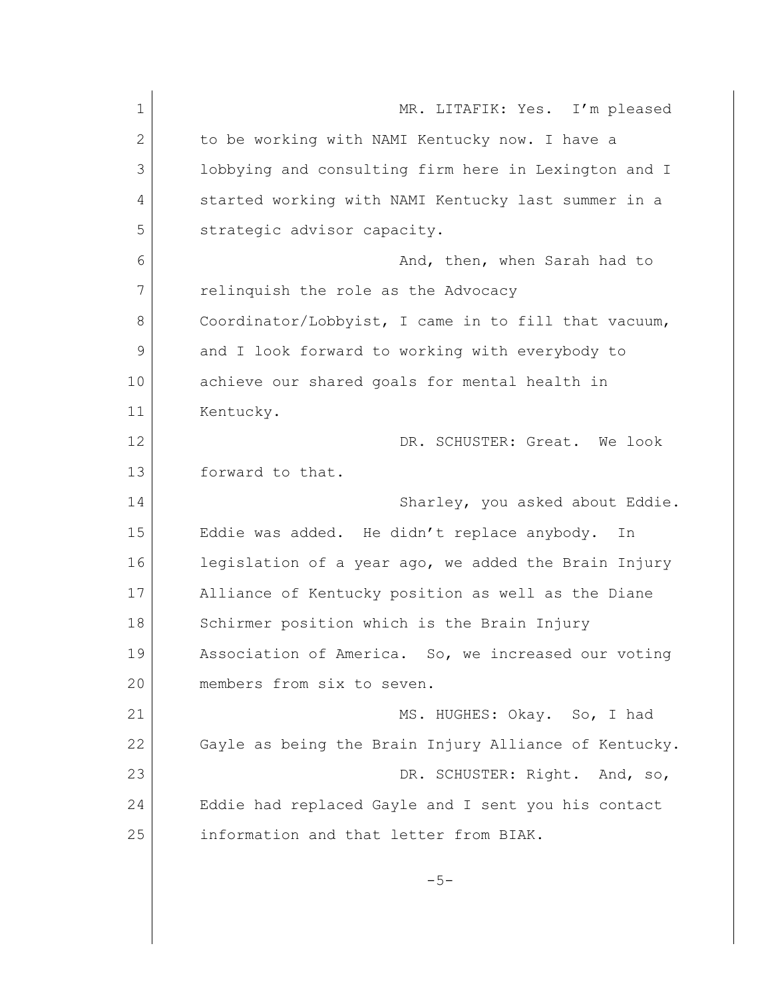1 MR. LITAFIK: Yes. I'm pleased 2 to be working with NAMI Kentucky now. I have a 3 lobbying and consulting firm here in Lexington and I 4 started working with NAMI Kentucky last summer in a 5 strategic advisor capacity. 6 And, then, when Sarah had to 7 relinquish the role as the Advocacy 8 Coordinator/Lobbyist, I came in to fill that vacuum, 9 and I look forward to working with everybody to 10 achieve our shared goals for mental health in 11 Kentucky. 12 DR. SCHUSTER: Great. We look 13 forward to that. 14 Sharley, you asked about Eddie. 15 | Eddie was added. He didn't replace anybody. In 16 legislation of a year ago, we added the Brain Injury 17 Alliance of Kentucky position as well as the Diane 18 Schirmer position which is the Brain Injury 19 Association of America. So, we increased our voting 20 members from six to seven. 21 MS. HUGHES: Okay. So, I had 22 Gayle as being the Brain Injury Alliance of Kentucky. 23 DR. SCHUSTER: Right. And, so, 24 Eddie had replaced Gayle and I sent you his contact 25 information and that letter from BIAK.  $-5-$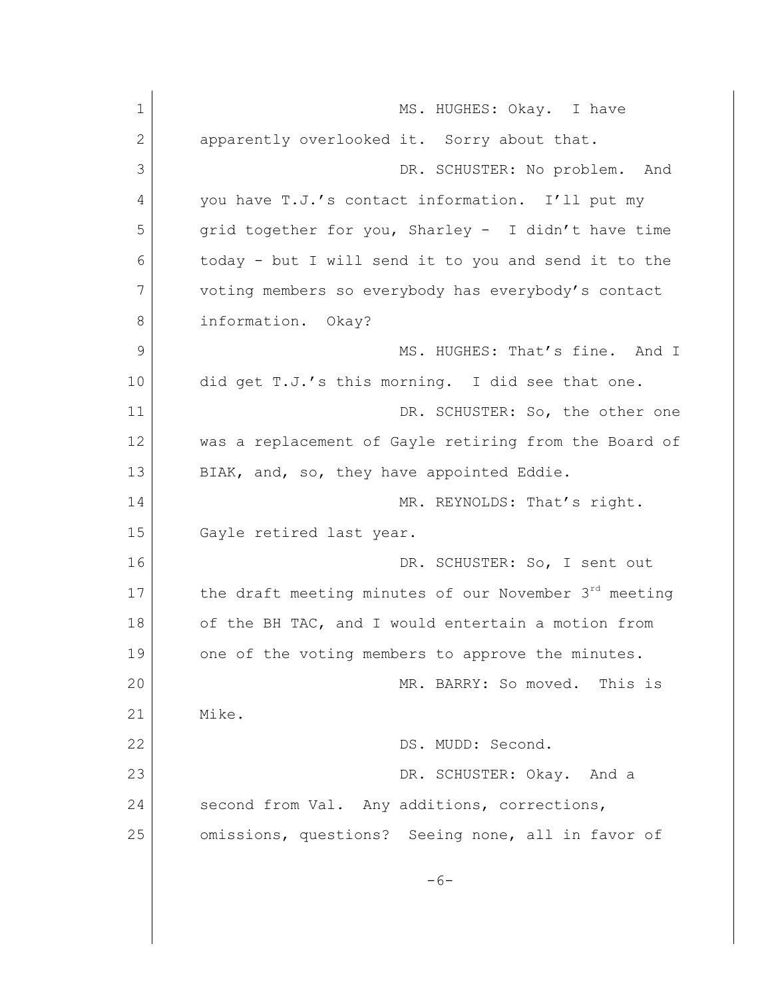1 MS. HUGHES: Okay. I have 2 apparently overlooked it. Sorry about that. 3 DR. SCHUSTER: No problem. And 4 you have T.J.'s contact information. I'll put my 5 grid together for you, Sharley - I didn't have time 6 today - but I will send it to you and send it to the 7 voting members so everybody has everybody's contact 8 **information.** Okay? 9 MS. HUGHES: That's fine. And I 10 did get T.J.'s this morning. I did see that one. 11 DR. SCHUSTER: So, the other one 12 was a replacement of Gayle retiring from the Board of 13 BIAK, and, so, they have appointed Eddie. 14 MR. REYNOLDS: That's right. 15 Gayle retired last year. 16 DR. SCHUSTER: So, I sent out 17 the draft meeting minutes of our November  $3^{rd}$  meeting 18 of the BH TAC, and I would entertain a motion from 19 one of the voting members to approve the minutes. 20 MR. BARRY: So moved. This is 21 Mike. 22 DS. MUDD: Second. 23 DR. SCHUSTER: Okay. And a 24 second from Val. Any additions, corrections, 25 omissions, questions? Seeing none, all in favor of  $-6-$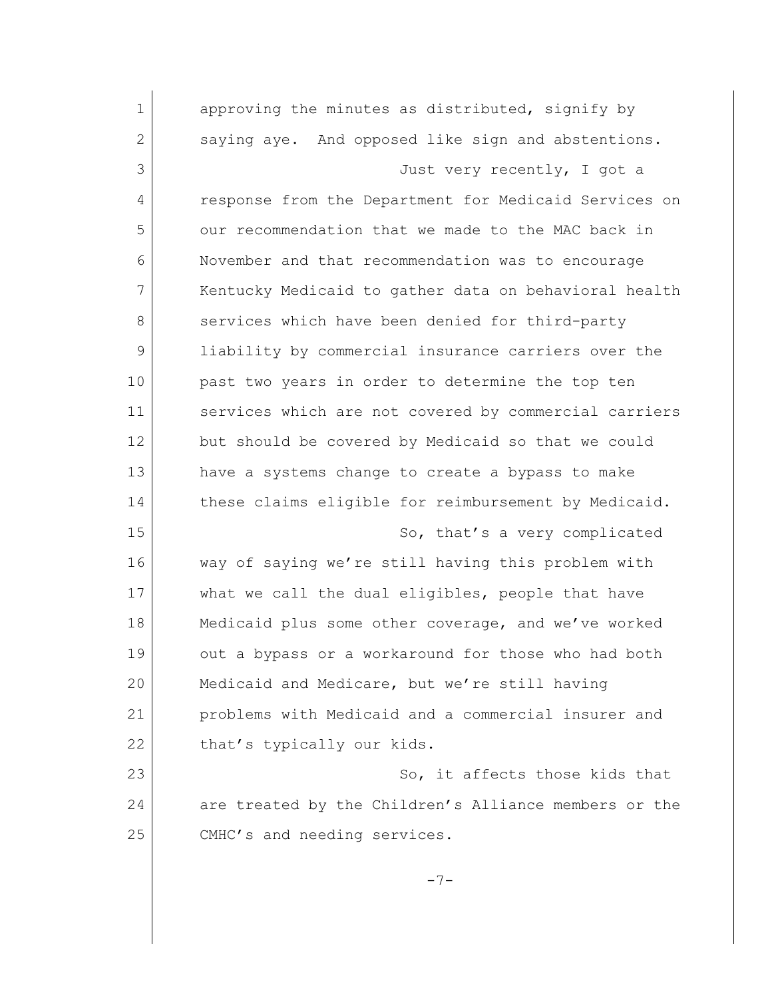| $\mathbf 1$ | approving the minutes as distributed, signify by      |
|-------------|-------------------------------------------------------|
| 2           | saying aye. And opposed like sign and abstentions.    |
| 3           | Just very recently, I got a                           |
| 4           | response from the Department for Medicaid Services on |
| 5           | our recommendation that we made to the MAC back in    |
| 6           | November and that recommendation was to encourage     |
| 7           | Kentucky Medicaid to gather data on behavioral health |
| 8           | services which have been denied for third-party       |
| 9           | liability by commercial insurance carriers over the   |
| 10          | past two years in order to determine the top ten      |
| 11          | services which are not covered by commercial carriers |
| 12          | but should be covered by Medicaid so that we could    |
| 13          | have a systems change to create a bypass to make      |
| 14          | these claims eligible for reimbursement by Medicaid.  |
| 15          | So, that's a very complicated                         |
| 16          | way of saying we're still having this problem with    |
| 17          | what we call the dual eligibles, people that have     |
| 18          | Medicaid plus some other coverage, and we've worked   |
| 19          | out a bypass or a workaround for those who had both   |
| 20          | Medicaid and Medicare, but we're still having         |
| 21          | problems with Medicaid and a commercial insurer and   |
| 22          | that's typically our kids.                            |
| 23          | So, it affects those kids that                        |
| 24          | are treated by the Children's Alliance members or the |
| 25          | CMHC's and needing services.                          |
|             | $-7-$                                                 |
|             |                                                       |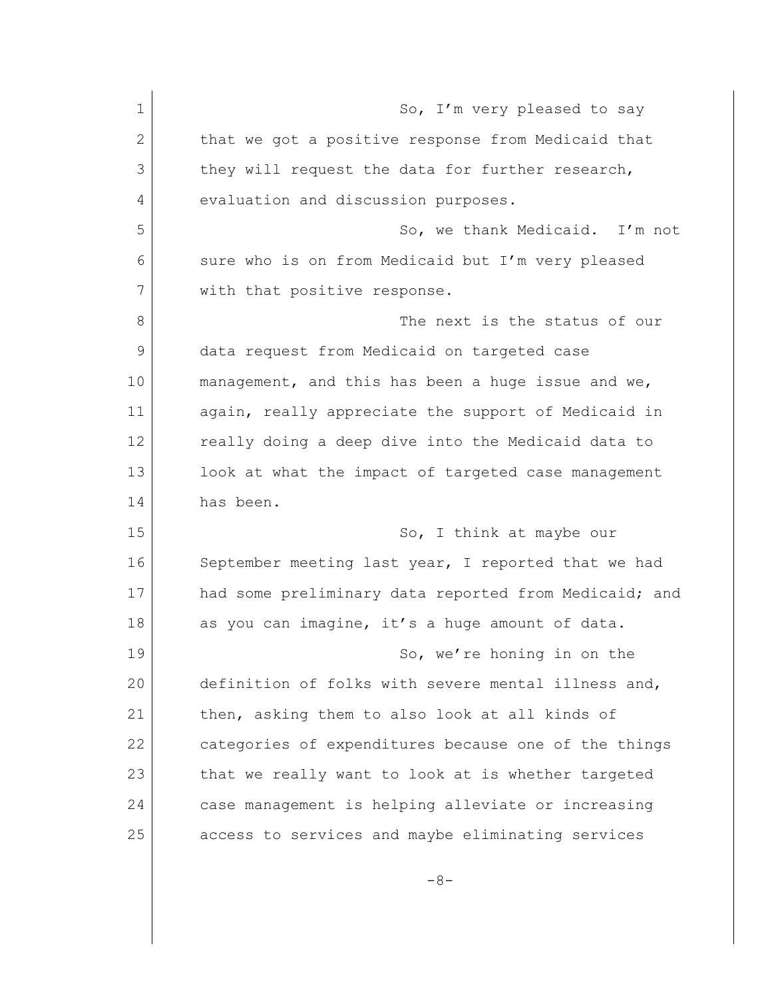| $\mathbf 1$ | So, I'm very pleased to say                           |
|-------------|-------------------------------------------------------|
| 2           | that we got a positive response from Medicaid that    |
| 3           | they will request the data for further research,      |
| 4           | evaluation and discussion purposes.                   |
| 5           | So, we thank Medicaid. I'm not                        |
| 6           | sure who is on from Medicaid but I'm very pleased     |
| 7           | with that positive response.                          |
| 8           | The next is the status of our                         |
| 9           | data request from Medicaid on targeted case           |
| 10          | management, and this has been a huge issue and we,    |
| 11          | again, really appreciate the support of Medicaid in   |
| 12          | really doing a deep dive into the Medicaid data to    |
| 13          | look at what the impact of targeted case management   |
| 14          | has been.                                             |
| 15          | So, I think at maybe our                              |
| 16          | September meeting last year, I reported that we had   |
| 17          | had some preliminary data reported from Medicaid; and |
| 18          | as you can imagine, it's a huge amount of data.       |
| 19          | So, we're honing in on the                            |
| 20          | definition of folks with severe mental illness and,   |
| 21          | then, asking them to also look at all kinds of        |
| 22          | categories of expenditures because one of the things  |
| 23          | that we really want to look at is whether targeted    |
| 24          | case management is helping alleviate or increasing    |
| 25          | access to services and maybe eliminating services     |
|             |                                                       |

-8-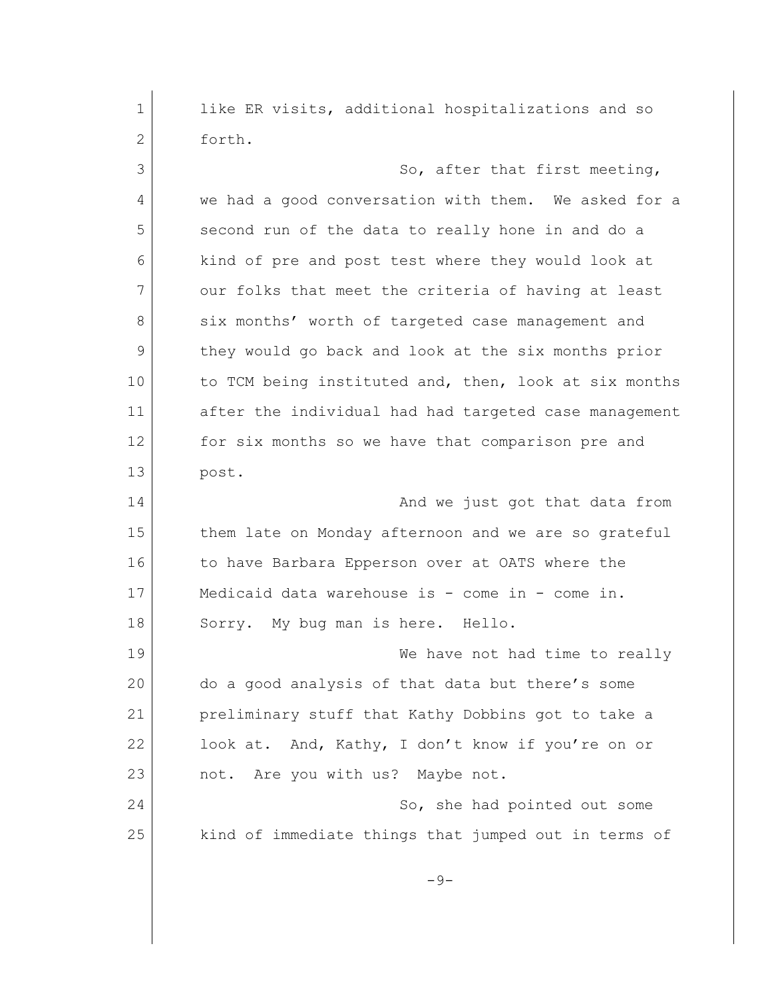1 like ER visits, additional hospitalizations and so 2 forth. 3 So, after that first meeting, 4 we had a good conversation with them. We asked for a 5 second run of the data to really hone in and do a 6 kind of pre and post test where they would look at 7 our folks that meet the criteria of having at least 8 six months' worth of targeted case management and 9 they would go back and look at the six months prior 10 to TCM being instituted and, then, look at six months 11 after the individual had had targeted case management 12 for six months so we have that comparison pre and 13 post. 14 and we just got that data from 15 them late on Monday afternoon and we are so grateful 16 to have Barbara Epperson over at OATS where the 17 Medicaid data warehouse is - come in - come in. 18 Sorry. My bug man is here. Hello. 19 We have not had time to really 20 do a good analysis of that data but there's some 21 preliminary stuff that Kathy Dobbins got to take a 22 look at. And, Kathy, I don't know if you're on or 23 not. Are you with us? Maybe not. 24 So, she had pointed out some 25 kind of immediate things that jumped out in terms of  $-9-$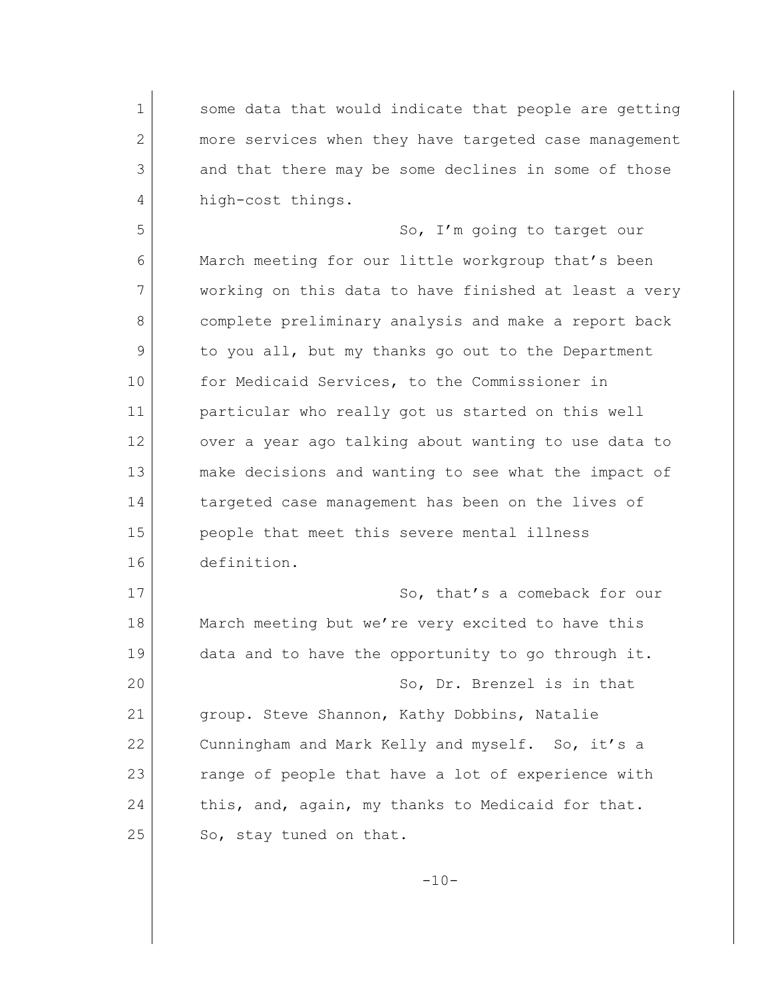1 some data that would indicate that people are getting 2 more services when they have targeted case management 3 and that there may be some declines in some of those 4 high-cost things.

5 So, I'm going to target our March meeting for our little workgroup that's been working on this data to have finished at least a very complete preliminary analysis and make a report back to you all, but my thanks go out to the Department 10 for Medicaid Services, to the Commissioner in particular who really got us started on this well over a year ago talking about wanting to use data to make decisions and wanting to see what the impact of 14 targeted case management has been on the lives of people that meet this severe mental illness definition.

17 So, that's a comeback for our 18 March meeting but we're very excited to have this 19 data and to have the opportunity to go through it. 20 So, Dr. Brenzel is in that 21 | group. Steve Shannon, Kathy Dobbins, Natalie 22 Cunningham and Mark Kelly and myself. So, it's a 23 range of people that have a lot of experience with 24 this, and, again, my thanks to Medicaid for that. 25 So, stay tuned on that.

 $-10-$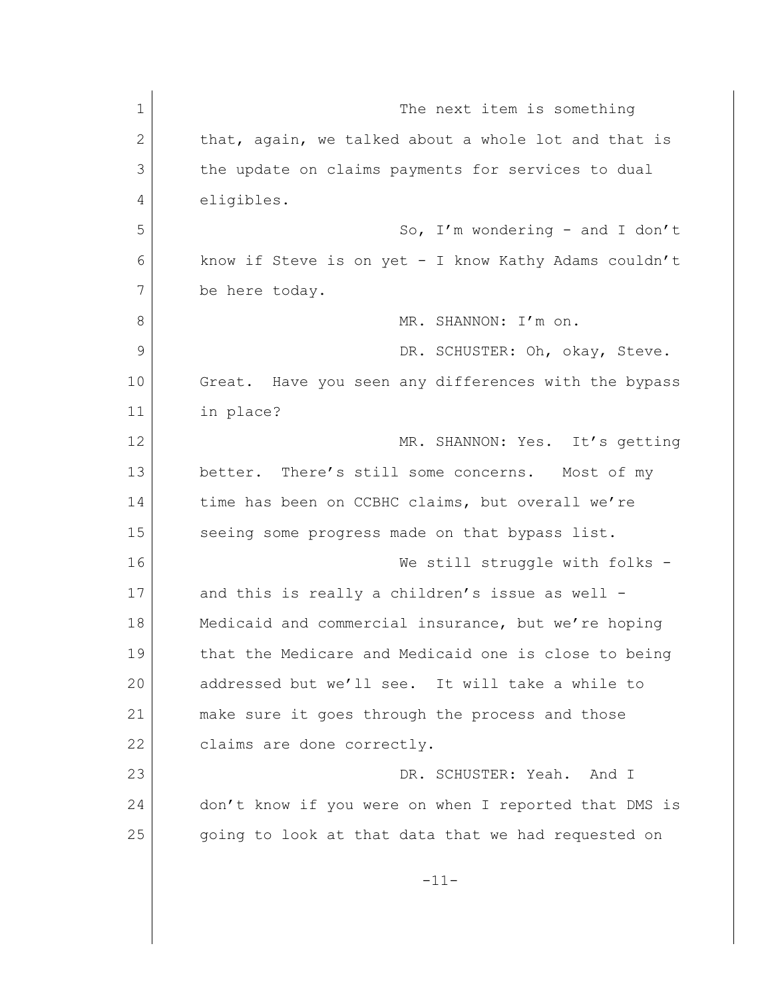| $\mathbf 1$  | The next item is something                            |
|--------------|-------------------------------------------------------|
| $\mathbf{2}$ | that, again, we talked about a whole lot and that is  |
| 3            | the update on claims payments for services to dual    |
| 4            | eligibles.                                            |
| 5            | So, I'm wondering - and I don't                       |
| 6            | know if Steve is on yet - I know Kathy Adams couldn't |
| 7            | be here today.                                        |
| 8            | MR. SHANNON: I'm on.                                  |
| 9            | DR. SCHUSTER: Oh, okay, Steve.                        |
| 10           | Great. Have you seen any differences with the bypass  |
| 11           | in place?                                             |
| 12           | MR. SHANNON: Yes. It's getting                        |
| 13           | better. There's still some concerns. Most of my       |
| 14           | time has been on CCBHC claims, but overall we're      |
| 15           | seeing some progress made on that bypass list.        |
| 16           | We still struggle with folks -                        |
| 17           | and this is really a children's issue as well -       |
| 18           | Medicaid and commercial insurance, but we're hoping   |
| 19           | that the Medicare and Medicaid one is close to being  |
| 20           | addressed but we'll see. It will take a while to      |
| 21           | make sure it goes through the process and those       |
| 22           | claims are done correctly.                            |
| 23           | DR. SCHUSTER: Yeah. And I                             |
| 24           | don't know if you were on when I reported that DMS is |
| 25           | going to look at that data that we had requested on   |
|              | $-11-$                                                |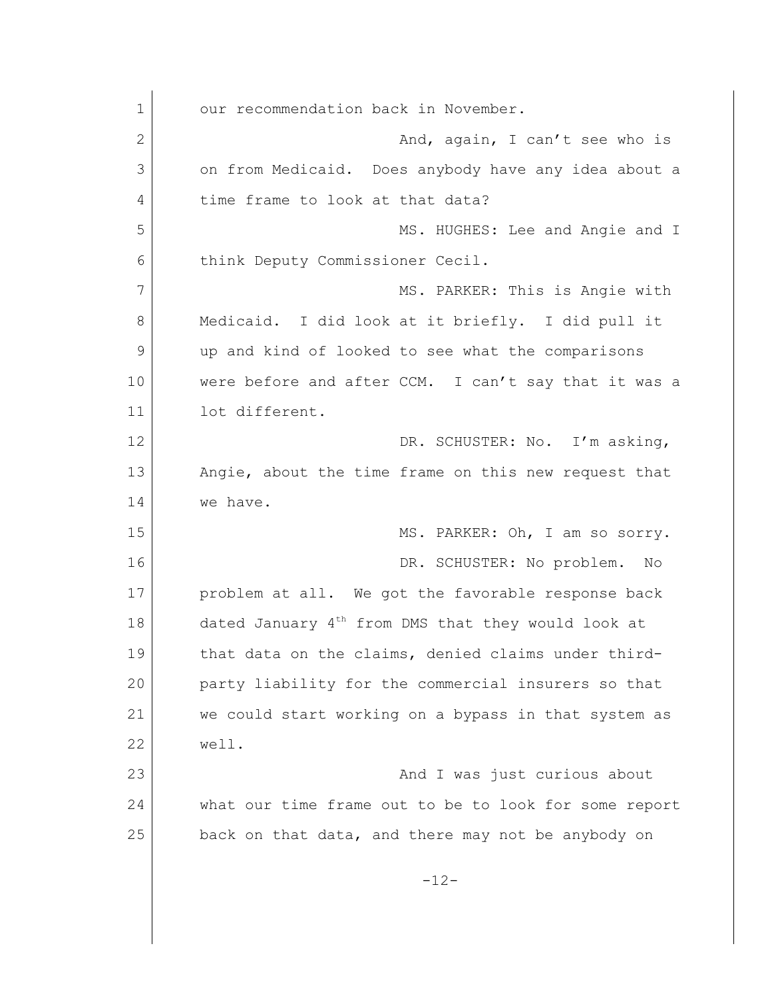1 our recommendation back in November. 2 And, again, I can't see who is 3 on from Medicaid. Does anybody have any idea about a 4 time frame to look at that data? 5 MS. HUGHES: Lee and Angie and I 6 think Deputy Commissioner Cecil. 7 MS. PARKER: This is Angie with 8 Medicaid. I did look at it briefly. I did pull it 9 up and kind of looked to see what the comparisons 10 were before and after CCM. I can't say that it was a 11 lot different. 12 DR. SCHUSTER: No. I'm asking, 13 Angie, about the time frame on this new request that 14 we have. 15 | MS. PARKER: Oh, I am so sorry. 16 DR. SCHUSTER: No problem. No 17 problem at all. We got the favorable response back 18 dated January  $4<sup>th</sup>$  from DMS that they would look at 19 that data on the claims, denied claims under third-20 party liability for the commercial insurers so that 21 we could start working on a bypass in that system as 22 well. 23 and I was just curious about the Manus of the Manus and I was just curious about 24 what our time frame out to be to look for some report 25 back on that data, and there may not be anybody on -12-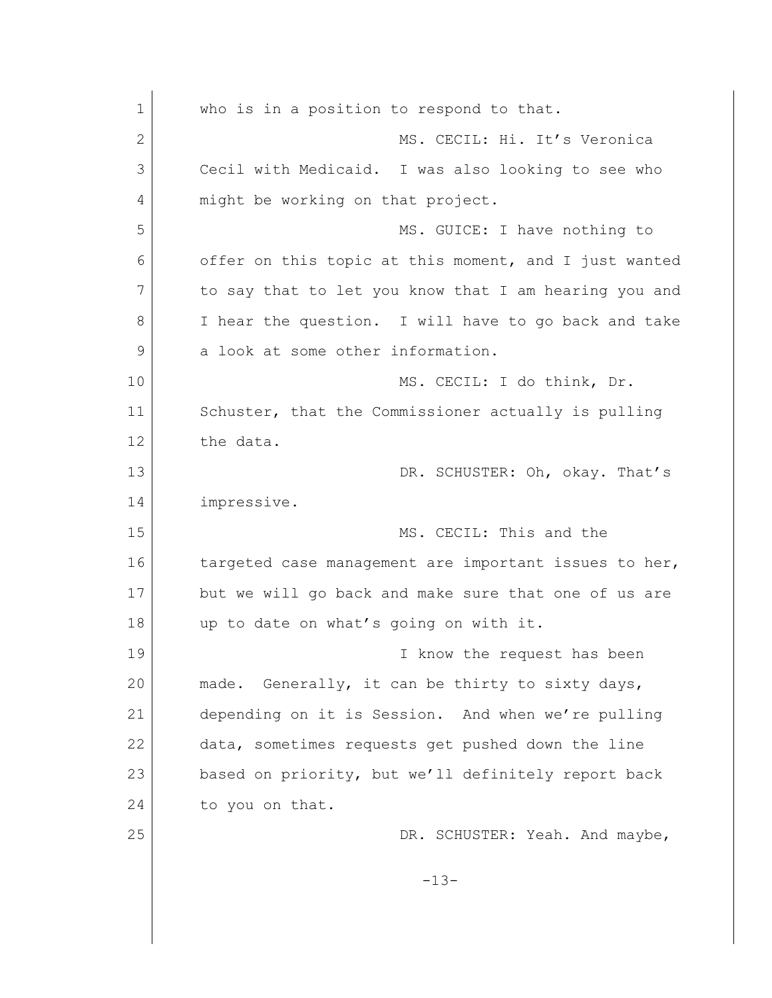| $\mathbf 1$ | who is in a position to respond to that.              |
|-------------|-------------------------------------------------------|
| 2           | MS. CECIL: Hi. It's Veronica                          |
| 3           | Cecil with Medicaid. I was also looking to see who    |
| 4           | might be working on that project.                     |
| 5           | MS. GUICE: I have nothing to                          |
| 6           | offer on this topic at this moment, and I just wanted |
| 7           | to say that to let you know that I am hearing you and |
| 8           | I hear the question. I will have to go back and take  |
| 9           | a look at some other information.                     |
| 10          | MS. CECIL: I do think, Dr.                            |
| 11          | Schuster, that the Commissioner actually is pulling   |
| 12          | the data.                                             |
| 13          | DR. SCHUSTER: Oh, okay. That's                        |
| 14          | impressive.                                           |
| 15          | MS. CECIL: This and the                               |
| 16          | targeted case management are important issues to her, |
| 17          | but we will go back and make sure that one of us are  |
| 18          | up to date on what's going on with it.                |
| 19          | I know the request has been                           |
| 20          | Generally, it can be thirty to sixty days,<br>made.   |
| 21          | depending on it is Session. And when we're pulling    |
| 22          | data, sometimes requests get pushed down the line     |
| 23          | based on priority, but we'll definitely report back   |
| 24          | to you on that.                                       |
| 25          | DR. SCHUSTER: Yeah. And maybe,                        |
|             | $-13-$                                                |
|             |                                                       |
|             |                                                       |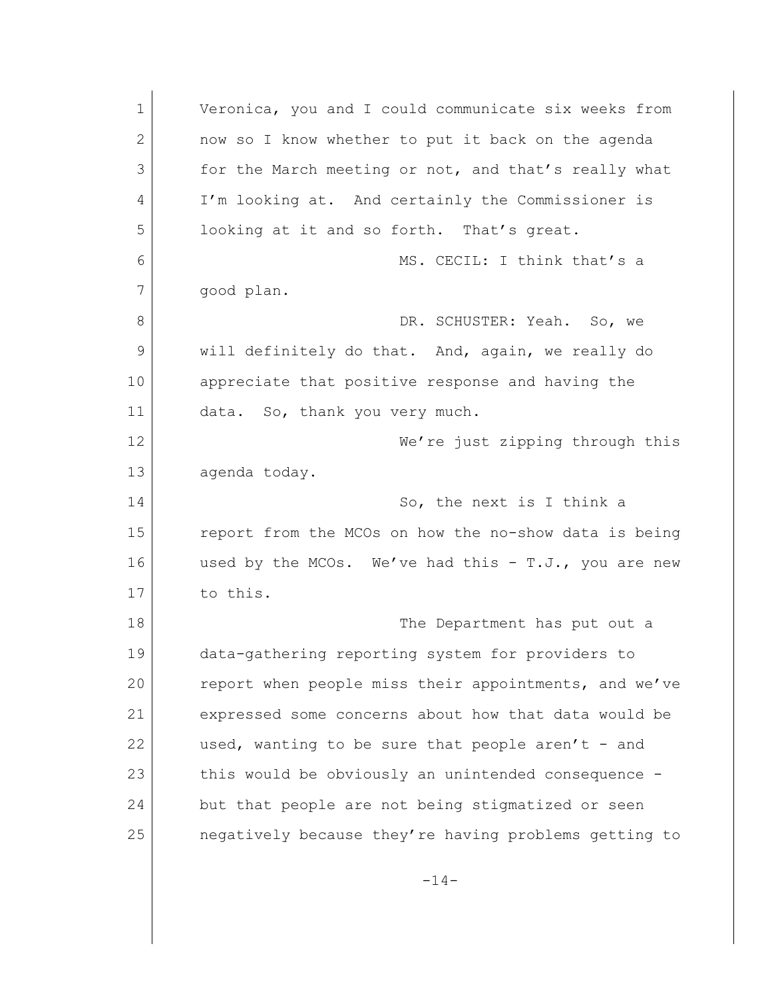1 Veronica, you and I could communicate six weeks from 2 now so I know whether to put it back on the agenda 3 for the March meeting or not, and that's really what 4 I'm looking at. And certainly the Commissioner is 5 looking at it and so forth. That's great. 6 MS. CECIL: I think that's a 7 good plan. 8 DR. SCHUSTER: Yeah. So, we 9 will definitely do that. And, again, we really do 10 appreciate that positive response and having the 11 data. So, thank you very much. 12 We're just zipping through this 13 agenda today. 14 So, the next is I think a 15 report from the MCOs on how the no-show data is being 16 used by the MCOs. We've had this - T.J., you are new 17 to this. 18 The Department has put out a 19 data-gathering reporting system for providers to 20 report when people miss their appointments, and we've 21 expressed some concerns about how that data would be 22 used, wanting to be sure that people aren't - and 23 this would be obviously an unintended consequence -24 but that people are not being stigmatized or seen 25 negatively because they're having problems getting to

 $-14-$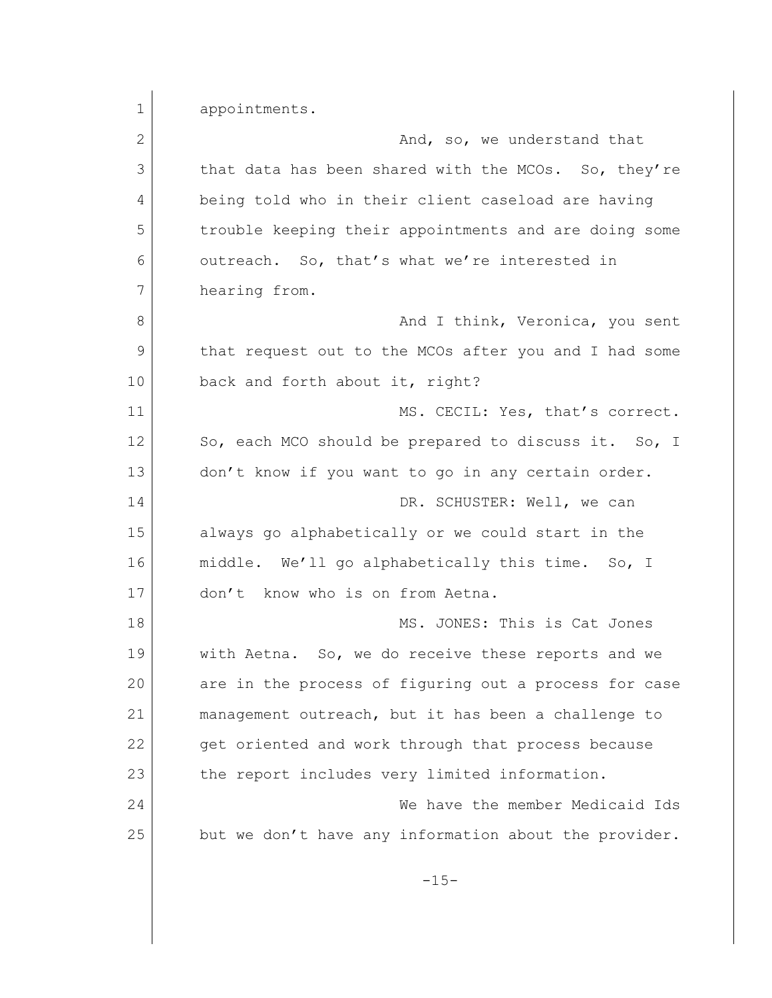1 appointments. 2 And, so, we understand that 3 that data has been shared with the MCOs. So, they're 4 being told who in their client caseload are having 5 trouble keeping their appointments and are doing some 6 outreach. So, that's what we're interested in 7 hearing from. 8 and I think, Veronica, you sent 9 that request out to the MCOs after you and I had some 10 back and forth about it, right? 11 MS. CECIL: Yes, that's correct. 12 So, each MCO should be prepared to discuss it. So, I 13 don't know if you want to go in any certain order. 14 DR. SCHUSTER: Well, we can 15 always go alphabetically or we could start in the 16 middle. We'll go alphabetically this time. So, I 17 don't know who is on from Aetna. 18 MS. JONES: This is Cat Jones 19 with Aetna. So, we do receive these reports and we 20 are in the process of figuring out a process for case 21 management outreach, but it has been a challenge to 22 get oriented and work through that process because 23 the report includes very limited information. 24 We have the member Medicaid Ids 25 but we don't have any information about the provider.  $-15-$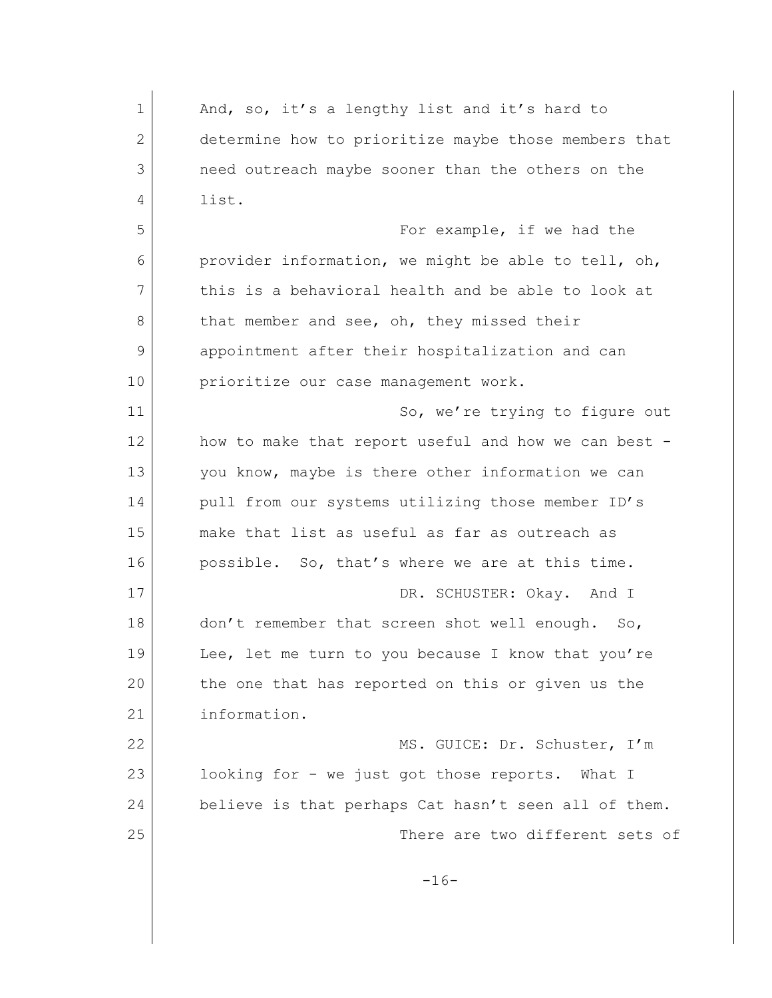| $\mathbf 1$ | And, so, it's a lengthy list and it's hard to                   |
|-------------|-----------------------------------------------------------------|
| 2           | determine how to prioritize maybe those members that            |
| 3           | need outreach maybe sooner than the others on the               |
| 4           | list.                                                           |
| 5           | For example, if we had the                                      |
| 6           | provider information, we might be able to tell, oh,             |
| 7           | this is a behavioral health and be able to look at              |
| 8           | that member and see, oh, they missed their                      |
| 9           | appointment after their hospitalization and can                 |
| 10          | prioritize our case management work.                            |
| 11          | So, we're trying to figure out                                  |
| 12          | how to make that report useful and how we can best -            |
| 13          | you know, maybe is there other information we can               |
| 14          | pull from our systems utilizing those member ID's               |
| 15          | make that list as useful as far as outreach as                  |
| 16          | possible. So, that's where we are at this time.                 |
| 17          | DR. SCHUSTER: Okay. And I                                       |
| 18          | don't remember that screen shot well enough.<br>SO <sub>1</sub> |
| 19          | Lee, let me turn to you because I know that you're              |
| 20          | the one that has reported on this or given us the               |
| 21          | information.                                                    |
| 22          | MS. GUICE: Dr. Schuster, I'm                                    |
| 23          | looking for - we just got those reports. What I                 |
| 24          | believe is that perhaps Cat hasn't seen all of them.            |
| 25          | There are two different sets of                                 |
|             |                                                                 |
|             | $-16-$                                                          |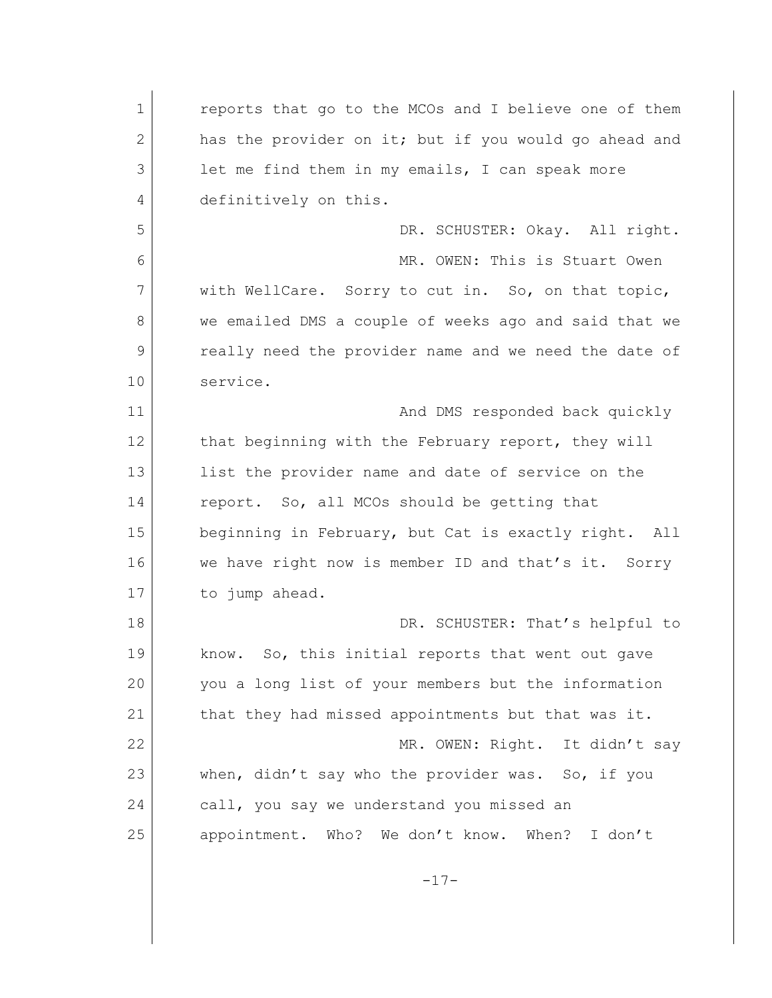1 **b** reports that go to the MCOs and I believe one of them 2 has the provider on it; but if you would go ahead and 3 let me find them in my emails, I can speak more 4 definitively on this. 5 DR. SCHUSTER: Okay. All right. 6 MR. OWEN: This is Stuart Owen 7 with WellCare. Sorry to cut in. So, on that topic, 8 we emailed DMS a couple of weeks ago and said that we 9 really need the provider name and we need the date of 10 service. 11 and DMS responded back quickly 12 that beginning with the February report, they will 13 list the provider name and date of service on the 14 report. So, all MCOs should be getting that 15 beginning in February, but Cat is exactly right. All 16 we have right now is member ID and that's it. Sorry 17 to jump ahead. 18 DR. SCHUSTER: That's helpful to 19 know. So, this initial reports that went out gave 20 you a long list of your members but the information 21 that they had missed appointments but that was it. 22 MR. OWEN: Right. It didn't say 23 when, didn't say who the provider was. So, if you 24 call, you say we understand you missed an 25 appointment. Who? We don't know. When? I don't  $-17-$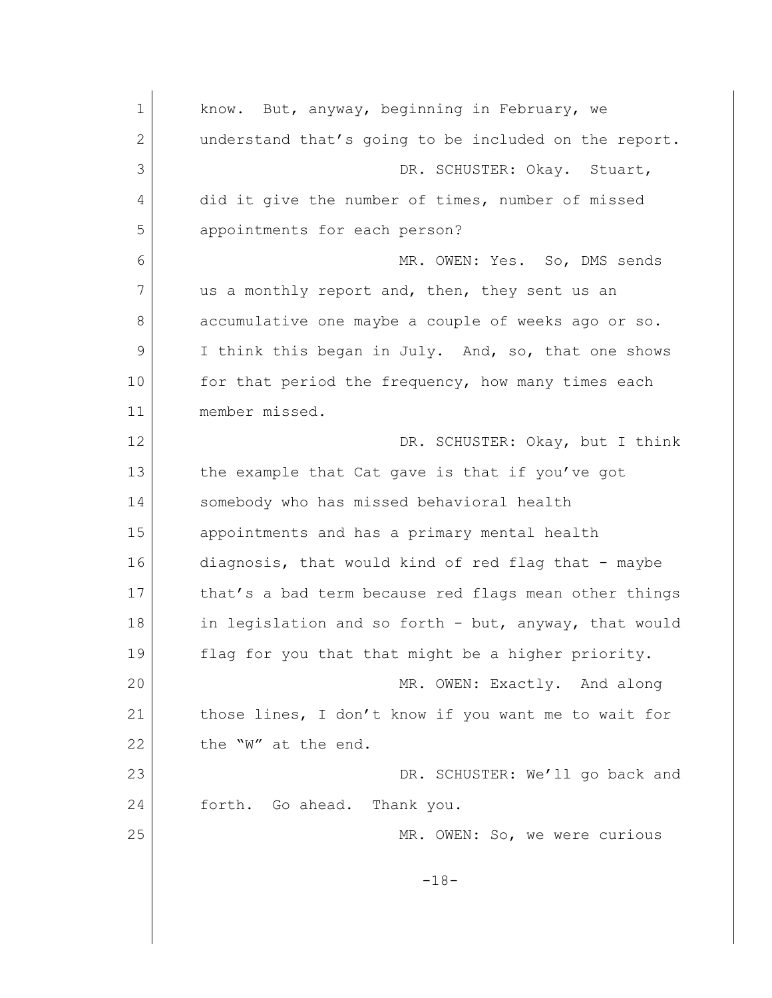1 know. But, anyway, beginning in February, we 2 understand that's going to be included on the report. 3 DR. SCHUSTER: Okay. Stuart, 4 did it give the number of times, number of missed 5 appointments for each person? 6 MR. OWEN: Yes. So, DMS sends 7 us a monthly report and, then, they sent us an 8 accumulative one maybe a couple of weeks ago or so. 9 I think this began in July. And, so, that one shows 10 for that period the frequency, how many times each 11 member missed. 12 | DR. SCHUSTER: Okay, but I think 13 the example that Cat gave is that if you've got 14 Somebody who has missed behavioral health 15 appointments and has a primary mental health 16 diagnosis, that would kind of red flag that - maybe 17 that's a bad term because red flags mean other things 18 in legislation and so forth - but, anyway, that would 19 flag for you that that might be a higher priority. 20 MR. OWEN: Exactly. And along 21 those lines, I don't know if you want me to wait for 22 the "W" at the end. 23 DR. SCHUSTER: We'll go back and 24 forth. Go ahead. Thank you. 25 MR. OWEN: So, we were curious -18-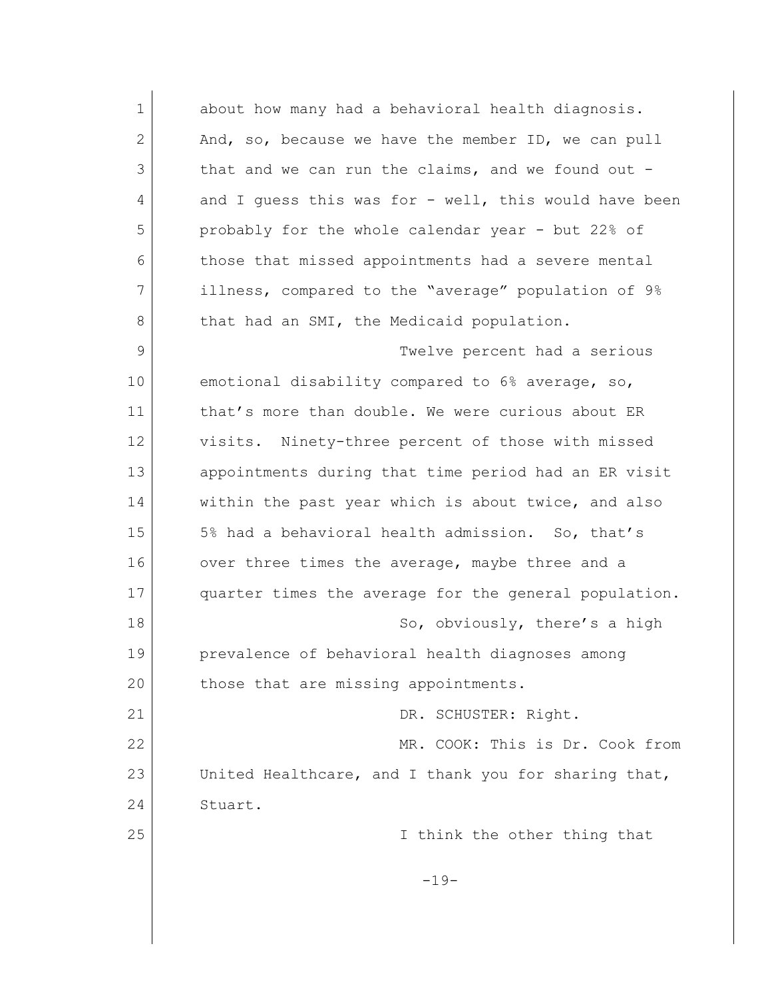1 about how many had a behavioral health diagnosis. 2 And, so, because we have the member ID, we can pull 3 that and we can run the claims, and we found out -4 and I guess this was for - well, this would have been 5 probably for the whole calendar year - but 22% of 6 those that missed appointments had a severe mental 7 illness, compared to the "average" population of 9% 8 that had an SMI, the Medicaid population. 9 Twelve percent had a serious 10 emotional disability compared to 6% average, so, 11 that's more than double. We were curious about ER 12 visits. Ninety-three percent of those with missed 13 appointments during that time period had an ER visit 14 within the past year which is about twice, and also 15 5% had a behavioral health admission. So, that's 16 over three times the average, maybe three and a 17 quarter times the average for the general population. 18 So, obviously, there's a high 19 prevalence of behavioral health diagnoses among 20 those that are missing appointments. 21 DR. SCHUSTER: Right. 22 MR. COOK: This is Dr. Cook from 23 United Healthcare, and I thank you for sharing that, 24 Stuart. 25 I think the other thing that  $-19-$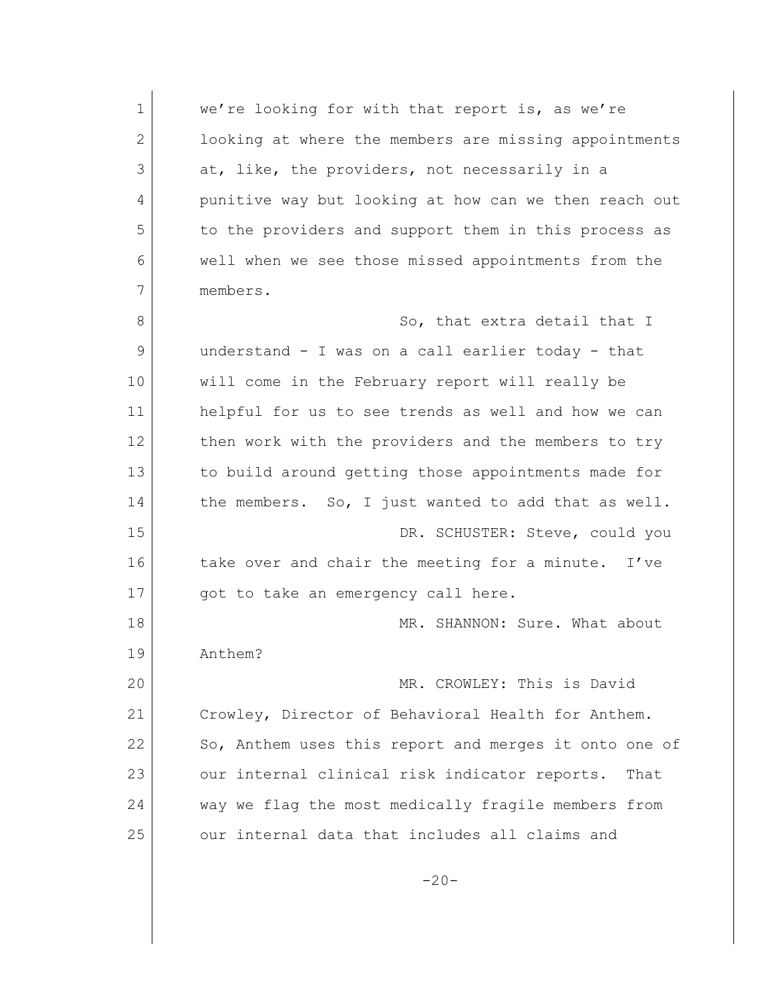1 we're looking for with that report is, as we're 2 looking at where the members are missing appointments 3 at, like, the providers, not necessarily in a 4 punitive way but looking at how can we then reach out 5 to the providers and support them in this process as 6 well when we see those missed appointments from the 7 members. 8 So, that extra detail that I 9 understand - I was on a call earlier today - that 10 will come in the February report will really be 11 helpful for us to see trends as well and how we can 12 then work with the providers and the members to try 13 to build around getting those appointments made for 14 the members. So, I just wanted to add that as well. 15 DR. SCHUSTER: Steve, could you 16 take over and chair the meeting for a minute. I've 17 | got to take an emergency call here. 18 MR. SHANNON: Sure. What about 19 Anthem? 20 MR. CROWLEY: This is David 21 Crowley, Director of Behavioral Health for Anthem. 22 So, Anthem uses this report and merges it onto one of 23 our internal clinical risk indicator reports. That 24 way we flag the most medically fragile members from 25 our internal data that includes all claims and  $-20-$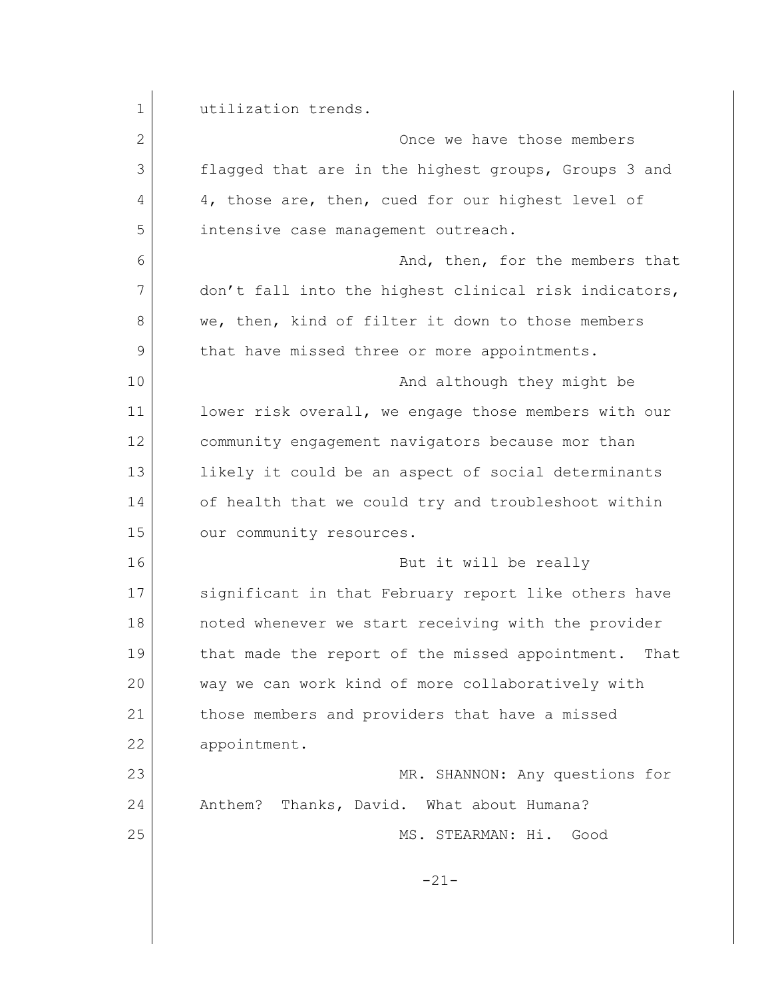| 1  | utilization trends.                                     |
|----|---------------------------------------------------------|
| 2  | Once we have those members                              |
| 3  | flagged that are in the highest groups, Groups 3 and    |
| 4  | 4, those are, then, cued for our highest level of       |
| 5  | intensive case management outreach.                     |
| 6  | And, then, for the members that                         |
| 7  | don't fall into the highest clinical risk indicators,   |
| 8  | we, then, kind of filter it down to those members       |
| 9  | that have missed three or more appointments.            |
| 10 | And although they might be                              |
| 11 | lower risk overall, we engage those members with our    |
| 12 | community engagement navigators because mor than        |
| 13 | likely it could be an aspect of social determinants     |
| 14 | of health that we could try and troubleshoot within     |
| 15 | our community resources.                                |
| 16 | But it will be really                                   |
| 17 | significant in that February report like others have    |
| 18 | noted whenever we start receiving with the provider     |
| 19 | that made the report of the missed appointment.<br>That |
| 20 | way we can work kind of more collaboratively with       |
| 21 | those members and providers that have a missed          |
| 22 | appointment.                                            |
| 23 | MR. SHANNON: Any questions for                          |
| 24 | Anthem? Thanks, David. What about Humana?               |
| 25 | MS. STEARMAN: Hi. Good                                  |
|    |                                                         |
|    | $-21-$                                                  |
|    |                                                         |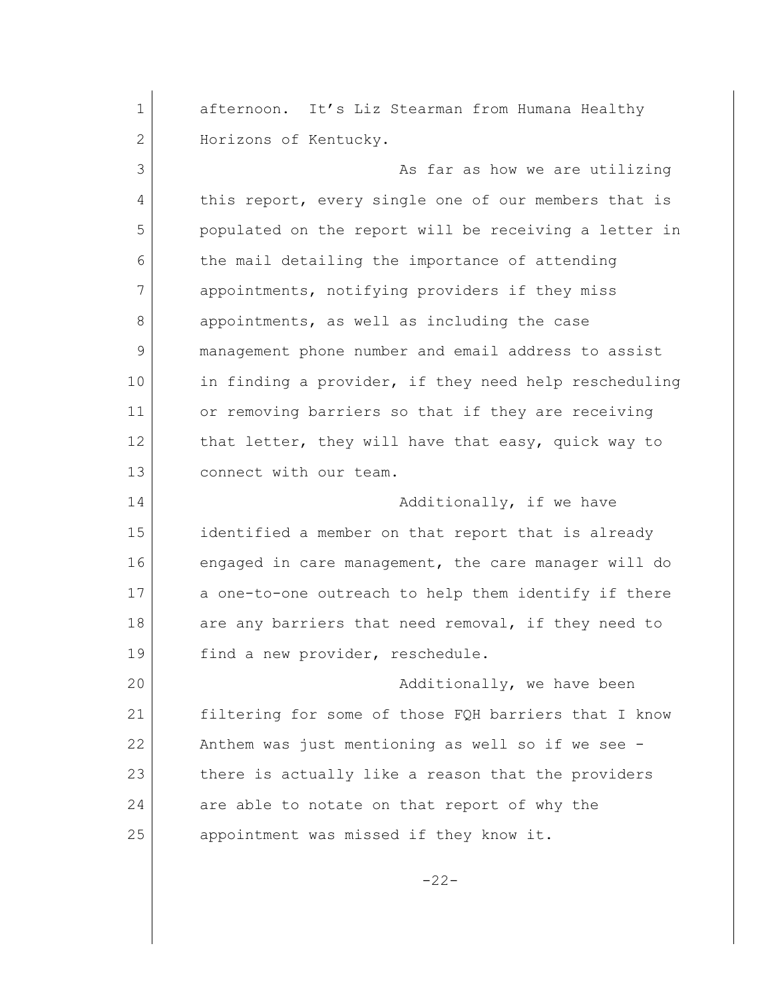1 afternoon. It's Liz Stearman from Humana Healthy 2 Horizons of Kentucky. 3 as far as how we are utilizing 4 this report, every single one of our members that is 5 populated on the report will be receiving a letter in 6 the mail detailing the importance of attending 7 appointments, notifying providers if they miss 8 appointments, as well as including the case 9 management phone number and email address to assist 10 in finding a provider, if they need help rescheduling 11 or removing barriers so that if they are receiving 12 that letter, they will have that easy, quick way to 13 connect with our team. 14 Additionally, if we have 15 identified a member on that report that is already 16 engaged in care management, the care manager will do 17 a one-to-one outreach to help them identify if there 18 are any barriers that need removal, if they need to 19 find a new provider, reschedule. 20 additionally, we have been 21 filtering for some of those FQH barriers that I know 22 Anthem was just mentioning as well so if we see - 23 there is actually like a reason that the providers 24 are able to notate on that report of why the 25 appointment was missed if they know it.

-22-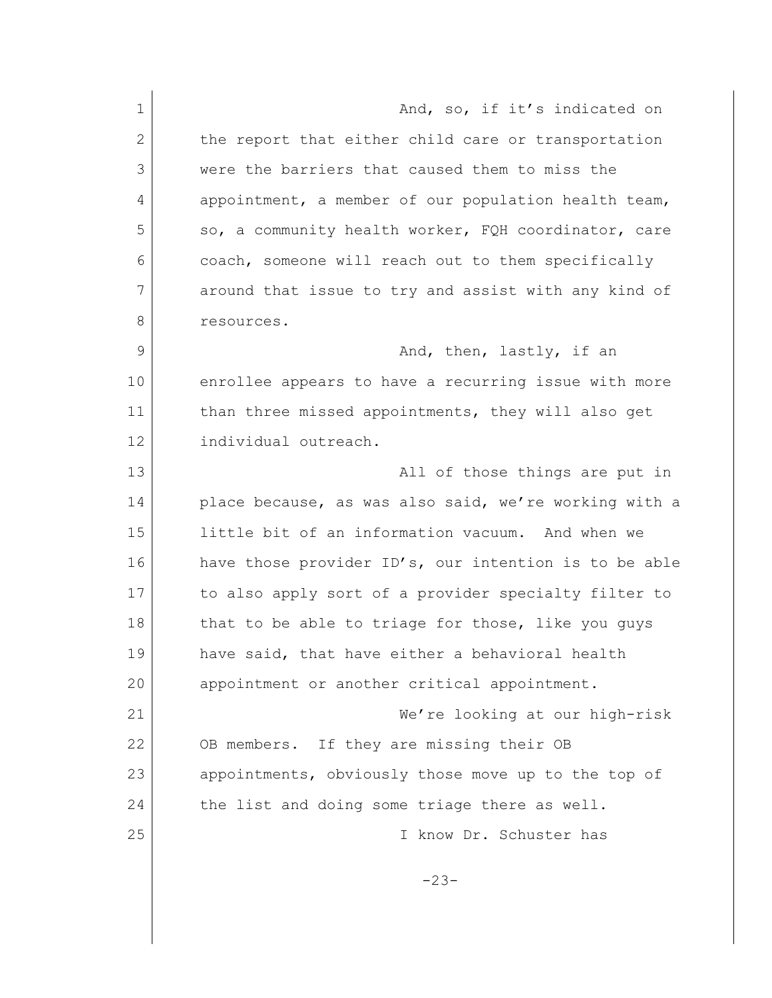1 and, so, if it's indicated on 2 the report that either child care or transportation 3 were the barriers that caused them to miss the 4 appointment, a member of our population health team, 5 so, a community health worker, FQH coordinator, care 6 coach, someone will reach out to them specifically 7 around that issue to try and assist with any kind of 8 resources. 9 and, then, lastly, if an 10 enrollee appears to have a recurring issue with more 11 than three missed appointments, they will also get 12 individual outreach. 13 all of those things are put in 14 place because, as was also said, we're working with a 15 little bit of an information vacuum. And when we 16 have those provider ID's, our intention is to be able 17 to also apply sort of a provider specialty filter to 18 that to be able to triage for those, like you guys 19 have said, that have either a behavioral health 20 appointment or another critical appointment. 21 We're looking at our high-risk 22 OB members. If they are missing their OB 23 appointments, obviously those move up to the top of 24 the list and doing some triage there as well. 25 I know Dr. Schuster has -23-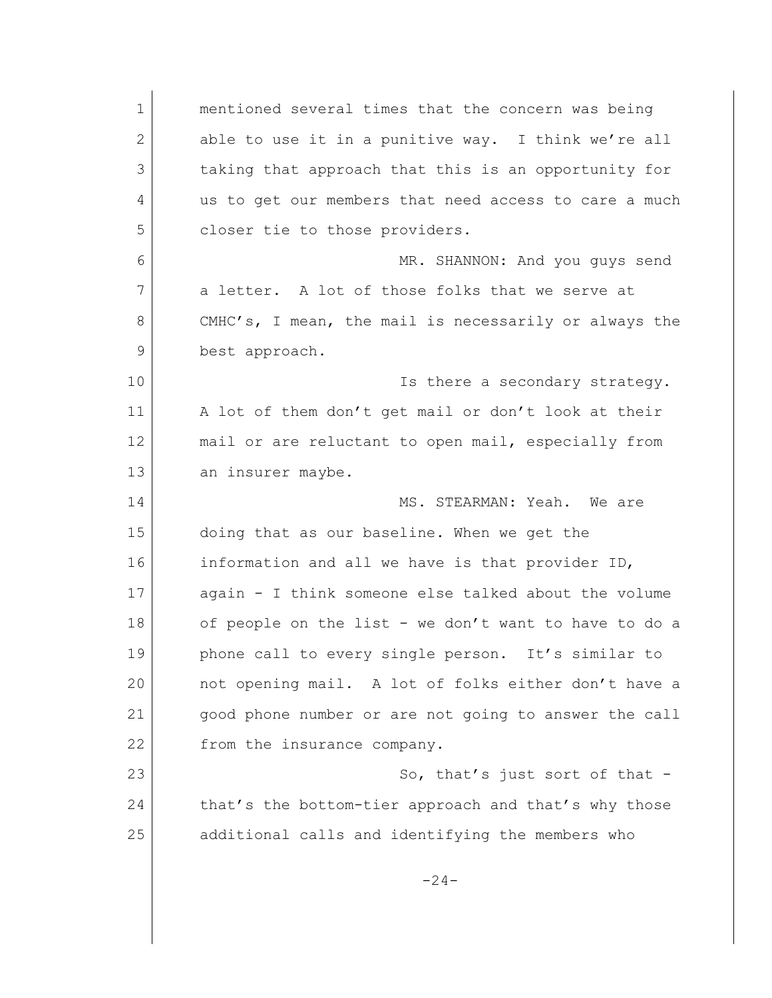1 mentioned several times that the concern was being 2 able to use it in a punitive way. I think we're all 3 taking that approach that this is an opportunity for 4 us to get our members that need access to care a much 5 closer tie to those providers. 6 MR. SHANNON: And you guys send 7 a letter. A lot of those folks that we serve at 8 CMHC's, I mean, the mail is necessarily or always the 9 best approach. 10 **Is there a secondary strategy.** 11 | A lot of them don't get mail or don't look at their 12 mail or are reluctant to open mail, especially from 13 an insurer maybe. 14 MS. STEARMAN: Yeah. We are 15 doing that as our baseline. When we get the 16 information and all we have is that provider ID, 17 again - I think someone else talked about the volume 18 of people on the list - we don't want to have to do a 19 phone call to every single person. It's similar to 20 not opening mail. A lot of folks either don't have a 21 good phone number or are not going to answer the call 22 from the insurance company. 23 So, that's just sort of that -24 that's the bottom-tier approach and that's why those 25 additional calls and identifying the members who  $-24-$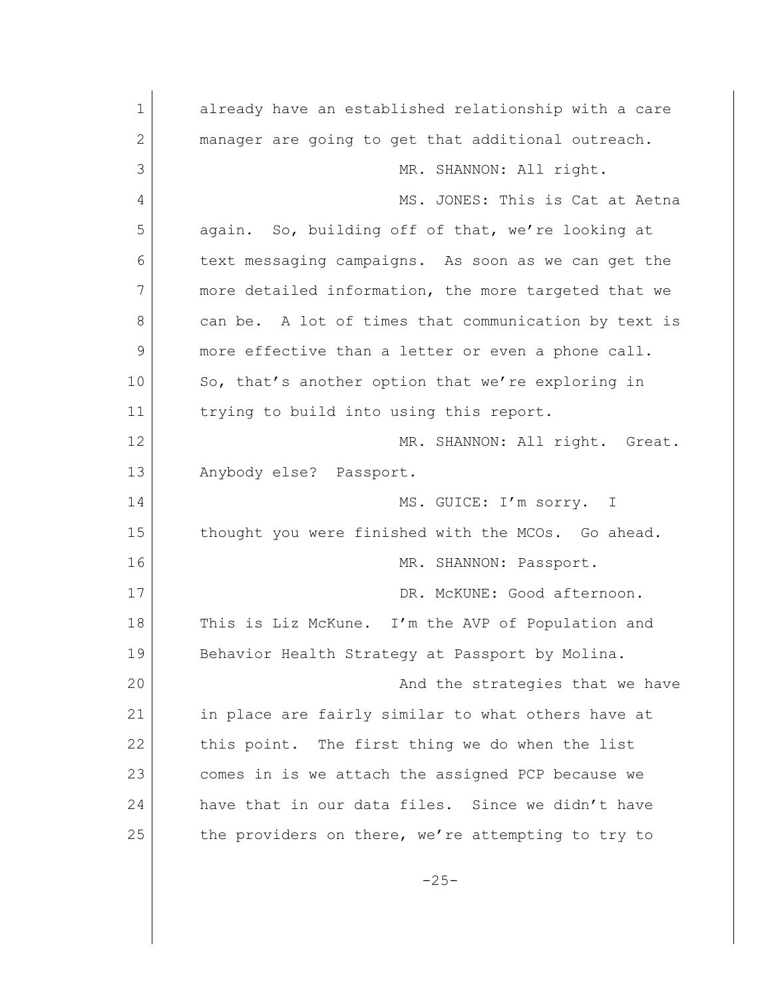1 already have an established relationship with a care 2 manager are going to get that additional outreach. 3 MR. SHANNON: All right. 4 MS. JONES: This is Cat at Aetna 5 again. So, building off of that, we're looking at 6 text messaging campaigns. As soon as we can get the 7 more detailed information, the more targeted that we 8 can be. A lot of times that communication by text is 9 more effective than a letter or even a phone call. 10 So, that's another option that we're exploring in 11 trying to build into using this report. 12 MR. SHANNON: All right. Great. 13 Anybody else? Passport. 14 MS. GUICE: I'm sorry. I 15 thought you were finished with the MCOs. Go ahead. 16 MR. SHANNON: Passport. 17 DR. McKUNE: Good afternoon. 18 This is Liz McKune. I'm the AVP of Population and 19 Behavior Health Strategy at Passport by Molina. 20 and the strategies that we have 21 in place are fairly similar to what others have at 22 this point. The first thing we do when the list 23 comes in is we attach the assigned PCP because we 24 have that in our data files. Since we didn't have 25 the providers on there, we're attempting to try to  $-25-$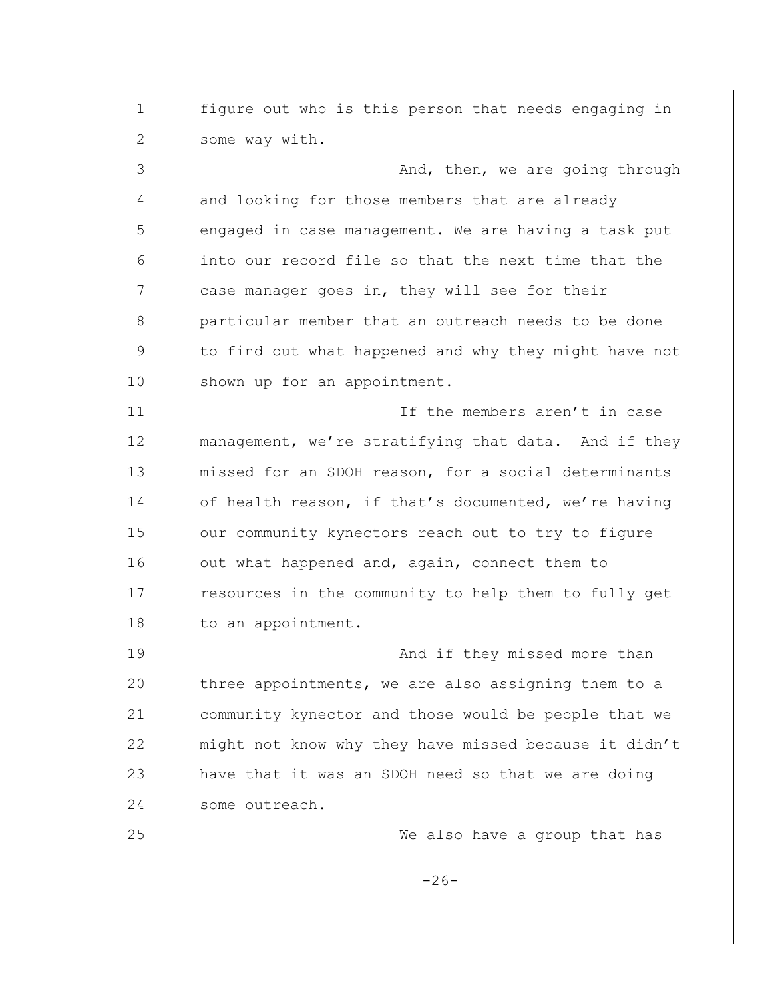1 figure out who is this person that needs engaging in 2 Some way with. 3 And, then, we are going through 4 and looking for those members that are already 5 engaged in case management. We are having a task put 6 into our record file so that the next time that the 7 case manager goes in, they will see for their 8 **particular member that an outreach needs to be done** 9 to find out what happened and why they might have not 10 shown up for an appointment. 11 If the members aren't in case 12 management, we're stratifying that data. And if they 13 missed for an SDOH reason, for a social determinants 14 of health reason, if that's documented, we're having 15 our community kynectors reach out to try to figure 16 out what happened and, again, connect them to 17 resources in the community to help them to fully get 18 to an appointment. 19 and if they missed more than 20 three appointments, we are also assigning them to a 21 community kynector and those would be people that we 22 might not know why they have missed because it didn't 23 have that it was an SDOH need so that we are doing 24 some outreach. 25 We also have a group that has  $-26-$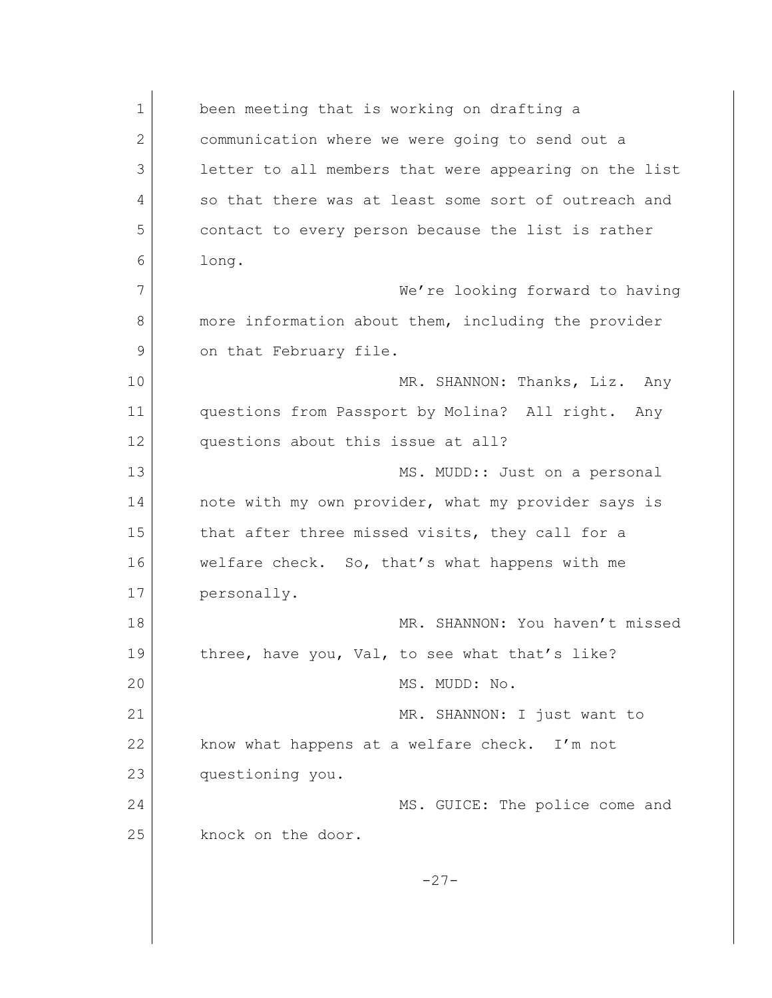| $\mathbf 1$  | been meeting that is working on drafting a            |
|--------------|-------------------------------------------------------|
| $\mathbf{2}$ | communication where we were going to send out a       |
| 3            | letter to all members that were appearing on the list |
| 4            | so that there was at least some sort of outreach and  |
| 5            | contact to every person because the list is rather    |
| 6            | long.                                                 |
| 7            | We're looking forward to having                       |
| 8            | more information about them, including the provider   |
| 9            | on that February file.                                |
| 10           | MR. SHANNON: Thanks, Liz. Any                         |
| 11           | questions from Passport by Molina? All right. Any     |
| 12           | questions about this issue at all?                    |
| 13           | MS. MUDD:: Just on a personal                         |
| 14           | note with my own provider, what my provider says is   |
| 15           | that after three missed visits, they call for a       |
| 16           | welfare check. So, that's what happens with me        |
| 17           | personally.                                           |
| 18           | MR. SHANNON: You haven't missed                       |
| 19           | three, have you, Val, to see what that's like?        |
| 20           | MS. MUDD: No.                                         |
| 21           | MR. SHANNON: I just want to                           |
| 22           | know what happens at a welfare check. I'm not         |
| 23           | questioning you.                                      |
| 24           | MS. GUICE: The police come and                        |
| 25           | knock on the door.                                    |
|              | $-27-$                                                |
|              |                                                       |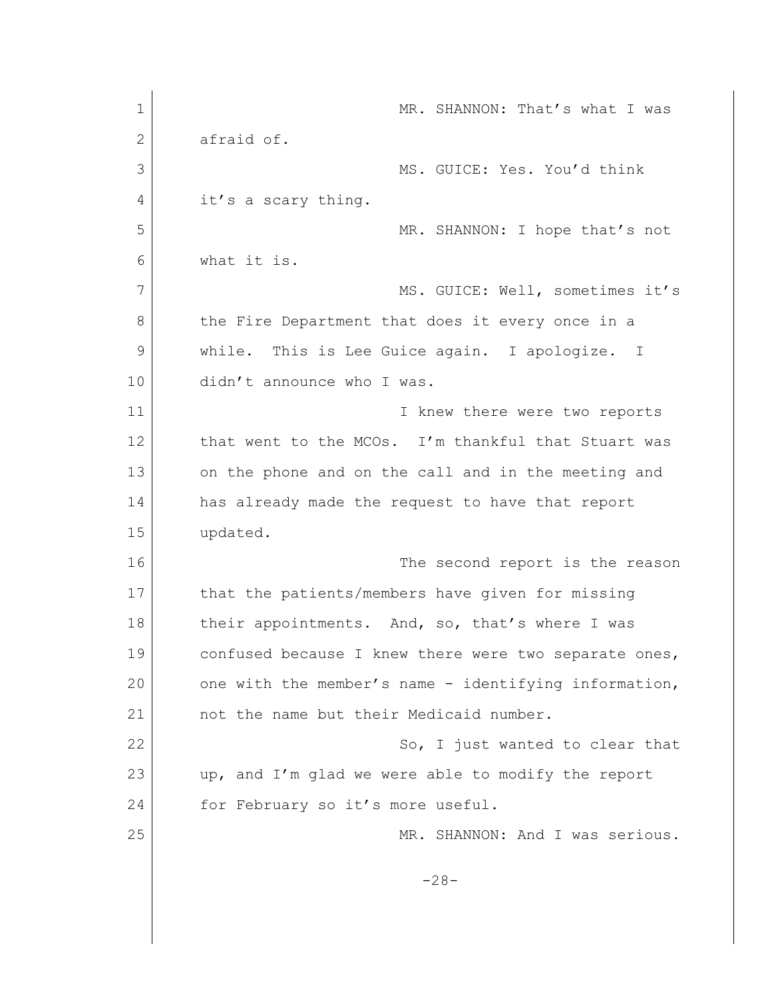| $\mathbf 1$ | MR. SHANNON: That's what I was                        |
|-------------|-------------------------------------------------------|
| 2           | afraid of.                                            |
| 3           | MS. GUICE: Yes. You'd think                           |
| 4           | it's a scary thing.                                   |
| 5           | MR. SHANNON: I hope that's not                        |
| 6           | what it is.                                           |
| 7           | MS. GUICE: Well, sometimes it's                       |
| 8           | the Fire Department that does it every once in a      |
| 9           | while. This is Lee Guice again. I apologize. I        |
| 10          | didn't announce who I was.                            |
| 11          | I knew there were two reports                         |
| 12          | that went to the MCOs. I'm thankful that Stuart was   |
| 13          | on the phone and on the call and in the meeting and   |
| 14          | has already made the request to have that report      |
| 15          | updated.                                              |
| 16          | The second report is the reason                       |
| 17          | that the patients/members have given for missing      |
| 18          | their appointments. And, so, that's where I was       |
| 19          | confused because I knew there were two separate ones, |
| 20          | one with the member's name - identifying information, |
| 21          | not the name but their Medicaid number.               |
| 22          | So, I just wanted to clear that                       |
| 23          | up, and I'm glad we were able to modify the report    |
| 24          | for February so it's more useful.                     |
| 25          | MR. SHANNON: And I was serious.                       |
|             | $-28-$                                                |
|             |                                                       |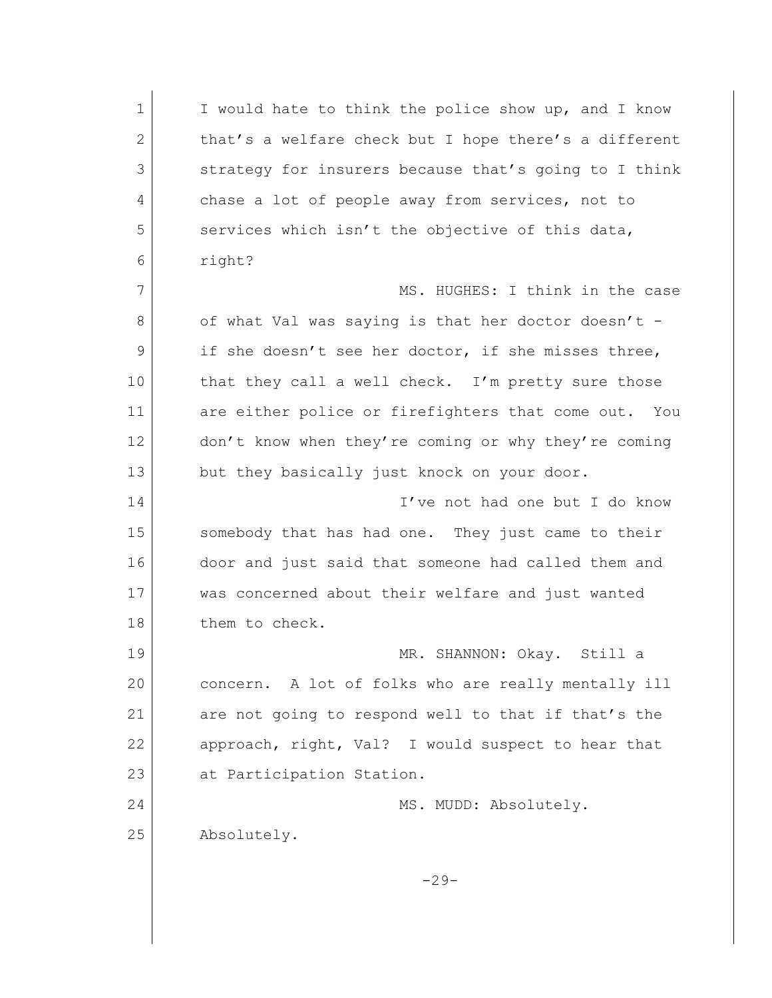1 I would hate to think the police show up, and I know 2 that's a welfare check but I hope there's a different 3 strategy for insurers because that's going to I think 4 chase a lot of people away from services, not to 5 services which isn't the objective of this data, 6 right? 7 MS. HUGHES: I think in the case 8 of what Val was saying is that her doctor doesn't -9 if she doesn't see her doctor, if she misses three, 10 that they call a well check. I'm pretty sure those 11 are either police or firefighters that come out. You 12 don't know when they're coming or why they're coming 13 but they basically just knock on your door. 14 I've not had one but I do know 15 Somebody that has had one. They just came to their 16 door and just said that someone had called them and 17 was concerned about their welfare and just wanted 18 them to check. 19 MR. SHANNON: Okay. Still a 20 concern. A lot of folks who are really mentally ill 21 are not going to respond well to that if that's the 22 approach, right, Val? I would suspect to hear that 23 at Participation Station. 24 MS. MUDD: Absolutely. 25 Absolutely.  $-29-$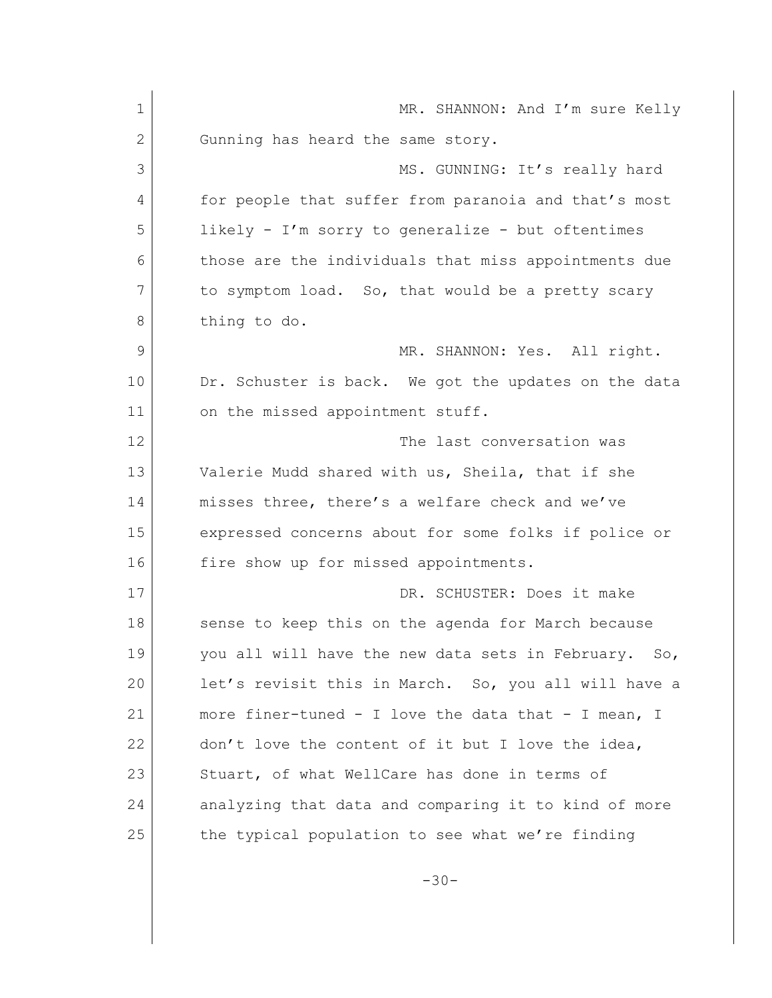1 MR. SHANNON: And I'm sure Kelly 2 Gunning has heard the same story. 3 MS. GUNNING: It's really hard 4 for people that suffer from paranoia and that's most 5 likely - I'm sorry to generalize - but oftentimes 6 those are the individuals that miss appointments due 7 to symptom load. So, that would be a pretty scary 8 thing to do. 9 MR. SHANNON: Yes. All right. 10 Dr. Schuster is back. We got the updates on the data 11 on the missed appointment stuff. 12 The last conversation was 13 Valerie Mudd shared with us, Sheila, that if she 14 misses three, there's a welfare check and we've 15 expressed concerns about for some folks if police or 16 fire show up for missed appointments. 17 DR. SCHUSTER: Does it make 18 | sense to keep this on the agenda for March because 19 you all will have the new data sets in February. So, 20 let's revisit this in March. So, you all will have a 21 more finer-tuned - I love the data that - I mean, I 22 | don't love the content of it but I love the idea, 23 Stuart, of what WellCare has done in terms of 24 analyzing that data and comparing it to kind of more 25 the typical population to see what we're finding

-30-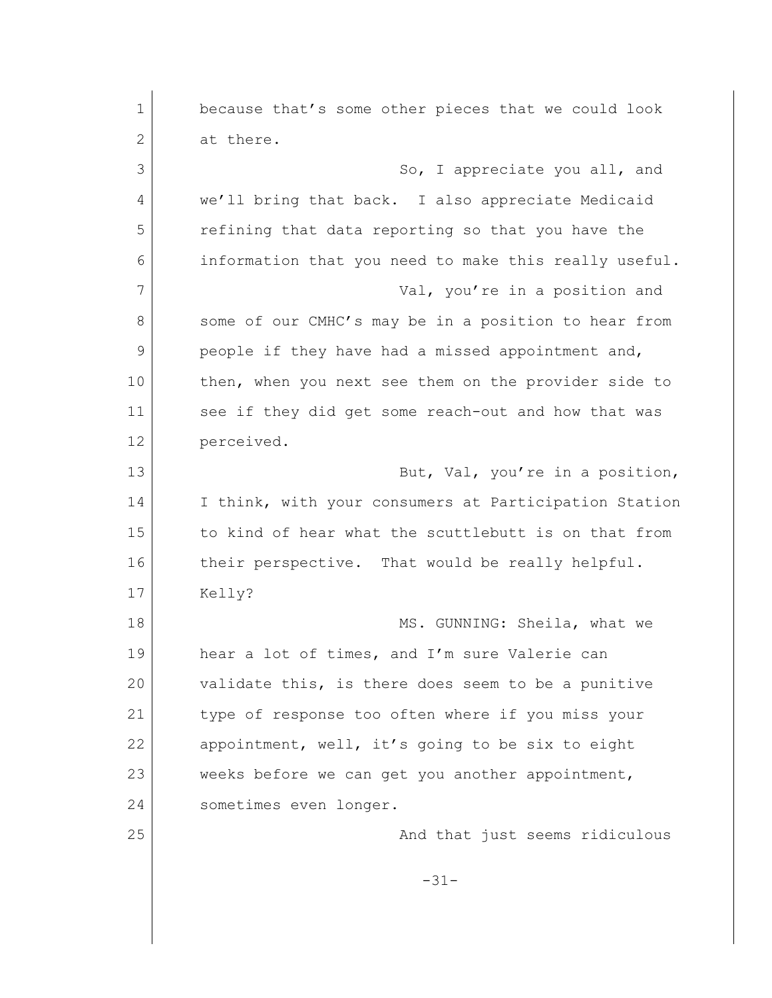| $\mathbf 1$  | because that's some other pieces that we could look   |
|--------------|-------------------------------------------------------|
| $\mathbf{2}$ | at there.                                             |
| 3            | So, I appreciate you all, and                         |
| 4            | we'll bring that back. I also appreciate Medicaid     |
| 5            | refining that data reporting so that you have the     |
| 6            | information that you need to make this really useful. |
| 7            | Val, you're in a position and                         |
| 8            | some of our CMHC's may be in a position to hear from  |
| 9            | people if they have had a missed appointment and,     |
| 10           | then, when you next see them on the provider side to  |
| 11           | see if they did get some reach-out and how that was   |
| 12           | perceived.                                            |
| 13           | But, Val, you're in a position,                       |
| 14           | I think, with your consumers at Participation Station |
| 15           | to kind of hear what the scuttlebutt is on that from  |
| 16           | their perspective. That would be really helpful.      |
| 17           | Kelly?                                                |
| 18           | MS. GUNNING: Sheila, what we                          |
| 19           | hear a lot of times, and I'm sure Valerie can         |
| 20           | validate this, is there does seem to be a punitive    |
| 21           | type of response too often where if you miss your     |
| 22           | appointment, well, it's going to be six to eight      |
| 23           | weeks before we can get you another appointment,      |
| 24           | sometimes even longer.                                |
| 25           | And that just seems ridiculous                        |
|              | $-31-$                                                |
|              |                                                       |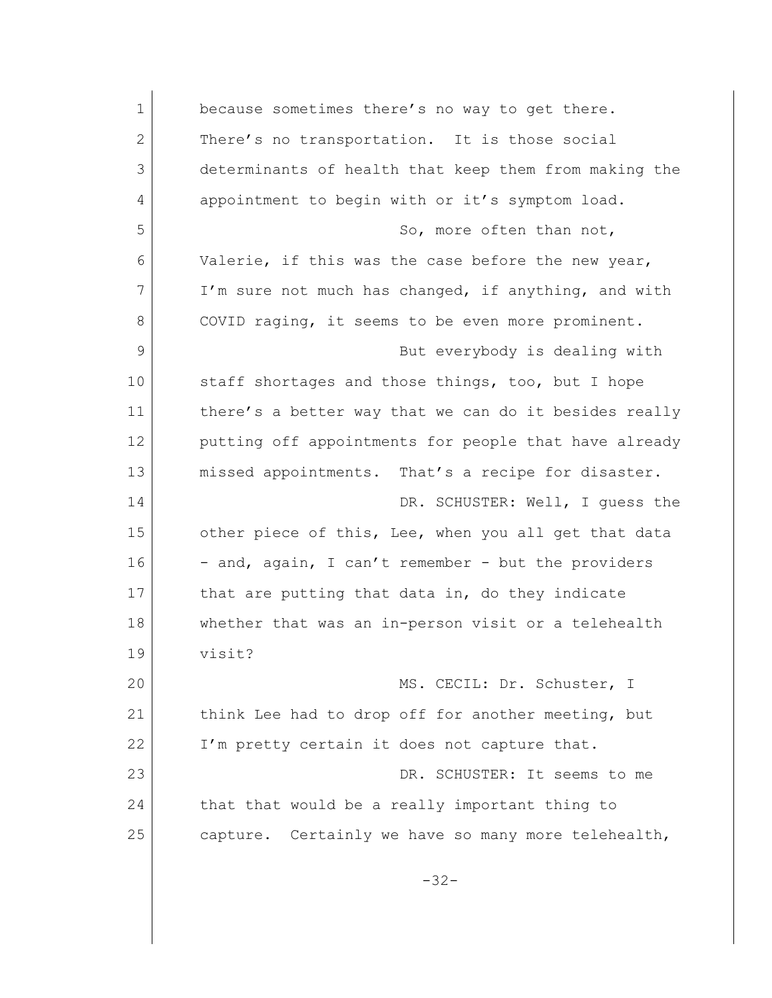| $\mathbf{1}$ | because sometimes there's no way to get there.        |
|--------------|-------------------------------------------------------|
| $\mathbf{2}$ | There's no transportation. It is those social         |
| 3            | determinants of health that keep them from making the |
| 4            | appointment to begin with or it's symptom load.       |
| 5            | So, more often than not,                              |
| 6            | Valerie, if this was the case before the new year,    |
| 7            | I'm sure not much has changed, if anything, and with  |
| 8            | COVID raging, it seems to be even more prominent.     |
| 9            | But everybody is dealing with                         |
| 10           | staff shortages and those things, too, but I hope     |
| 11           | there's a better way that we can do it besides really |
| 12           | putting off appointments for people that have already |
| 13           | missed appointments. That's a recipe for disaster.    |
| 14           | DR. SCHUSTER: Well, I quess the                       |
| 15           | other piece of this, Lee, when you all get that data  |
| 16           | - and, again, I can't remember - but the providers    |
| 17           | that are putting that data in, do they indicate       |
| 18           | whether that was an in-person visit or a telehealth   |
| 19           | visit?                                                |
| 20           | MS. CECIL: Dr. Schuster, I                            |
| 21           | think Lee had to drop off for another meeting, but    |
| 22           | I'm pretty certain it does not capture that.          |
| 23           | DR. SCHUSTER: It seems to me                          |
| 24           | that that would be a really important thing to        |
| 25           | capture. Certainly we have so many more telehealth,   |
|              | $-32-$                                                |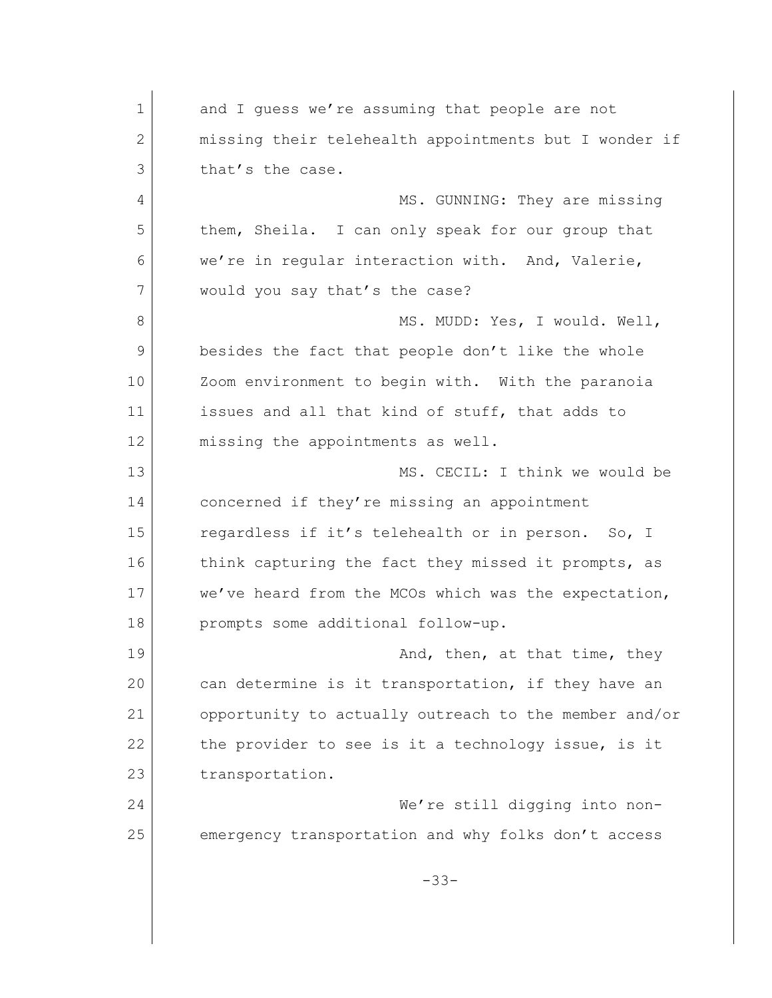1 and I quess we're assuming that people are not 2 missing their telehealth appointments but I wonder if 3 that's the case. 4 MS. GUNNING: They are missing 5 them, Sheila. I can only speak for our group that 6 we're in regular interaction with. And, Valerie, 7 would you say that's the case? 8 MS. MUDD: Yes, I would. Well, 9 besides the fact that people don't like the whole 10 Zoom environment to begin with. With the paranoia 11 issues and all that kind of stuff, that adds to 12 missing the appointments as well. 13 MS. CECIL: I think we would be 14 concerned if they're missing an appointment 15 regardless if it's telehealth or in person. So, I 16 think capturing the fact they missed it prompts, as 17 we've heard from the MCOs which was the expectation, 18 prompts some additional follow-up. 19 and, then, at that time, they 20 can determine is it transportation, if they have an 21 opportunity to actually outreach to the member and/or 22 the provider to see is it a technology issue, is it 23 transportation. 24 We're still digging into non-25 emergency transportation and why folks don't access -33-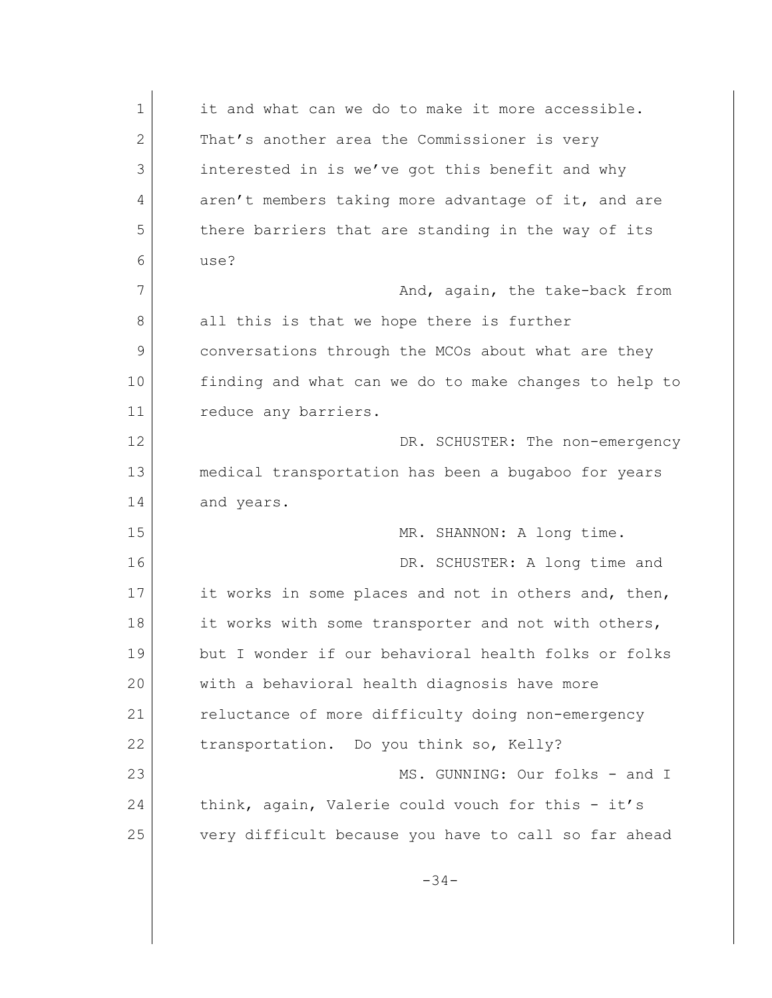| $\mathbf 1$ | it and what can we do to make it more accessible.     |
|-------------|-------------------------------------------------------|
| 2           | That's another area the Commissioner is very          |
| 3           | interested in is we've got this benefit and why       |
| 4           | aren't members taking more advantage of it, and are   |
| 5           | there barriers that are standing in the way of its    |
| 6           | use?                                                  |
| 7           | And, again, the take-back from                        |
| 8           | all this is that we hope there is further             |
| 9           | conversations through the MCOs about what are they    |
| 10          | finding and what can we do to make changes to help to |
| 11          | reduce any barriers.                                  |
| 12          | DR. SCHUSTER: The non-emergency                       |
| 13          | medical transportation has been a bugaboo for years   |
| 14          | and years.                                            |
| 15          | MR. SHANNON: A long time.                             |
| 16          | DR. SCHUSTER: A long time and                         |
| 17          | it works in some places and not in others and, then,  |
| 18          | it works with some transporter and not with others,   |
| 19          | but I wonder if our behavioral health folks or folks  |
| 20          | with a behavioral health diagnosis have more          |
| 21          | reluctance of more difficulty doing non-emergency     |
| 22          | transportation. Do you think so, Kelly?               |
| 23          | MS. GUNNING: Our folks - and I                        |
| 24          | think, again, Valerie could vouch for this - it's     |
| 25          | very difficult because you have to call so far ahead  |
|             | $-34-$                                                |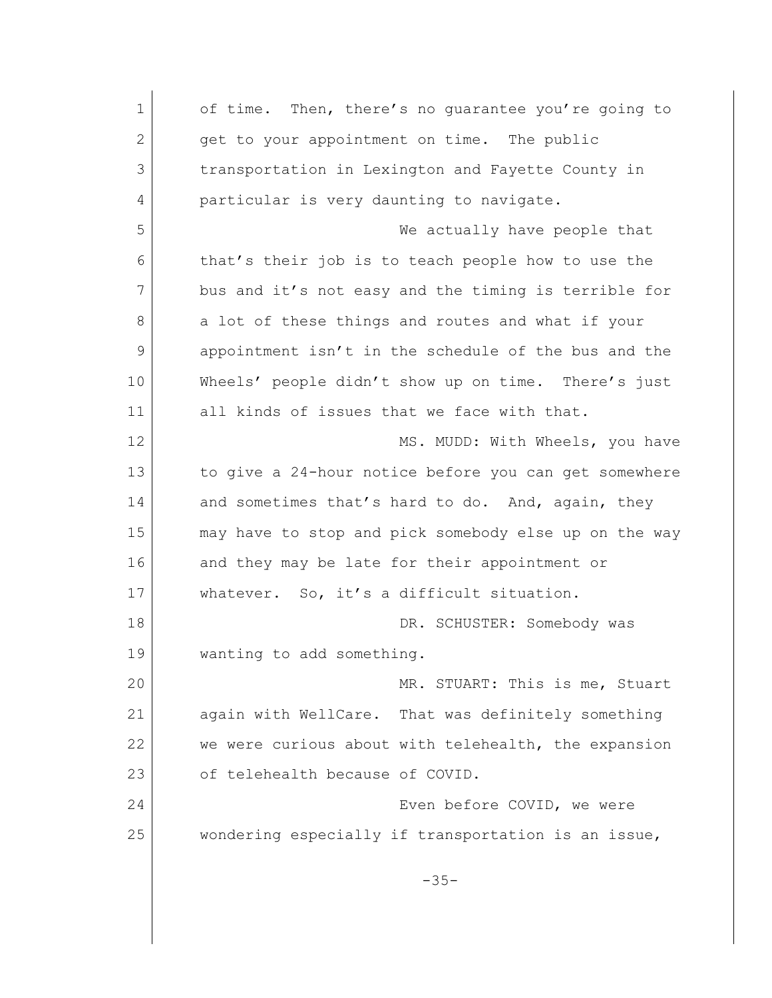1 of time. Then, there's no quarantee you're going to 2 get to your appointment on time. The public 3 transportation in Lexington and Fayette County in 4 particular is very daunting to navigate. 5 We actually have people that 6 that's their job is to teach people how to use the 7 bus and it's not easy and the timing is terrible for 8 a lot of these things and routes and what if your 9 appointment isn't in the schedule of the bus and the 10 Wheels' people didn't show up on time. There's just 11 all kinds of issues that we face with that. 12 MS. MUDD: With Wheels, you have 13 to give a 24-hour notice before you can get somewhere 14 and sometimes that's hard to do. And, again, they 15 may have to stop and pick somebody else up on the way 16 and they may be late for their appointment or 17 whatever. So, it's a difficult situation. 18 DR. SCHUSTER: Somebody was 19 **wanting to add something.** 20 MR. STUART: This is me, Stuart 21 again with WellCare. That was definitely something 22 we were curious about with telehealth, the expansion 23 of telehealth because of COVID. 24 Even before COVID, we were 25 wondering especially if transportation is an issue, -35-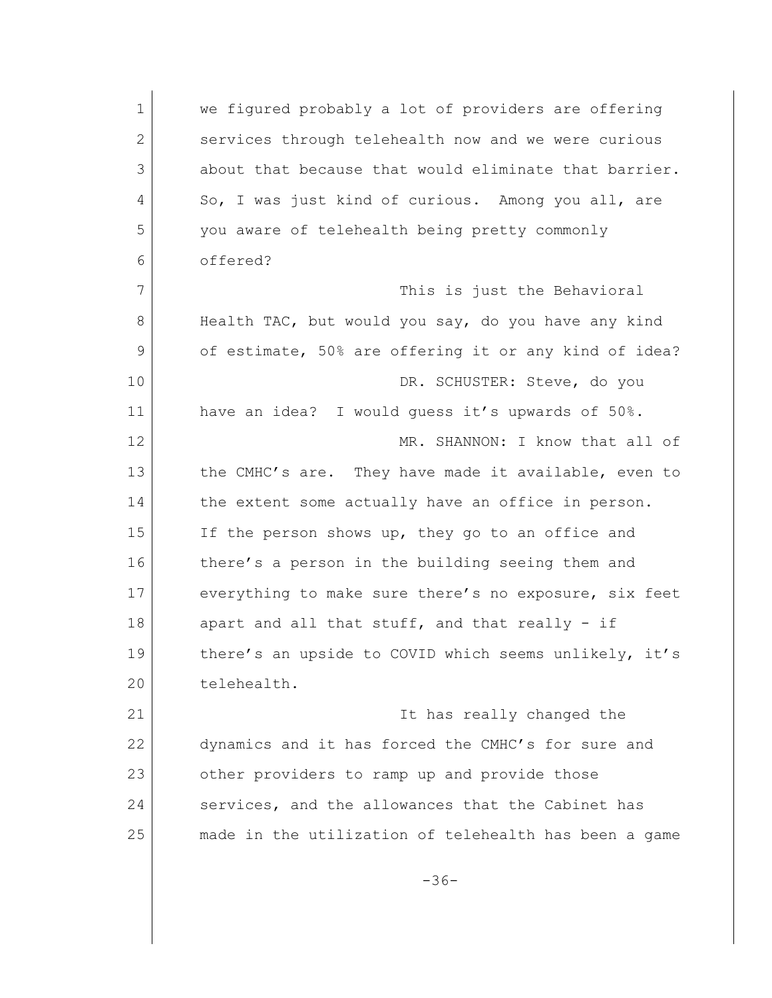1 we figured probably a lot of providers are offering 2 services through telehealth now and we were curious 3 about that because that would eliminate that barrier. 4 So, I was just kind of curious. Among you all, are 5 you aware of telehealth being pretty commonly 6 offered? 7 This is just the Behavioral 8 Health TAC, but would you say, do you have any kind 9 of estimate, 50% are offering it or any kind of idea? 10 DR. SCHUSTER: Steve, do you 11 have an idea? I would guess it's upwards of 50%. 12 MR. SHANNON: I know that all of 13 the CMHC's are. They have made it available, even to 14 the extent some actually have an office in person. 15 If the person shows up, they go to an office and 16 there's a person in the building seeing them and 17 everything to make sure there's no exposure, six feet 18 apart and all that stuff, and that really - if 19 there's an upside to COVID which seems unlikely, it's 20 telehealth. 21 | Thas really changed the 22 dynamics and it has forced the CMHC's for sure and 23 other providers to ramp up and provide those 24 services, and the allowances that the Cabinet has 25 made in the utilization of telehealth has been a game -36-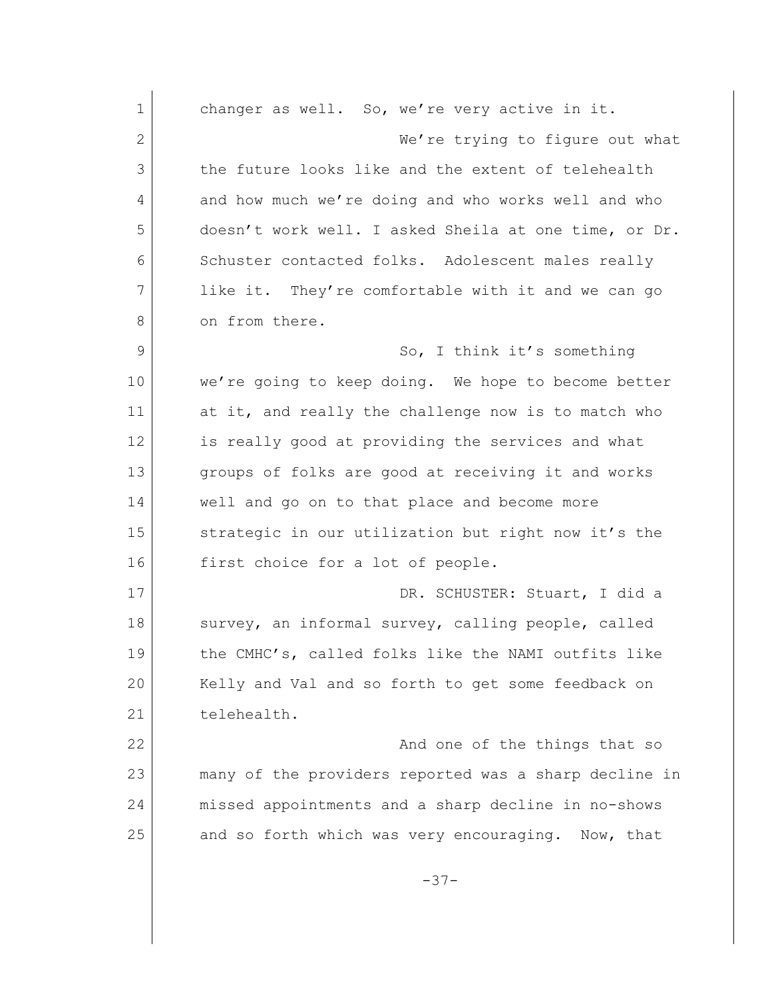1 changer as well. So, we're very active in it. 2 We're trying to figure out what 3 the future looks like and the extent of telehealth 4 and how much we're doing and who works well and who 5 doesn't work well. I asked Sheila at one time, or Dr. 6 Schuster contacted folks. Adolescent males really 7 like it. They're comfortable with it and we can go 8 on from there. 9 So, I think it's something 10 we're going to keep doing. We hope to become better 11 at it, and really the challenge now is to match who 12 is really good at providing the services and what 13 groups of folks are good at receiving it and works 14 well and go on to that place and become more 15 Strategic in our utilization but right now it's the 16 first choice for a lot of people. 17 DR. SCHUSTER: Stuart, I did a 18 Survey, an informal survey, calling people, called 19 the CMHC's, called folks like the NAMI outfits like 20 Kelly and Val and so forth to get some feedback on 21 telehealth. 22 And one of the things that so 23 many of the providers reported was a sharp decline in 24 missed appointments and a sharp decline in no-shows 25 and so forth which was very encouraging. Now, that -37-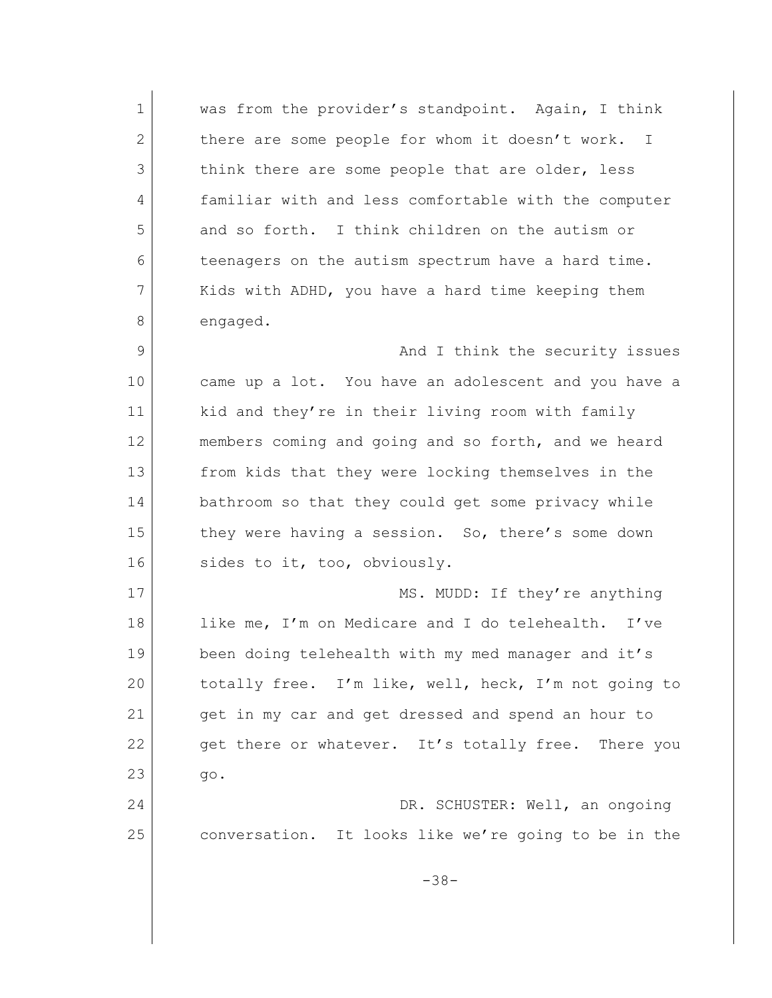1 was from the provider's standpoint. Again, I think 2 there are some people for whom it doesn't work. I 3 think there are some people that are older, less 4 familiar with and less comfortable with the computer 5 and so forth. I think children on the autism or 6 teenagers on the autism spectrum have a hard time. 7 Kids with ADHD, you have a hard time keeping them 8 engaged. 9 and I think the security issues 10 came up a lot. You have an adolescent and you have a 11 kid and they're in their living room with family 12 members coming and going and so forth, and we heard 13 from kids that they were locking themselves in the 14 bathroom so that they could get some privacy while 15 they were having a session. So, there's some down 16 sides to it, too, obviously. 17 MS. MUDD: If they're anything 18 like me, I'm on Medicare and I do telehealth. I've 19 been doing telehealth with my med manager and it's 20 totally free. I'm like, well, heck, I'm not going to 21 get in my car and get dressed and spend an hour to 22 get there or whatever. It's totally free. There you 23 | qo. 24 DR. SCHUSTER: Well, an ongoing 25 conversation. It looks like we're going to be in the -38-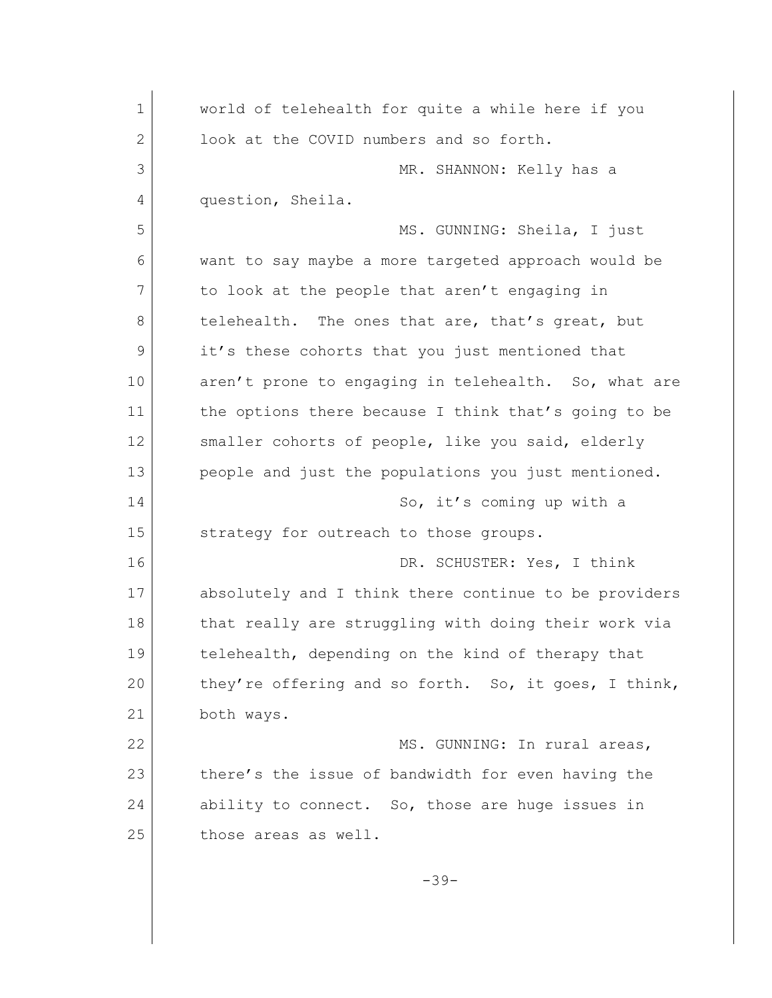| $\mathbf 1$ | world of telehealth for quite a while here if you     |
|-------------|-------------------------------------------------------|
| 2           | look at the COVID numbers and so forth.               |
| 3           | MR. SHANNON: Kelly has a                              |
| 4           | question, Sheila.                                     |
| 5           | MS. GUNNING: Sheila, I just                           |
| 6           | want to say maybe a more targeted approach would be   |
| 7           | to look at the people that aren't engaging in         |
| 8           | telehealth. The ones that are, that's great, but      |
| 9           | it's these cohorts that you just mentioned that       |
| 10          | aren't prone to engaging in telehealth. So, what are  |
| 11          | the options there because I think that's going to be  |
| 12          | smaller cohorts of people, like you said, elderly     |
| 13          | people and just the populations you just mentioned.   |
| 14          | So, it's coming up with a                             |
| 15          | strategy for outreach to those groups.                |
| 16          | DR. SCHUSTER: Yes, I think                            |
| 17          | absolutely and I think there continue to be providers |
| 18          | that really are struggling with doing their work via  |
| 19          | telehealth, depending on the kind of therapy that     |
| 20          | they're offering and so forth. So, it goes, I think,  |
| 21          | both ways.                                            |
| 22          | MS. GUNNING: In rural areas,                          |
| 23          | there's the issue of bandwidth for even having the    |
| 24          | ability to connect. So, those are huge issues in      |
| 25          | those areas as well.                                  |
|             | $-39-$                                                |
|             |                                                       |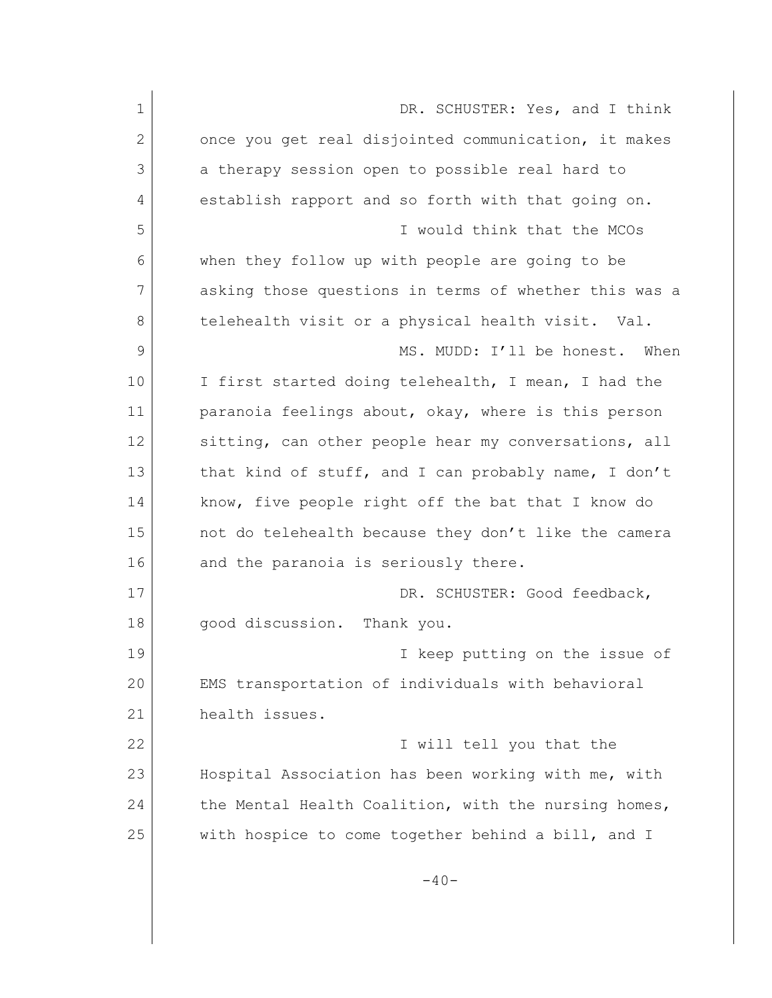| $\mathbf 1$ | DR. SCHUSTER: Yes, and I think                        |
|-------------|-------------------------------------------------------|
| 2           | once you get real disjointed communication, it makes  |
| 3           | a therapy session open to possible real hard to       |
| 4           | establish rapport and so forth with that going on.    |
| 5           | I would think that the MCOs                           |
| 6           | when they follow up with people are going to be       |
| 7           | asking those questions in terms of whether this was a |
| 8           | telehealth visit or a physical health visit. Val.     |
| 9           | MS. MUDD: I'll be honest.<br>When                     |
| 10          | I first started doing telehealth, I mean, I had the   |
| 11          | paranoia feelings about, okay, where is this person   |
| 12          | sitting, can other people hear my conversations, all  |
| 13          | that kind of stuff, and I can probably name, I don't  |
| 14          | know, five people right off the bat that I know do    |
| 15          | not do telehealth because they don't like the camera  |
| 16          | and the paranoia is seriously there.                  |
| 17          | DR. SCHUSTER: Good feedback,                          |
| 18          | good discussion.<br>Thank you.                        |
| 19          | I keep putting on the issue of                        |
| 20          | EMS transportation of individuals with behavioral     |
| 21          | health issues.                                        |
| 22          | I will tell you that the                              |
| 23          | Hospital Association has been working with me, with   |
| 24          | the Mental Health Coalition, with the nursing homes,  |
| 25          | with hospice to come together behind a bill, and I    |
|             | $-40-$                                                |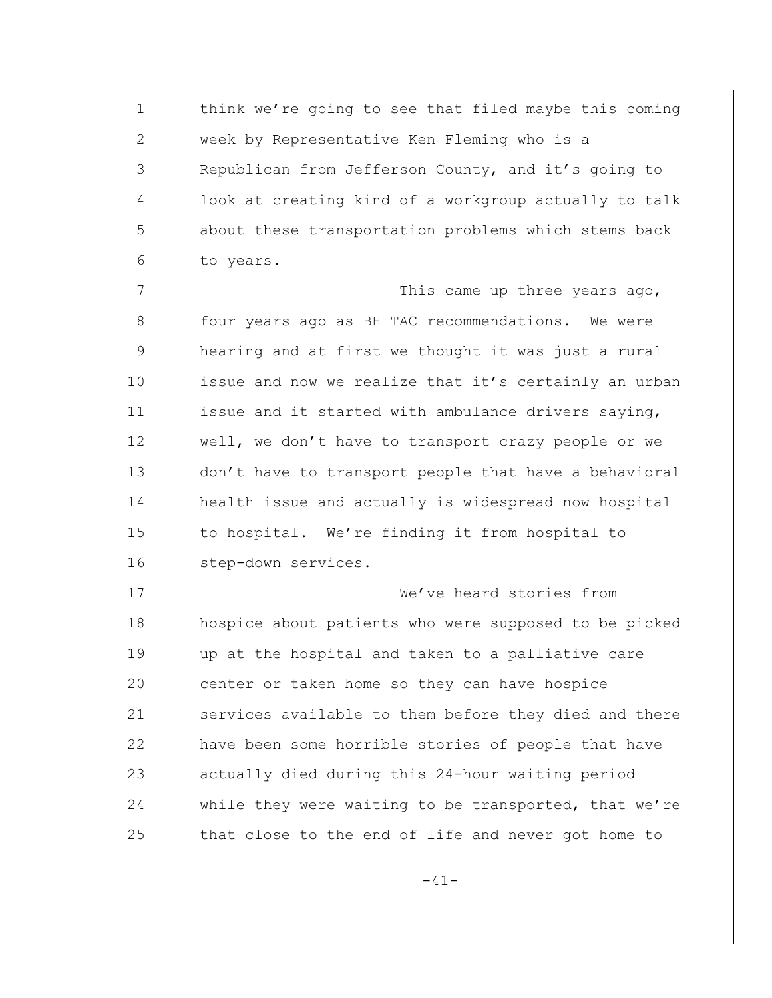1 think we're going to see that filed maybe this coming 2 week by Representative Ken Fleming who is a Republican from Jefferson County, and it's going to look at creating kind of a workgroup actually to talk about these transportation problems which stems back to years.

7 This came up three years ago, 8 four years ago as BH TAC recommendations. We were 9 hearing and at first we thought it was just a rural 10 issue and now we realize that it's certainly an urban 11 issue and it started with ambulance drivers saying, 12 well, we don't have to transport crazy people or we 13 don't have to transport people that have a behavioral 14 health issue and actually is widespread now hospital 15 to hospital. We're finding it from hospital to 16 step-down services.

17 We've heard stories from 18 hospice about patients who were supposed to be picked 19 up at the hospital and taken to a palliative care 20 center or taken home so they can have hospice 21 Services available to them before they died and there 22 have been some horrible stories of people that have 23 actually died during this 24-hour waiting period 24 while they were waiting to be transported, that we're 25 that close to the end of life and never got home to

-41-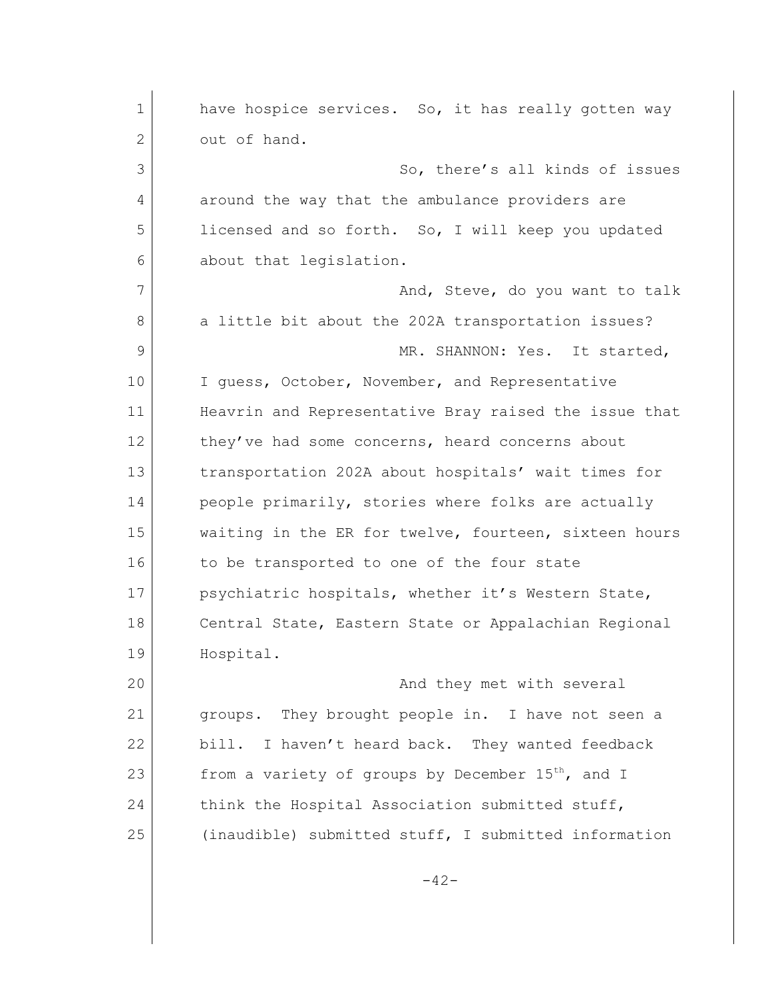| 1  | have hospice services. So, it has really gotten way           |
|----|---------------------------------------------------------------|
| 2  | out of hand.                                                  |
| 3  | So, there's all kinds of issues                               |
| 4  | around the way that the ambulance providers are               |
| 5  | licensed and so forth. So, I will keep you updated            |
| 6  | about that legislation.                                       |
| 7  | And, Steve, do you want to talk                               |
| 8  | a little bit about the 202A transportation issues?            |
| 9  | MR. SHANNON: Yes. It started,                                 |
| 10 | I guess, October, November, and Representative                |
| 11 | Heavrin and Representative Bray raised the issue that         |
| 12 | they've had some concerns, heard concerns about               |
| 13 | transportation 202A about hospitals' wait times for           |
| 14 | people primarily, stories where folks are actually            |
| 15 | waiting in the ER for twelve, fourteen, sixteen hours         |
| 16 | to be transported to one of the four state                    |
| 17 | psychiatric hospitals, whether it's Western State,            |
| 18 | Central State, Eastern State or Appalachian Regional          |
| 19 | Hospital.                                                     |
| 20 | And they met with several                                     |
| 21 | groups. They brought people in. I have not seen a             |
| 22 | bill. I haven't heard back. They wanted feedback              |
| 23 | from a variety of groups by December 15 <sup>th</sup> , and I |
| 24 | think the Hospital Association submitted stuff,               |
| 25 | (inaudible) submitted stuff, I submitted information          |
|    | $-42-$                                                        |
|    |                                                               |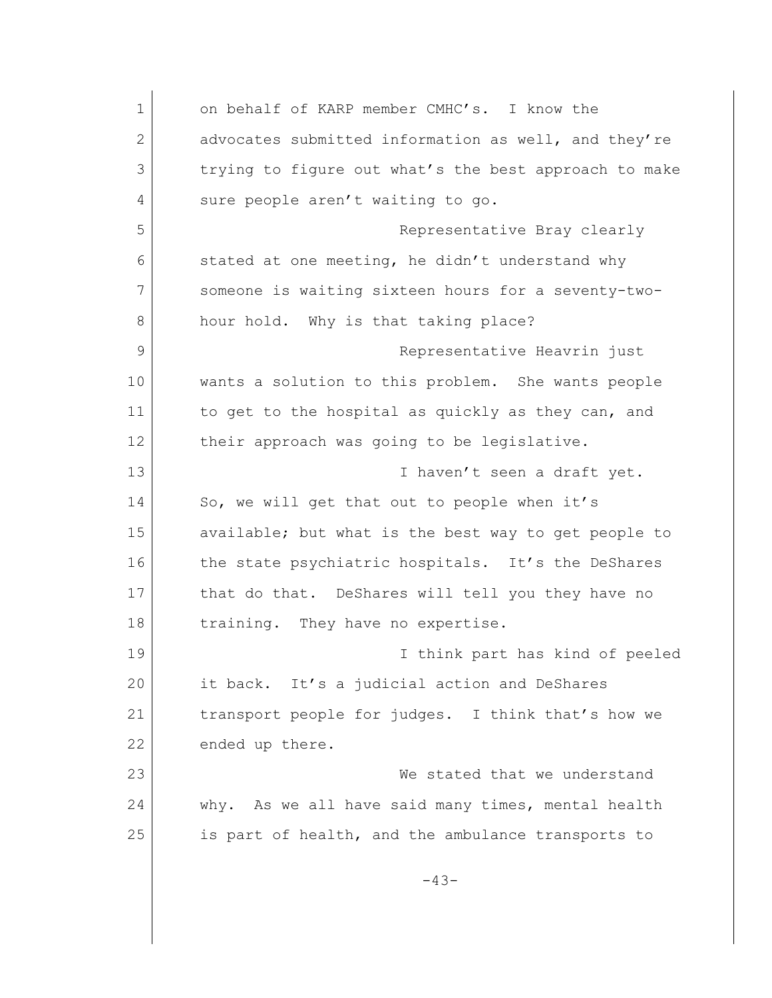1 on behalf of KARP member CMHC's. I know the 2 advocates submitted information as well, and they're 3 trying to figure out what's the best approach to make 4 sure people aren't waiting to go. 5 Representative Bray clearly 6 stated at one meeting, he didn't understand why 7 someone is waiting sixteen hours for a seventy-two-8 hour hold. Why is that taking place? 9 Representative Heavrin just 10 wants a solution to this problem. She wants people 11 to get to the hospital as quickly as they can, and 12 their approach was going to be legislative. 13 **I** haven't seen a draft yet. 14 So, we will get that out to people when it's 15 available; but what is the best way to get people to 16 the state psychiatric hospitals. It's the DeShares 17 that do that. DeShares will tell you they have no 18 training. They have no expertise. 19 I think part has kind of peeled 20 it back. It's a judicial action and DeShares 21 transport people for judges. I think that's how we 22 ended up there. 23 We stated that we understand 24 why. As we all have said many times, mental health 25 | is part of health, and the ambulance transports to -43-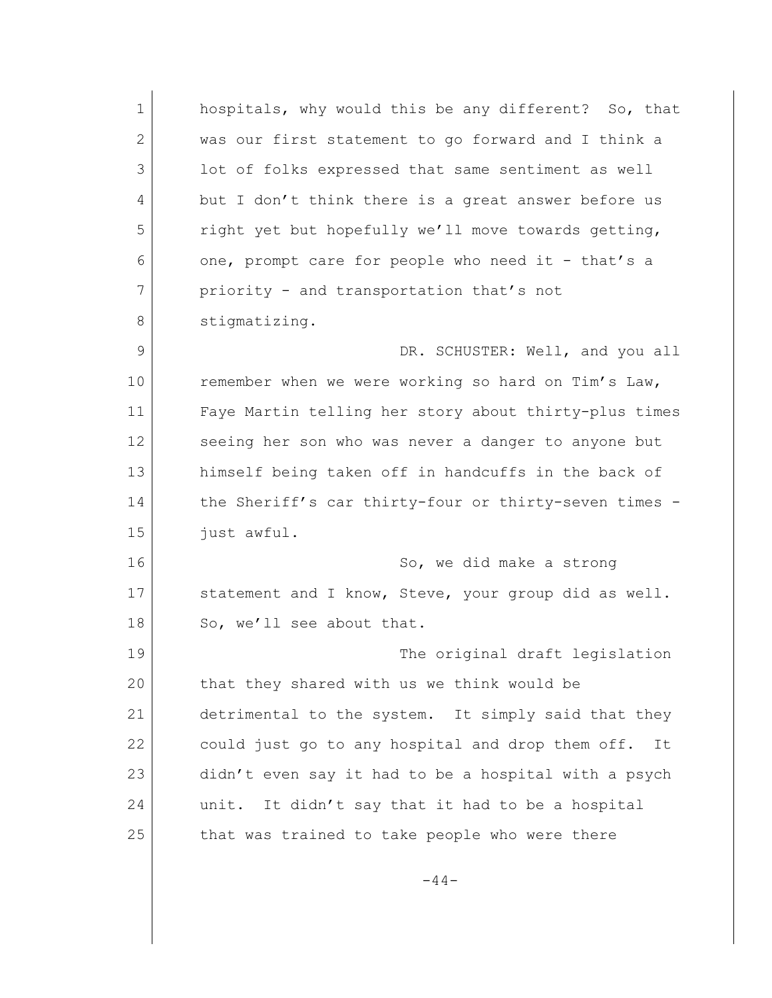| $\mathbf{1}$   | hospitals, why would this be any different? So, that   |
|----------------|--------------------------------------------------------|
| $\overline{2}$ | was our first statement to go forward and I think a    |
| 3              | lot of folks expressed that same sentiment as well     |
| 4              | but I don't think there is a great answer before us    |
| 5              | right yet but hopefully we'll move towards getting,    |
| 6              | one, prompt care for people who need it - that's a     |
| 7              | priority - and transportation that's not               |
| 8              | stigmatizing.                                          |
| 9              | DR. SCHUSTER: Well, and you all                        |
| 10             | remember when we were working so hard on Tim's Law,    |
| 11             | Faye Martin telling her story about thirty-plus times  |
| 12             | seeing her son who was never a danger to anyone but    |
| 13             | himself being taken off in handcuffs in the back of    |
| 14             | the Sheriff's car thirty-four or thirty-seven times -  |
| 15             | just awful.                                            |
| 16             | So, we did make a strong                               |
| 17             | statement and I know, Steve, your group did as well.   |
| 18             | So, we'll see about that.                              |
| 19             | The original draft legislation                         |
| 20             | that they shared with us we think would be             |
| 21             | detrimental to the system. It simply said that they    |
| 22             | could just go to any hospital and drop them off.<br>It |
| 23             | didn't even say it had to be a hospital with a psych   |
| 24             | It didn't say that it had to be a hospital<br>unit.    |
| 25             | that was trained to take people who were there         |
|                |                                                        |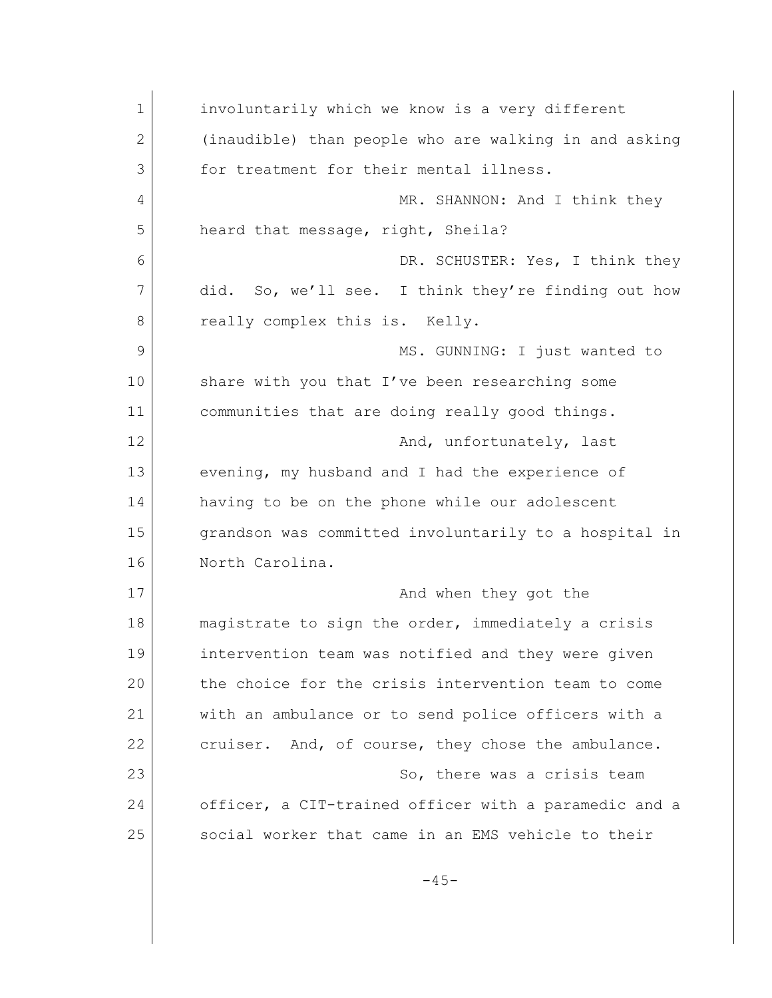| $\mathbf 1$ | involuntarily which we know is a very different       |
|-------------|-------------------------------------------------------|
| 2           | (inaudible) than people who are walking in and asking |
| 3           | for treatment for their mental illness.               |
| 4           | MR. SHANNON: And I think they                         |
| 5           | heard that message, right, Sheila?                    |
| 6           | DR. SCHUSTER: Yes, I think they                       |
| 7           | did. So, we'll see. I think they're finding out how   |
| 8           | really complex this is. Kelly.                        |
| $\mathsf 9$ | MS. GUNNING: I just wanted to                         |
| 10          | share with you that I've been researching some        |
| 11          | communities that are doing really good things.        |
| 12          | And, unfortunately, last                              |
| 13          | evening, my husband and I had the experience of       |
| 14          | having to be on the phone while our adolescent        |
| 15          | grandson was committed involuntarily to a hospital in |
| 16          | North Carolina.                                       |
| 17          | And when they got the                                 |
| 18          | magistrate to sign the order, immediately a crisis    |
| 19          | intervention team was notified and they were given    |
| 20          | the choice for the crisis intervention team to come   |
| 21          | with an ambulance or to send police officers with a   |
| 22          | cruiser. And, of course, they chose the ambulance.    |
| 23          | So, there was a crisis team                           |
| 24          | officer, a CIT-trained officer with a paramedic and a |
| 25          | social worker that came in an EMS vehicle to their    |
|             | $-45-$                                                |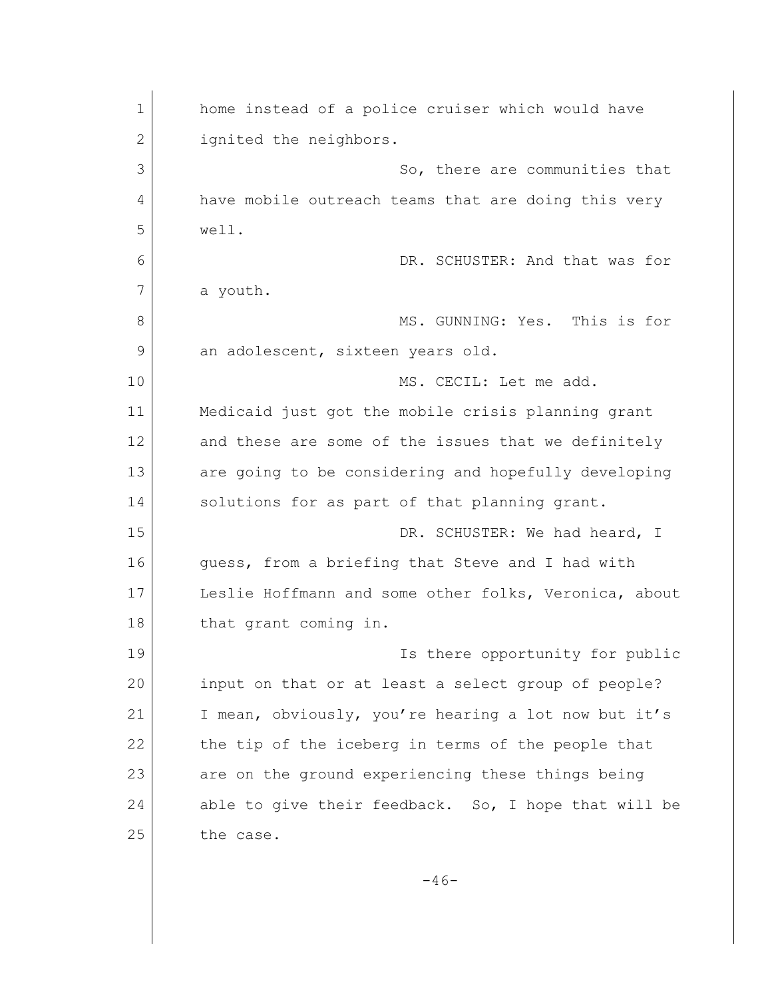| $\mathbf 1$  | home instead of a police cruiser which would have     |
|--------------|-------------------------------------------------------|
| $\mathbf{2}$ | ignited the neighbors.                                |
| 3            | So, there are communities that                        |
| 4            | have mobile outreach teams that are doing this very   |
| 5            | well.                                                 |
| 6            | DR. SCHUSTER: And that was for                        |
| 7            | a youth.                                              |
| 8            | MS. GUNNING: Yes. This is for                         |
| 9            | an adolescent, sixteen years old.                     |
| 10           | MS. CECIL: Let me add.                                |
| 11           | Medicaid just got the mobile crisis planning grant    |
| 12           | and these are some of the issues that we definitely   |
| 13           | are going to be considering and hopefully developing  |
| 14           | solutions for as part of that planning grant.         |
| 15           | DR. SCHUSTER: We had heard, I                         |
| 16           | guess, from a briefing that Steve and I had with      |
| 17           | Leslie Hoffmann and some other folks, Veronica, about |
| 18           | that grant coming in.                                 |
| 19           | Is there opportunity for public                       |
| 20           | input on that or at least a select group of people?   |
| 21           | I mean, obviously, you're hearing a lot now but it's  |
| 22           | the tip of the iceberg in terms of the people that    |
| 23           | are on the ground experiencing these things being     |
| 24           | able to give their feedback. So, I hope that will be  |
| 25           | the case.                                             |
|              |                                                       |

-46-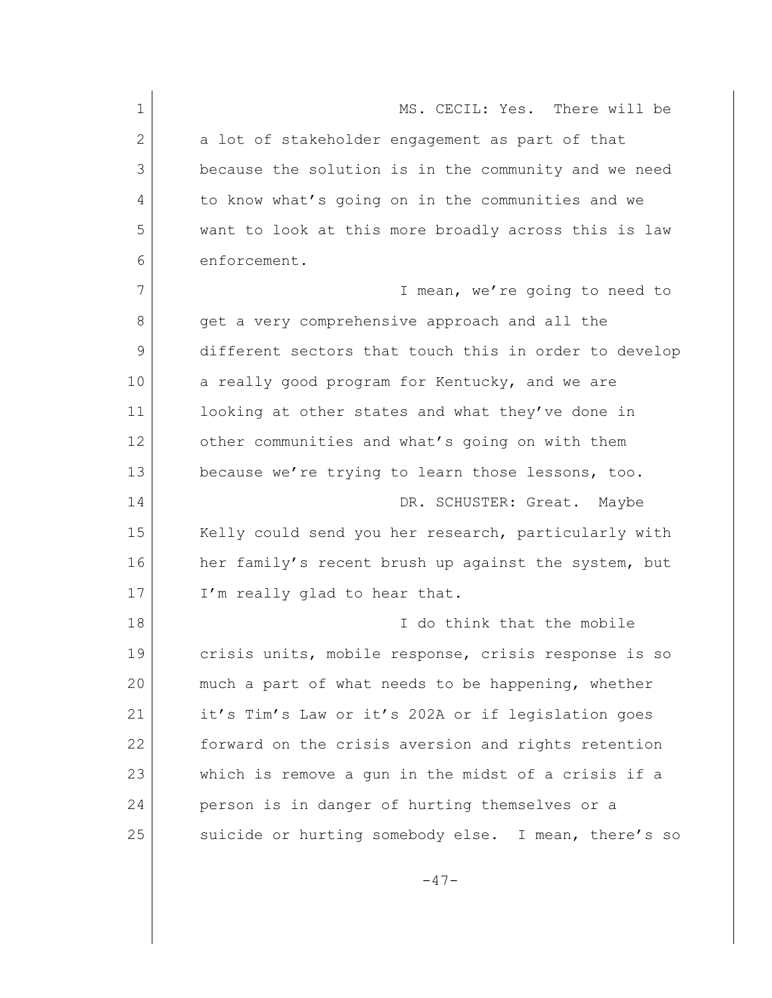1 MS. CECIL: Yes. There will be 2 a lot of stakeholder engagement as part of that 3 because the solution is in the community and we need 4 to know what's going on in the communities and we 5 want to look at this more broadly across this is law 6 enforcement. 7 I mean, we're going to need to 8 get a very comprehensive approach and all the 9 different sectors that touch this in order to develop 10 a really good program for Kentucky, and we are 11 looking at other states and what they've done in 12 other communities and what's going on with them 13 because we're trying to learn those lessons, too. 14 DR. SCHUSTER: Great. Maybe 15 Kelly could send you her research, particularly with 16 her family's recent brush up against the system, but 17 I'm really glad to hear that. 18 **I** do think that the mobile 19 crisis units, mobile response, crisis response is so 20 much a part of what needs to be happening, whether 21 it's Tim's Law or it's 202A or if legislation goes 22 forward on the crisis aversion and rights retention 23 which is remove a gun in the midst of a crisis if a 24 person is in danger of hurting themselves or a 25 suicide or hurting somebody else. I mean, there's so

 $-47-$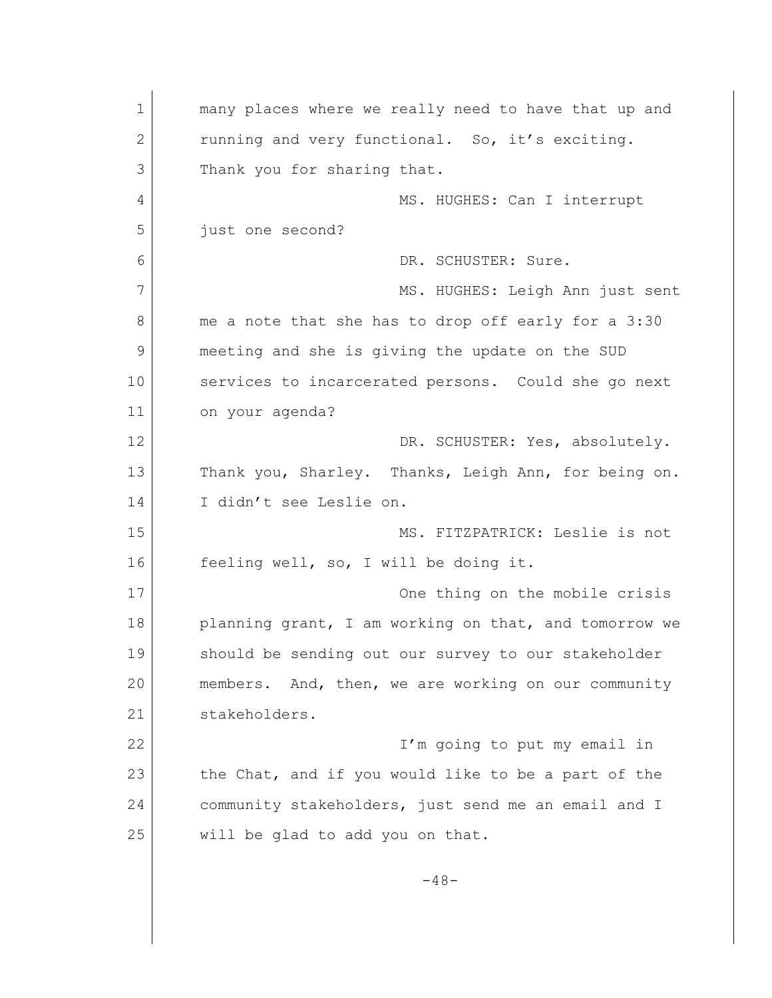1 many places where we really need to have that up and 2 running and very functional. So, it's exciting. 3 Thank you for sharing that. 4 MS. HUGHES: Can I interrupt 5 **just** one second? 6 DR. SCHUSTER: Sure. 7 MS. HUGHES: Leigh Ann just sent 8 me a note that she has to drop off early for a 3:30 9 meeting and she is giving the update on the SUD 10 services to incarcerated persons. Could she go next 11 on your agenda? 12 DR. SCHUSTER: Yes, absolutely. 13 Thank you, Sharley. Thanks, Leigh Ann, for being on. 14 I didn't see Leslie on. 15 MS. FITZPATRICK: Leslie is not 16 feeling well, so, I will be doing it. 17 One thing on the mobile crisis 18 planning grant, I am working on that, and tomorrow we 19 should be sending out our survey to our stakeholder 20 members. And, then, we are working on our community 21 stakeholders. 22 I'm going to put my email in 23 the Chat, and if you would like to be a part of the 24 community stakeholders, just send me an email and I 25 will be glad to add you on that.  $-48-$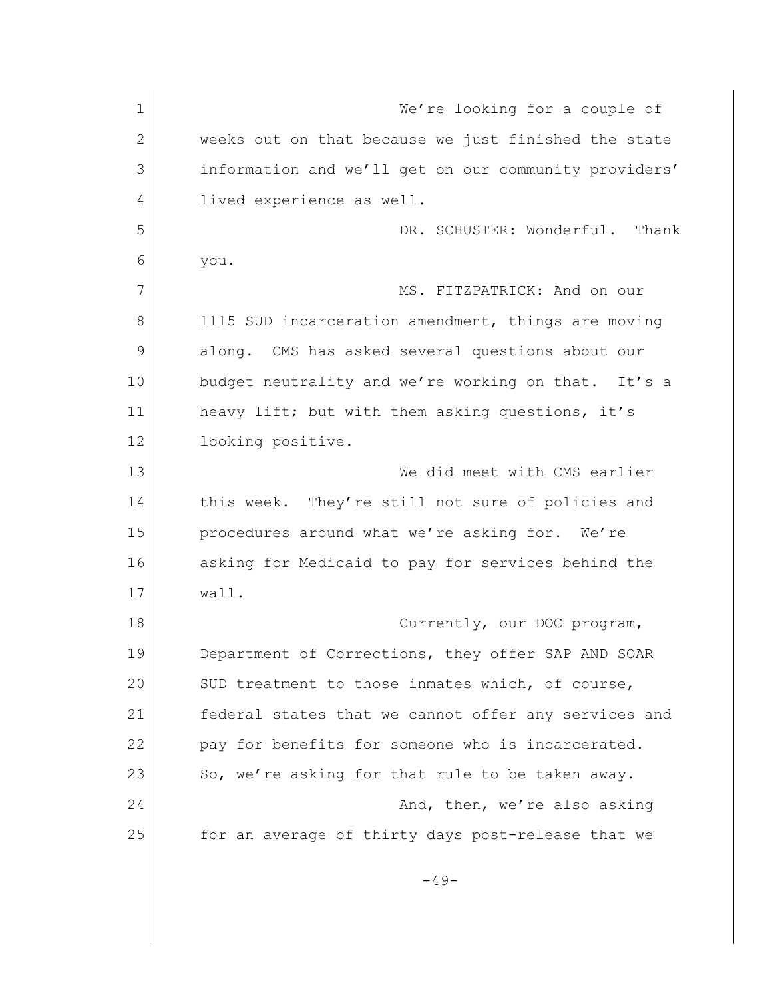1 We're looking for a couple of 2 weeks out on that because we just finished the state 3 information and we'll get on our community providers' 4 lived experience as well. 5 DR. SCHUSTER: Wonderful. Thank 6 you. 7 MS. FITZPATRICK: And on our 8 1115 SUD incarceration amendment, things are moving 9 along. CMS has asked several questions about our 10 budget neutrality and we're working on that. It's a 11 heavy lift; but with them asking questions, it's 12 looking positive. 13 We did meet with CMS earlier 14 this week. They're still not sure of policies and 15 procedures around what we're asking for. We're 16 asking for Medicaid to pay for services behind the 17 wall. 18 Currently, our DOC program, 19 Department of Corrections, they offer SAP AND SOAR 20 SUD treatment to those inmates which, of course, 21 federal states that we cannot offer any services and 22 pay for benefits for someone who is incarcerated. 23 So, we're asking for that rule to be taken away. 24 And, then, we're also asking 25 for an average of thirty days post-release that we  $-49-$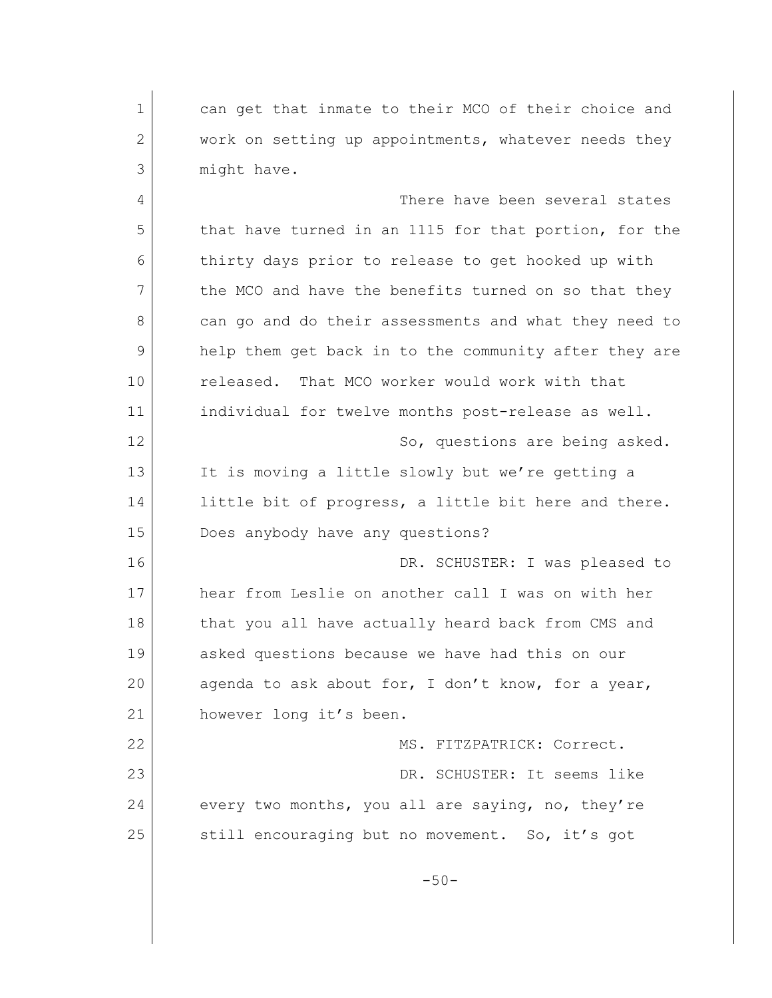1 can get that inmate to their MCO of their choice and 2 work on setting up appointments, whatever needs they 3 might have. 4 There have been several states 5 that have turned in an 1115 for that portion, for the 6 thirty days prior to release to get hooked up with 7 the MCO and have the benefits turned on so that they 8 can go and do their assessments and what they need to 9 help them get back in to the community after they are 10 released. That MCO worker would work with that 11 individual for twelve months post-release as well. 12 So, questions are being asked. 13 It is moving a little slowly but we're getting a 14 little bit of progress, a little bit here and there. 15 Does anybody have any questions? 16 DR. SCHUSTER: I was pleased to 17 hear from Leslie on another call I was on with her 18 | that you all have actually heard back from CMS and 19 asked questions because we have had this on our 20 agenda to ask about for, I don't know, for a year, 21 however long it's been. 22 MS. FITZPATRICK: Correct. 23 DR. SCHUSTER: It seems like 24 every two months, you all are saying, no, they're 25 still encouraging but no movement. So, it's got  $-50-$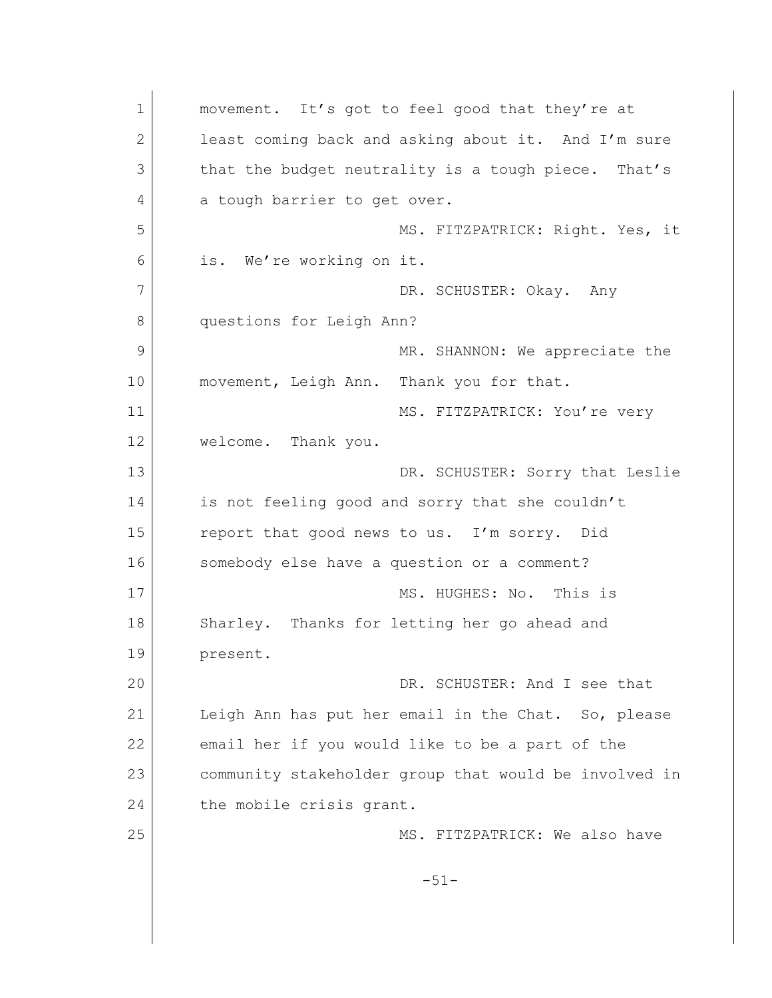1 movement. It's got to feel good that they're at 2 least coming back and asking about it. And I'm sure 3 that the budget neutrality is a tough piece. That's 4 a tough barrier to get over. 5 MS. FITZPATRICK: Right. Yes, it 6 is. We're working on it. 7 DR. SCHUSTER: Okay. Any 8 questions for Leigh Ann? 9 MR. SHANNON: We appreciate the 10 movement, Leigh Ann. Thank you for that. 11 MS. FITZPATRICK: You're very 12 welcome. Thank you. 13 DR. SCHUSTER: Sorry that Leslie 14 is not feeling good and sorry that she couldn't 15 report that good news to us. I'm sorry. Did 16 somebody else have a question or a comment? 17 MS. HUGHES: No. This is 18 Sharley. Thanks for letting her go ahead and 19 present. 20 DR. SCHUSTER: And I see that 21 Leigh Ann has put her email in the Chat. So, please 22 email her if you would like to be a part of the 23 community stakeholder group that would be involved in 24 the mobile crisis grant. 25 MS. FITZPATRICK: We also have -51-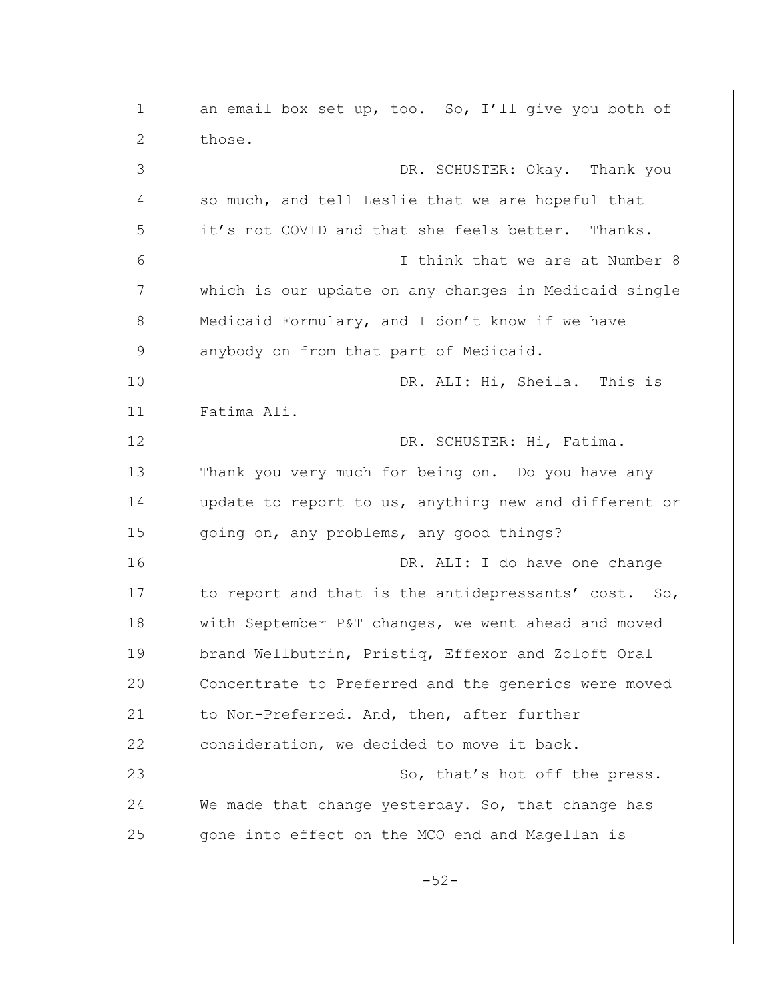| $\mathbf 1$  | an email box set up, too. So, I'll give you both of   |
|--------------|-------------------------------------------------------|
| $\mathbf{2}$ | those.                                                |
| 3            | DR. SCHUSTER: Okay. Thank you                         |
| 4            | so much, and tell Leslie that we are hopeful that     |
| 5            | it's not COVID and that she feels better. Thanks.     |
| 6            | I think that we are at Number 8                       |
| 7            | which is our update on any changes in Medicaid single |
| 8            | Medicaid Formulary, and I don't know if we have       |
| 9            | anybody on from that part of Medicaid.                |
| 10           | DR. ALI: Hi, Sheila. This is                          |
| 11           | Fatima Ali.                                           |
| 12           | DR. SCHUSTER: Hi, Fatima.                             |
| 13           | Thank you very much for being on. Do you have any     |
| 14           | update to report to us, anything new and different or |
| 15           | going on, any problems, any good things?              |
| 16           | DR. ALI: I do have one change                         |
| 17           | to report and that is the antidepressants' cost. So,  |
| 18           | with September P&T changes, we went ahead and moved   |
| 19           | brand Wellbutrin, Pristiq, Effexor and Zoloft Oral    |
| 20           | Concentrate to Preferred and the generics were moved  |
| 21           | to Non-Preferred. And, then, after further            |
| 22           | consideration, we decided to move it back.            |
| 23           | So, that's hot off the press.                         |
| 24           | We made that change yesterday. So, that change has    |
| 25           | gone into effect on the MCO end and Magellan is       |
|              | $-52-$                                                |
|              |                                                       |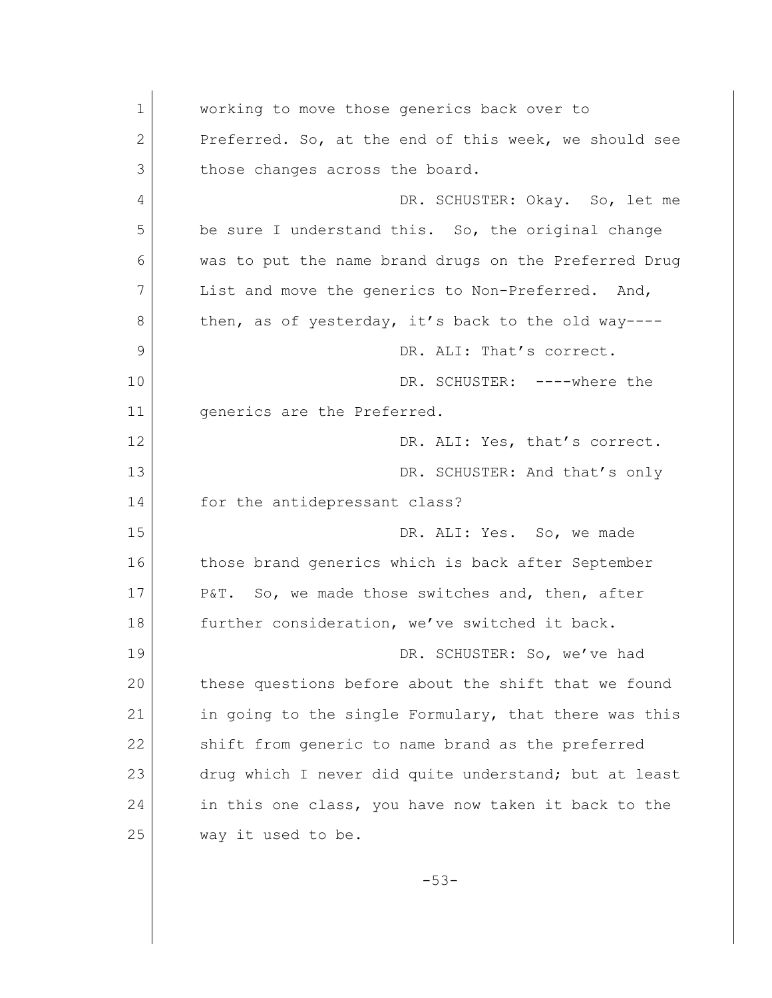1 working to move those generics back over to 2 Preferred. So, at the end of this week, we should see 3 those changes across the board. 4 DR. SCHUSTER: Okay. So, let me 5 be sure I understand this. So, the original change 6 was to put the name brand drugs on the Preferred Drug 7 List and move the generics to Non-Preferred. And, 8 then, as of yesterday, it's back to the old way----9 DR. ALI: That's correct. 10 DR. SCHUSTER: ----where the 11 qenerics are the Preferred. 12 DR. ALI: Yes, that's correct. 13 DR. SCHUSTER: And that's only 14 for the antidepressant class? 15 DR. ALI: Yes. So, we made 16 those brand generics which is back after September 17 P&T. So, we made those switches and, then, after 18 further consideration, we've switched it back. 19 | DR. SCHUSTER: So, we've had 20 these questions before about the shift that we found 21 | in going to the single Formulary, that there was this 22 shift from generic to name brand as the preferred 23 drug which I never did quite understand; but at least 24 in this one class, you have now taken it back to the 25 way it used to be.

-53-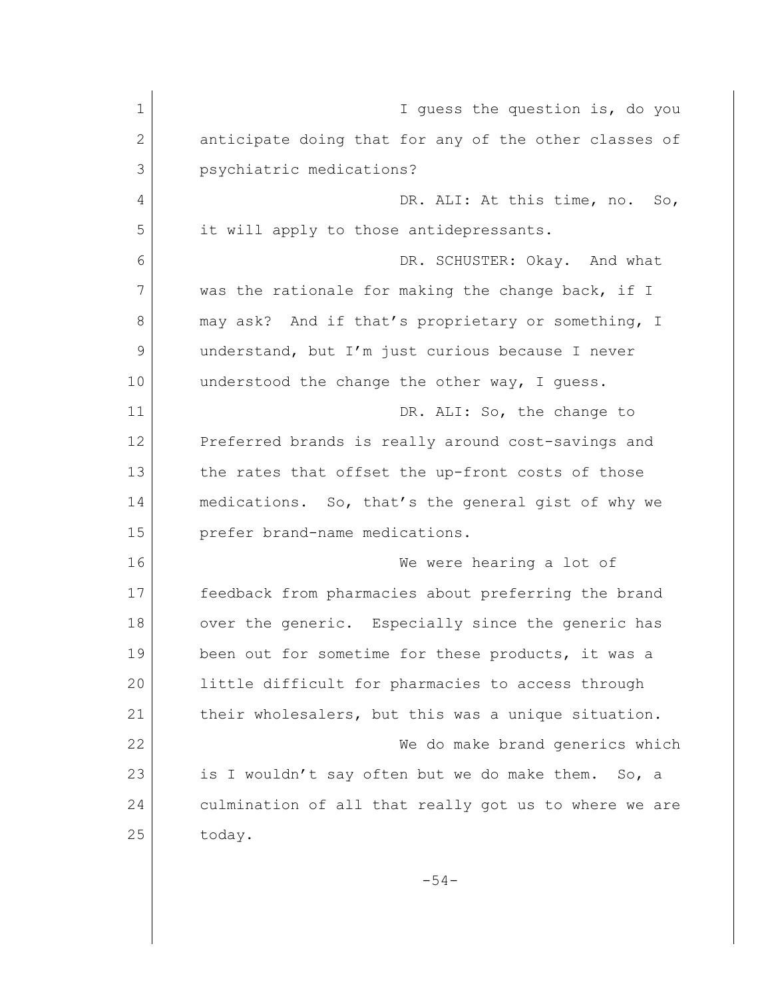| $\mathbf 1$ | I guess the question is, do you                          |
|-------------|----------------------------------------------------------|
| 2           | anticipate doing that for any of the other classes of    |
| 3           | psychiatric medications?                                 |
| 4           | DR. ALI: At this time, no.<br>$\mathop{\rm SO}\nolimits$ |
| 5           | it will apply to those antidepressants.                  |
| 6           | DR. SCHUSTER: Okay. And what                             |
| 7           | was the rationale for making the change back, if I       |
| 8           | may ask? And if that's proprietary or something, I       |
| 9           | understand, but I'm just curious because I never         |
| 10          | understood the change the other way, I quess.            |
| 11          | DR. ALI: So, the change to                               |
| 12          | Preferred brands is really around cost-savings and       |
| 13          | the rates that offset the up-front costs of those        |
| 14          | medications. So, that's the general gist of why we       |
| 15          | prefer brand-name medications.                           |
| 16          | We were hearing a lot of                                 |
| 17          | feedback from pharmacies about preferring the brand      |
| 18          | over the generic. Especially since the generic has       |
| 19          | been out for sometime for these products, it was a       |
| 20          | little difficult for pharmacies to access through        |
| 21          | their wholesalers, but this was a unique situation.      |
| 22          | We do make brand generics which                          |
| 23          | is I wouldn't say often but we do make them.<br>So, a    |
| 24          | culmination of all that really got us to where we are    |
| 25          | today.                                                   |
|             | $-54-$                                                   |
|             |                                                          |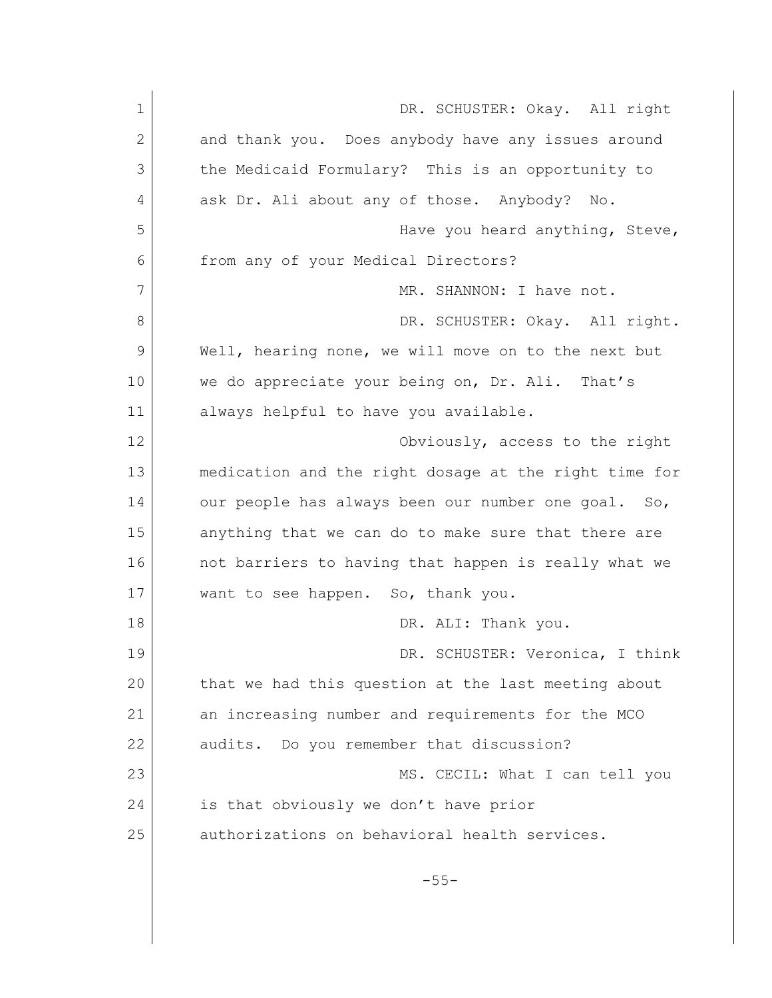| $\mathbf 1$  | DR. SCHUSTER: Okay. All right                         |
|--------------|-------------------------------------------------------|
| $\mathbf{2}$ | and thank you. Does anybody have any issues around    |
| 3            | the Medicaid Formulary? This is an opportunity to     |
| 4            | ask Dr. Ali about any of those. Anybody? No.          |
| 5            | Have you heard anything, Steve,                       |
| 6            | from any of your Medical Directors?                   |
| 7            | MR. SHANNON: I have not.                              |
| 8            | DR. SCHUSTER: Okay. All right.                        |
| 9            | Well, hearing none, we will move on to the next but   |
| 10           | we do appreciate your being on, Dr. Ali. That's       |
| 11           | always helpful to have you available.                 |
| 12           | Obviously, access to the right                        |
| 13           | medication and the right dosage at the right time for |
| 14           | our people has always been our number one goal. So,   |
| 15           | anything that we can do to make sure that there are   |
| 16           | not barriers to having that happen is really what we  |
| 17           | want to see happen. So, thank you.                    |
| 18           | DR. ALI: Thank you.                                   |
| 19           | DR. SCHUSTER: Veronica, I think                       |
| 20           | that we had this question at the last meeting about   |
| 21           | an increasing number and requirements for the MCO     |
| 22           | audits. Do you remember that discussion?              |
| 23           | MS. CECIL: What I can tell you                        |
| 24           | is that obviously we don't have prior                 |
| 25           | authorizations on behavioral health services.         |
|              | $-55-$                                                |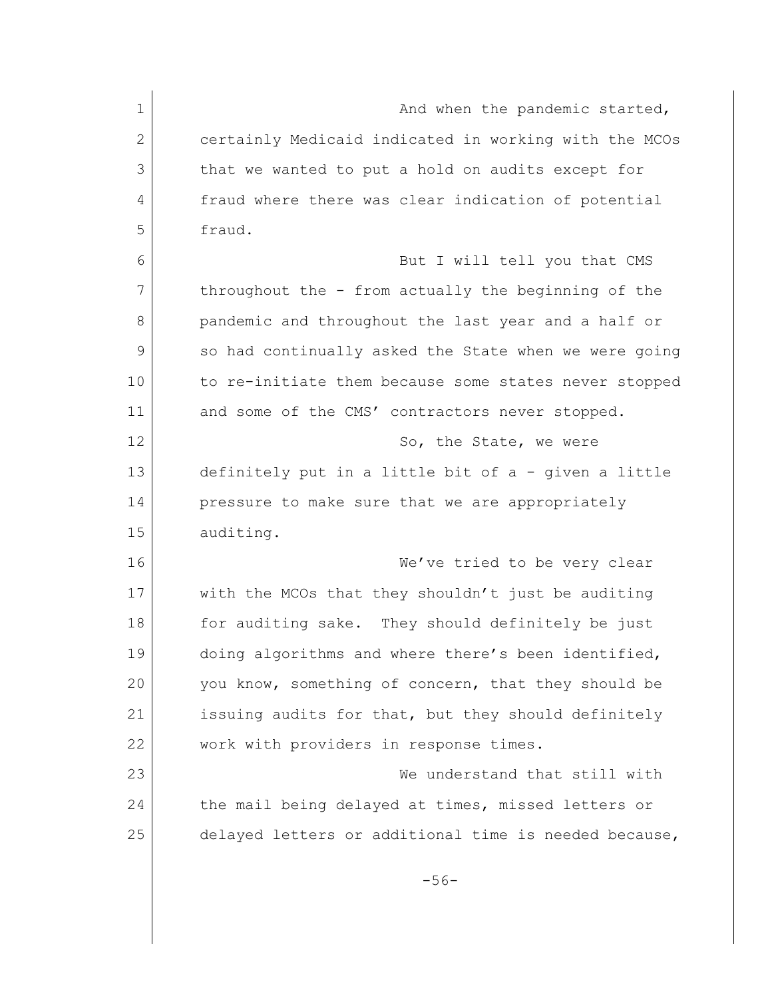| $\mathbf 1$  | And when the pandemic started,                        |
|--------------|-------------------------------------------------------|
|              |                                                       |
| $\mathbf{2}$ | certainly Medicaid indicated in working with the MCOs |
| 3            | that we wanted to put a hold on audits except for     |
| 4            | fraud where there was clear indication of potential   |
| 5            | fraud.                                                |
| 6            | But I will tell you that CMS                          |
| 7            | throughout the - from actually the beginning of the   |
| 8            | pandemic and throughout the last year and a half or   |
| 9            | so had continually asked the State when we were going |
| 10           | to re-initiate them because some states never stopped |
| 11           | and some of the CMS' contractors never stopped.       |
| 12           | So, the State, we were                                |
| 13           | definitely put in a little bit of a - given a little  |
| 14           | pressure to make sure that we are appropriately       |
| 15           | auditing.                                             |
| 16           | We've tried to be very clear                          |
| 17           | with the MCOs that they shouldn't just be auditing    |
| 18           | for auditing sake. They should definitely be just     |
| 19           | doing algorithms and where there's been identified,   |
| 20           | you know, something of concern, that they should be   |
| 21           | issuing audits for that, but they should definitely   |
| 22           | work with providers in response times.                |
| 23           | We understand that still with                         |
| 24           | the mail being delayed at times, missed letters or    |
| 25           | delayed letters or additional time is needed because, |
|              |                                                       |
|              | $-56-$                                                |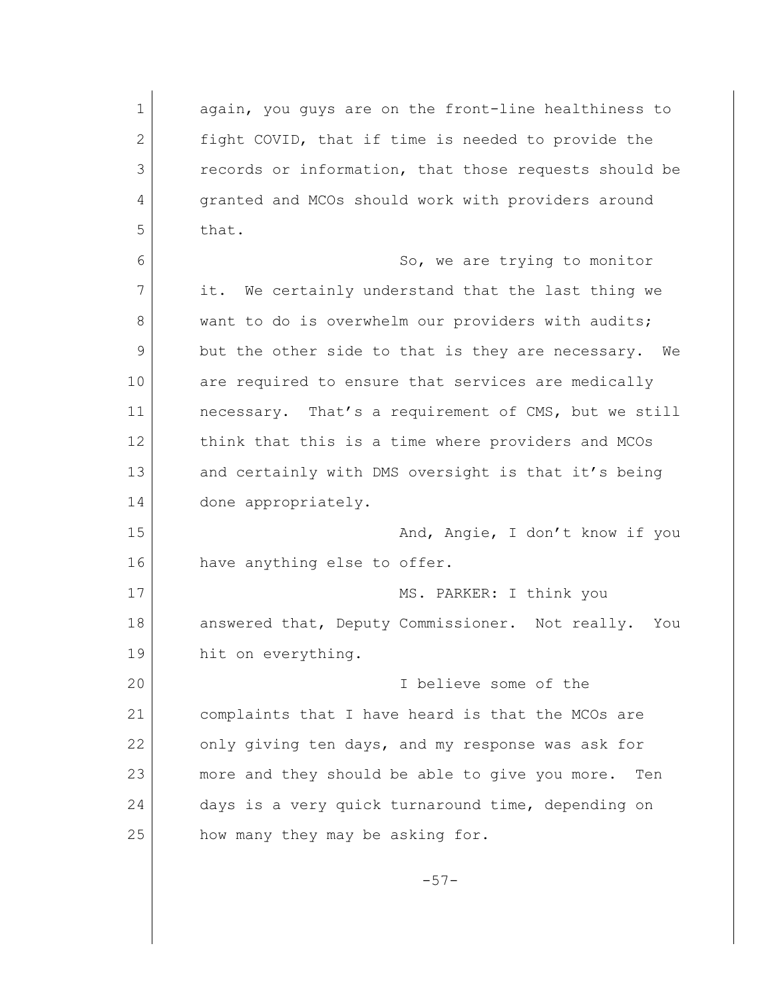1 again, you quys are on the front-line healthiness to 2 fight COVID, that if time is needed to provide the 3 records or information, that those requests should be 4 granted and MCOs should work with providers around  $5$  that. 6 So, we are trying to monitor 7 it. We certainly understand that the last thing we 8 want to do is overwhelm our providers with audits; 9 but the other side to that is they are necessary. We 10 are required to ensure that services are medically 11 necessary. That's a requirement of CMS, but we still 12 | think that this is a time where providers and MCOs 13 and certainly with DMS oversight is that it's being 14 done appropriately. 15 | Mand, Angie, I don't know if you 16 have anything else to offer. 17 MS. PARKER: I think you 18 answered that, Deputy Commissioner. Not really. You 19 hit on everything. 20 I believe some of the 21 complaints that I have heard is that the MCOs are 22 only giving ten days, and my response was ask for 23 more and they should be able to give you more. Ten 24 days is a very quick turnaround time, depending on 25 how many they may be asking for.

-57-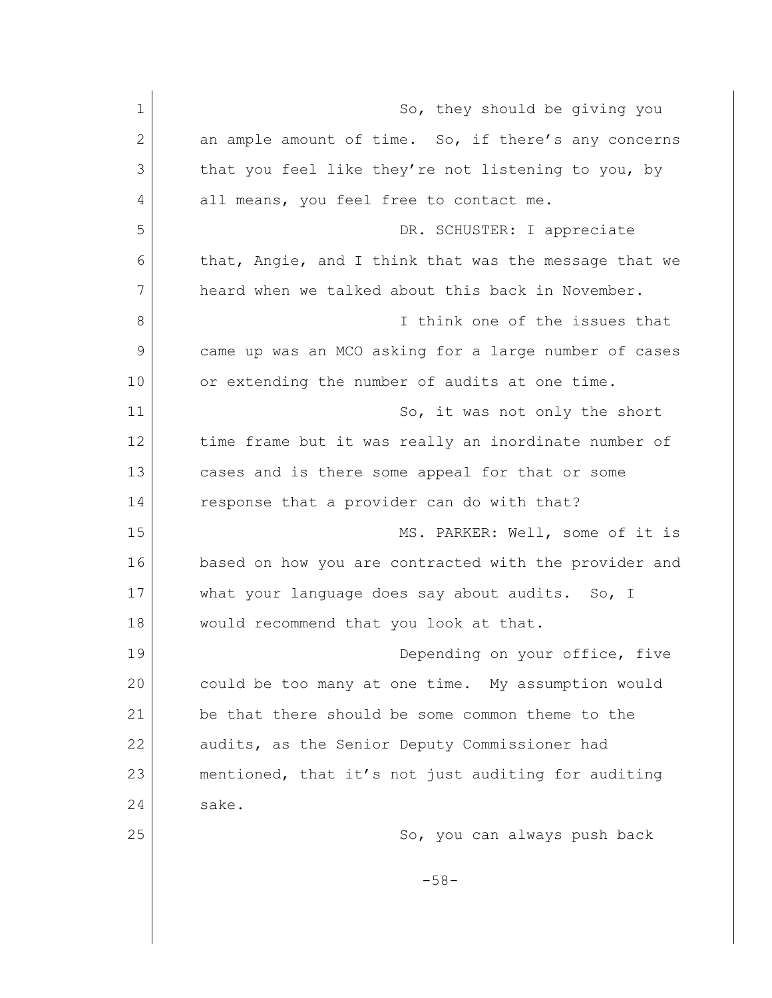| $\mathbf 1$ | So, they should be giving you                         |
|-------------|-------------------------------------------------------|
| 2           | an ample amount of time. So, if there's any concerns  |
| 3           | that you feel like they're not listening to you, by   |
| 4           | all means, you feel free to contact me.               |
| 5           | DR. SCHUSTER: I appreciate                            |
| 6           | that, Angie, and I think that was the message that we |
| 7           | heard when we talked about this back in November.     |
| 8           | I think one of the issues that                        |
| 9           | came up was an MCO asking for a large number of cases |
| 10          | or extending the number of audits at one time.        |
| 11          | So, it was not only the short                         |
| 12          | time frame but it was really an inordinate number of  |
| 13          | cases and is there some appeal for that or some       |
| 14          | response that a provider can do with that?            |
| 15          | MS. PARKER: Well, some of it is                       |
| 16          | based on how you are contracted with the provider and |
| 17          | what your language does say about audits. So, I       |
| 18          | would recommend that you look at that.                |
| 19          | Depending on your office, five                        |
| 20          | could be too many at one time. My assumption would    |
| 21          | be that there should be some common theme to the      |
| 22          | audits, as the Senior Deputy Commissioner had         |
| 23          | mentioned, that it's not just auditing for auditing   |
| 24          | sake.                                                 |
| 25          | So, you can always push back                          |
|             | $-58-$                                                |
|             |                                                       |

 $\mathsf{l}$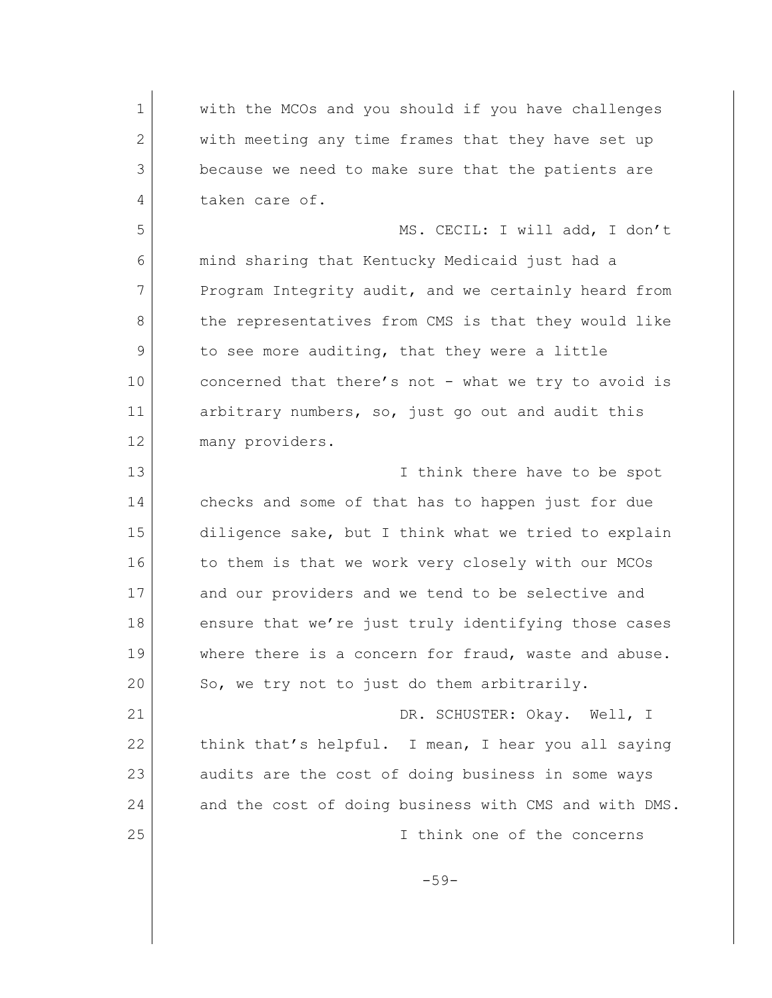1 with the MCOs and you should if you have challenges 2 with meeting any time frames that they have set up 3 because we need to make sure that the patients are 4 taken care of. 5 MS. CECIL: I will add, I don't 6 mind sharing that Kentucky Medicaid just had a 7 Program Integrity audit, and we certainly heard from 8 the representatives from CMS is that they would like 9 to see more auditing, that they were a little 10 concerned that there's not - what we try to avoid is 11 arbitrary numbers, so, just go out and audit this 12 many providers. 13 **I** think there have to be spot 14 checks and some of that has to happen just for due 15 diligence sake, but I think what we tried to explain 16 to them is that we work very closely with our MCOs 17 and our providers and we tend to be selective and 18 ensure that we're just truly identifying those cases 19 where there is a concern for fraud, waste and abuse. 20 So, we try not to just do them arbitrarily. 21 | DR. SCHUSTER: Okay. Well, I 22 | think that's helpful. I mean, I hear you all saying 23 audits are the cost of doing business in some ways 24 and the cost of doing business with CMS and with DMS. 25 I think one of the concerns -59-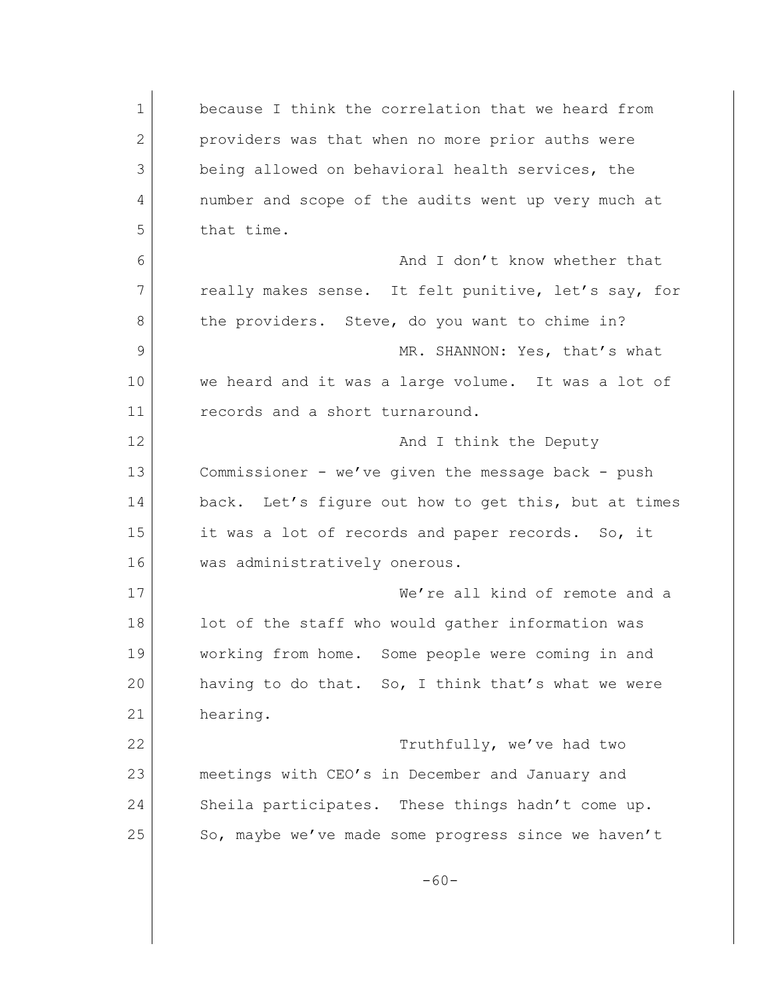1 because I think the correlation that we heard from 2 providers was that when no more prior auths were 3 being allowed on behavioral health services, the 4 number and scope of the audits went up very much at 5 that time. 6 **6** And I don't know whether that 7 really makes sense. It felt punitive, let's say, for 8 the providers. Steve, do you want to chime in? 9 MR. SHANNON: Yes, that's what 10 we heard and it was a large volume. It was a lot of 11 **records** and a short turnaround. 12 and I think the Deputy 13 Commissioner - we've given the message back - push 14 back. Let's figure out how to get this, but at times 15 it was a lot of records and paper records. So, it 16 was administratively onerous. 17 We're all kind of remote and a 18 lot of the staff who would gather information was 19 working from home. Some people were coming in and 20 having to do that. So, I think that's what we were 21 hearing. 22 Truthfully, we've had two 23 meetings with CEO's in December and January and 24 Sheila participates. These things hadn't come up. 25 So, maybe we've made some progress since we haven't -60-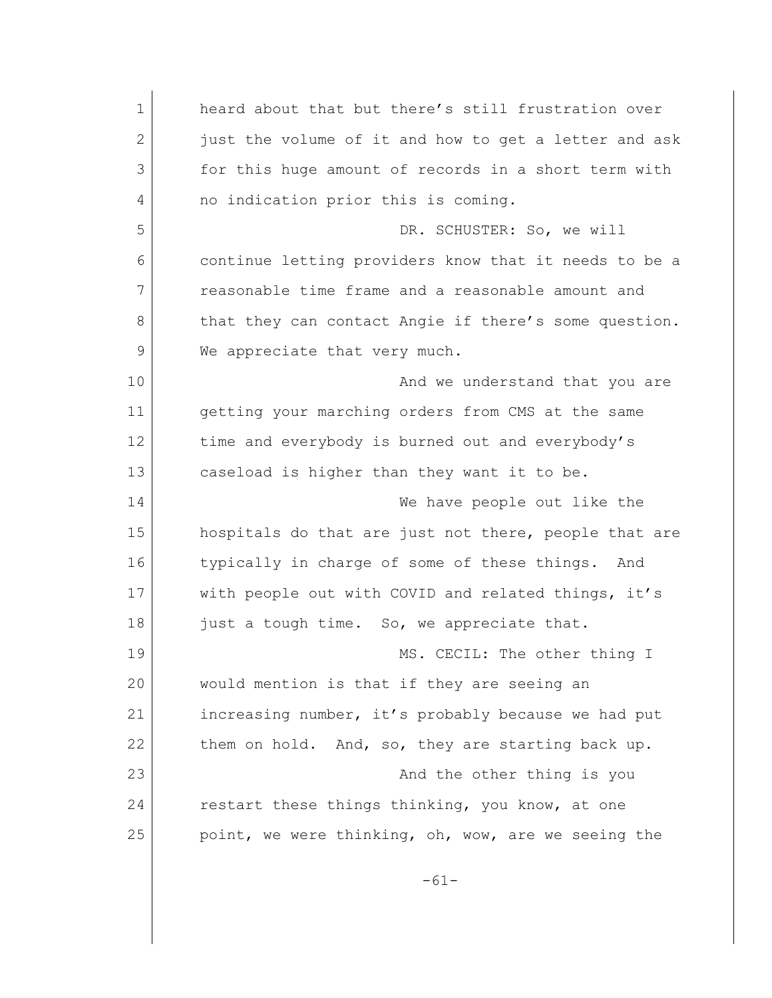| $\mathbf 1$ | heard about that but there's still frustration over   |
|-------------|-------------------------------------------------------|
| 2           | just the volume of it and how to get a letter and ask |
| 3           | for this huge amount of records in a short term with  |
| 4           | no indication prior this is coming.                   |
| 5           | DR. SCHUSTER: So, we will                             |
| 6           | continue letting providers know that it needs to be a |
| 7           | reasonable time frame and a reasonable amount and     |
| 8           | that they can contact Angie if there's some question. |
| 9           | We appreciate that very much.                         |
| 10          | And we understand that you are                        |
| 11          | getting your marching orders from CMS at the same     |
| 12          | time and everybody is burned out and everybody's      |
| 13          | caseload is higher than they want it to be.           |
| 14          | We have people out like the                           |
| 15          | hospitals do that are just not there, people that are |
| 16          | typically in charge of some of these things.<br>And   |
| 17          | with people out with COVID and related things, it's   |
| 18          | just a tough time. So, we appreciate that.            |
| 19          | MS. CECIL: The other thing I                          |
| 20          | would mention is that if they are seeing an           |
| 21          | increasing number, it's probably because we had put   |
| 22          | them on hold. And, so, they are starting back up.     |
| 23          | And the other thing is you                            |
| 24          | restart these things thinking, you know, at one       |
| 25          | point, we were thinking, oh, wow, are we seeing the   |
|             | $-61-$                                                |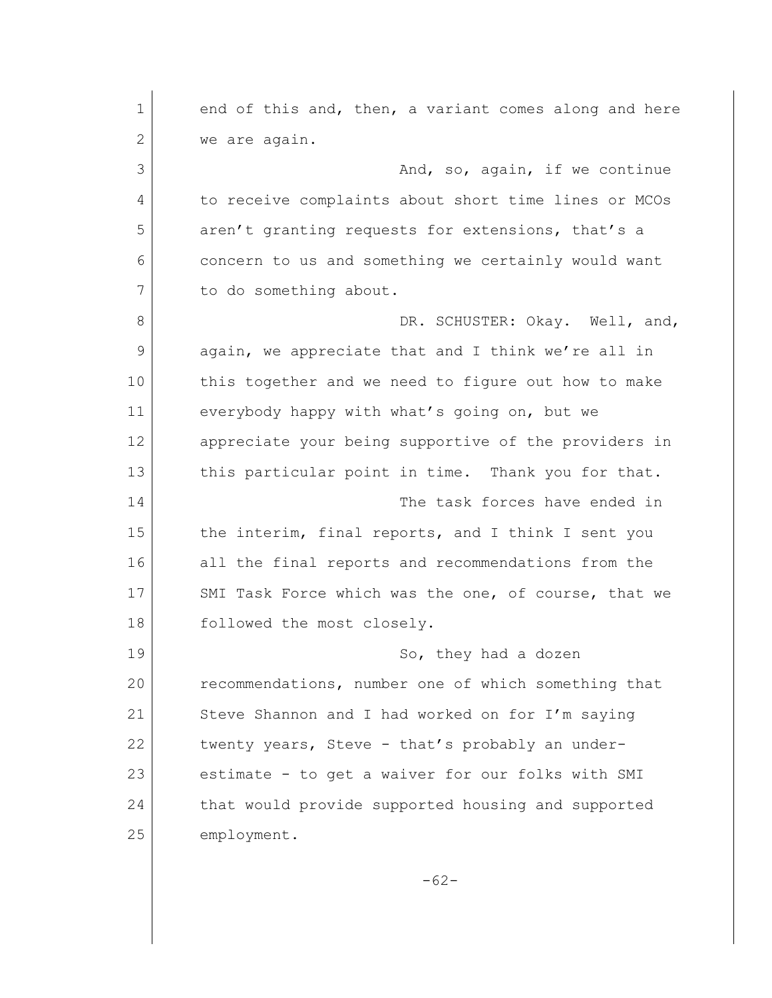1 end of this and, then, a variant comes along and here 2 we are again. 3 and, so, again, if we continue 4 to receive complaints about short time lines or MCOs 5 aren't granting requests for extensions, that's a 6 concern to us and something we certainly would want 7 to do something about. 8 DR. SCHUSTER: Okay. Well, and, 9 again, we appreciate that and I think we're all in 10 this together and we need to figure out how to make 11 everybody happy with what's going on, but we 12 appreciate your being supportive of the providers in 13 this particular point in time. Thank you for that. 14 The task forces have ended in 15 the interim, final reports, and I think I sent you 16 all the final reports and recommendations from the 17 SMI Task Force which was the one, of course, that we 18 followed the most closely. 19 So, they had a dozen 20 recommendations, number one of which something that 21 Steve Shannon and I had worked on for I'm saying 22 twenty years, Steve - that's probably an under-23 estimate - to get a waiver for our folks with SMI 24 that would provide supported housing and supported 25 employment. -62-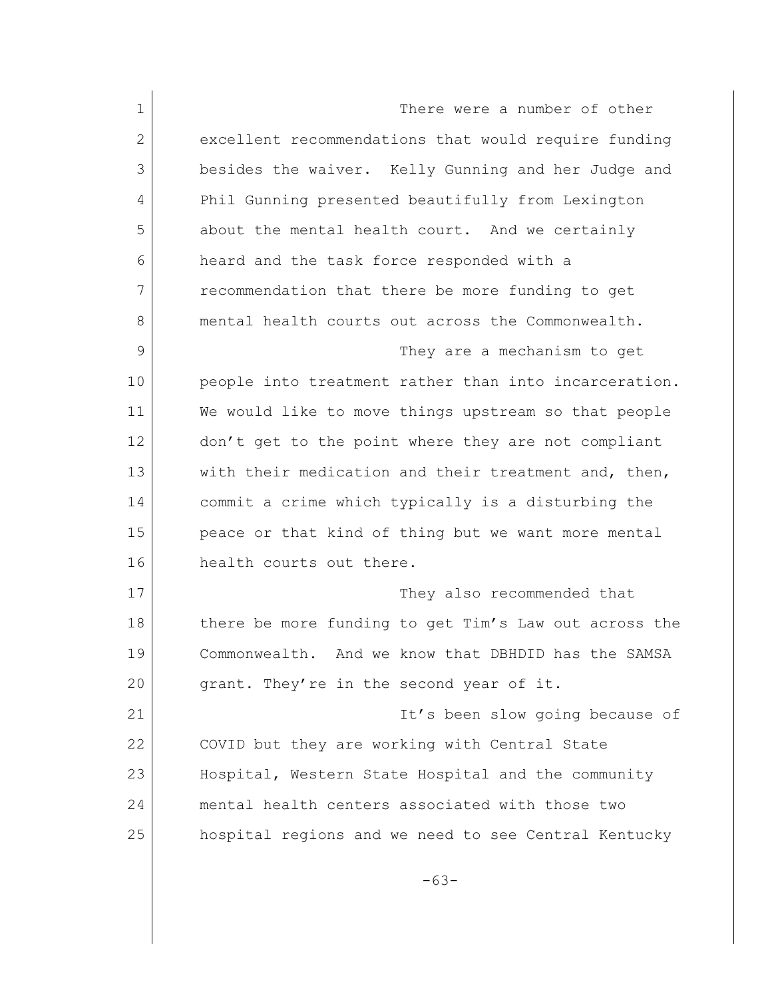1 There were a number of other 2 excellent recommendations that would require funding 3 besides the waiver. Kelly Gunning and her Judge and 4 Phil Gunning presented beautifully from Lexington 5 about the mental health court. And we certainly 6 heard and the task force responded with a 7 recommendation that there be more funding to get 8 mental health courts out across the Commonwealth. 9 They are a mechanism to get 10 | people into treatment rather than into incarceration. 11 We would like to move things upstream so that people 12 don't get to the point where they are not compliant 13 with their medication and their treatment and, then, 14 commit a crime which typically is a disturbing the 15 peace or that kind of thing but we want more mental 16 health courts out there. 17 They also recommended that 18 there be more funding to get Tim's Law out across the 19 Commonwealth. And we know that DBHDID has the SAMSA 20 grant. They're in the second year of it. 21 It's been slow going because of 22 COVID but they are working with Central State 23 Hospital, Western State Hospital and the community 24 mental health centers associated with those two 25 hospital regions and we need to see Central Kentucky -63-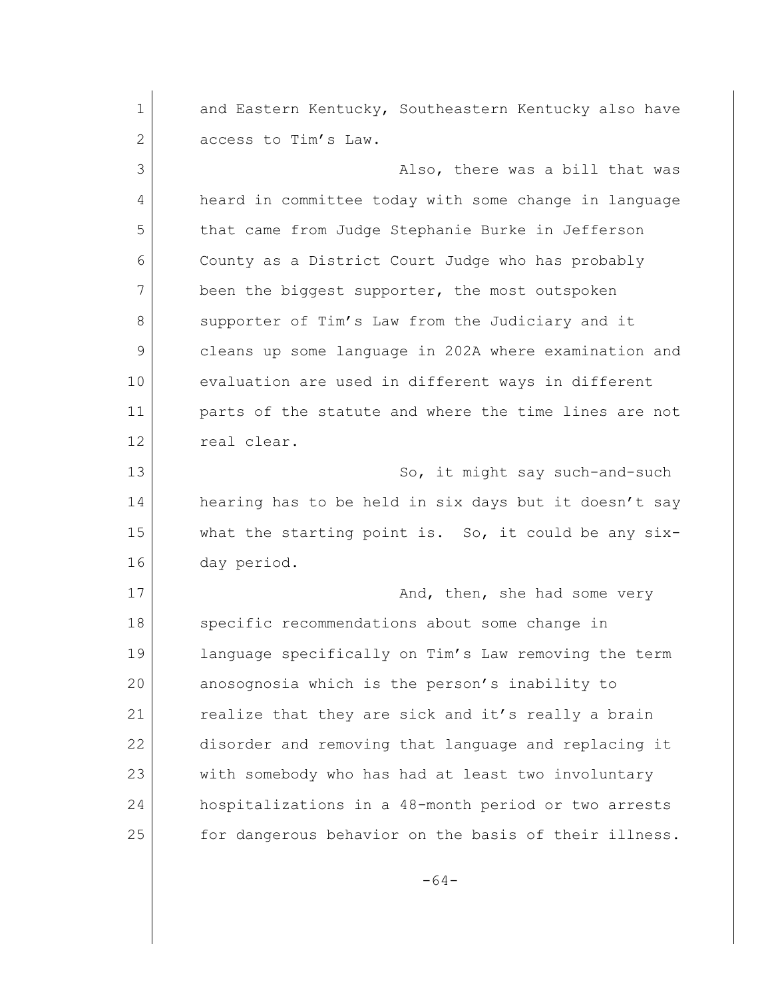1 and Eastern Kentucky, Southeastern Kentucky also have 2 access to Tim's Law. 3 Also, there was a bill that was 4 heard in committee today with some change in language 5 that came from Judge Stephanie Burke in Jefferson 6 County as a District Court Judge who has probably 7 been the biggest supporter, the most outspoken 8 supporter of Tim's Law from the Judiciary and it 9 cleans up some language in 202A where examination and 10 evaluation are used in different ways in different 11 parts of the statute and where the time lines are not 12 real clear. 13 So, it might say such-and-such 14 hearing has to be held in six days but it doesn't say 15 what the starting point is. So, it could be any six-16 day period. 17 and, then, she had some very 18 specific recommendations about some change in 19 language specifically on Tim's Law removing the term 20 anosognosia which is the person's inability to 21 realize that they are sick and it's really a brain 22 disorder and removing that language and replacing it 23 with somebody who has had at least two involuntary 24 hospitalizations in a 48-month period or two arrests 25 for dangerous behavior on the basis of their illness.

-64-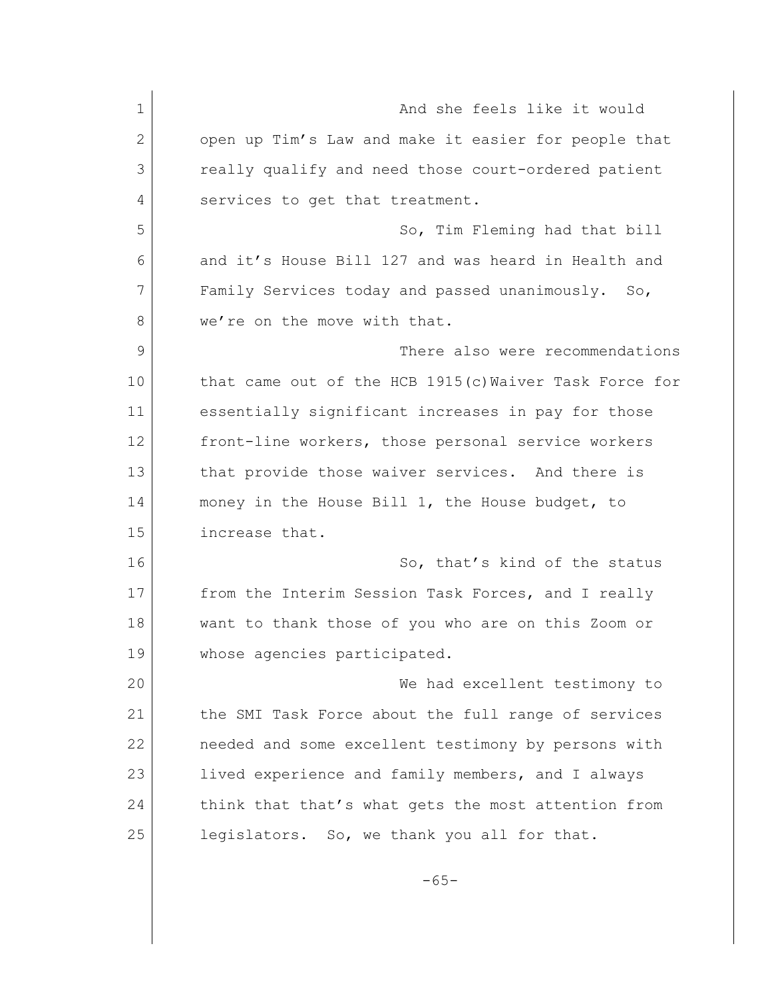1 and she feels like it would 2 open up Tim's Law and make it easier for people that 3 really qualify and need those court-ordered patient 4 services to get that treatment. 5 So, Tim Fleming had that bill 6 and it's House Bill 127 and was heard in Health and 7 Family Services today and passed unanimously. So, 8 we're on the move with that. 9 There also were recommendations 10 that came out of the HCB 1915(c) Waiver Task Force for 11 essentially significant increases in pay for those 12 | front-line workers, those personal service workers 13 that provide those waiver services. And there is 14 money in the House Bill 1, the House budget, to 15 increase that. 16 So, that's kind of the status 17 from the Interim Session Task Forces, and I really 18 want to thank those of you who are on this Zoom or 19 whose agencies participated. 20 We had excellent testimony to 21 the SMI Task Force about the full range of services 22 needed and some excellent testimony by persons with 23 lived experience and family members, and I always 24 think that that's what gets the most attention from 25 legislators. So, we thank you all for that.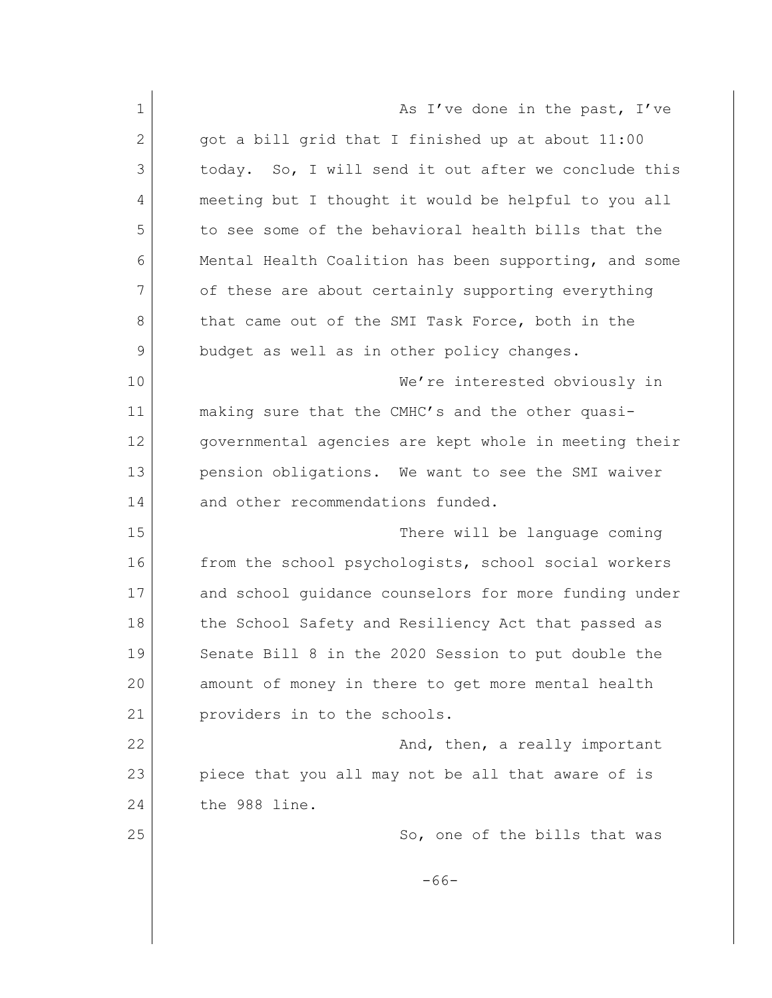1 As I've done in the past, I've  $2$  got a bill grid that I finished up at about  $11:00$ 3 today. So, I will send it out after we conclude this 4 meeting but I thought it would be helpful to you all 5 to see some of the behavioral health bills that the 6 Mental Health Coalition has been supporting, and some 7 of these are about certainly supporting everything 8 that came out of the SMI Task Force, both in the 9 budget as well as in other policy changes. 10 We're interested obviously in 11 making sure that the CMHC's and the other quasi-12 governmental agencies are kept whole in meeting their 13 pension obligations. We want to see the SMI waiver 14 and other recommendations funded. 15 There will be language coming 16 from the school psychologists, school social workers 17 and school quidance counselors for more funding under 18 the School Safety and Resiliency Act that passed as 19 Senate Bill 8 in the 2020 Session to put double the 20 amount of money in there to get more mental health 21 providers in to the schools. 22 And, then, a really important 23 piece that you all may not be all that aware of is 24 the 988 line. 25 So, one of the bills that was -66-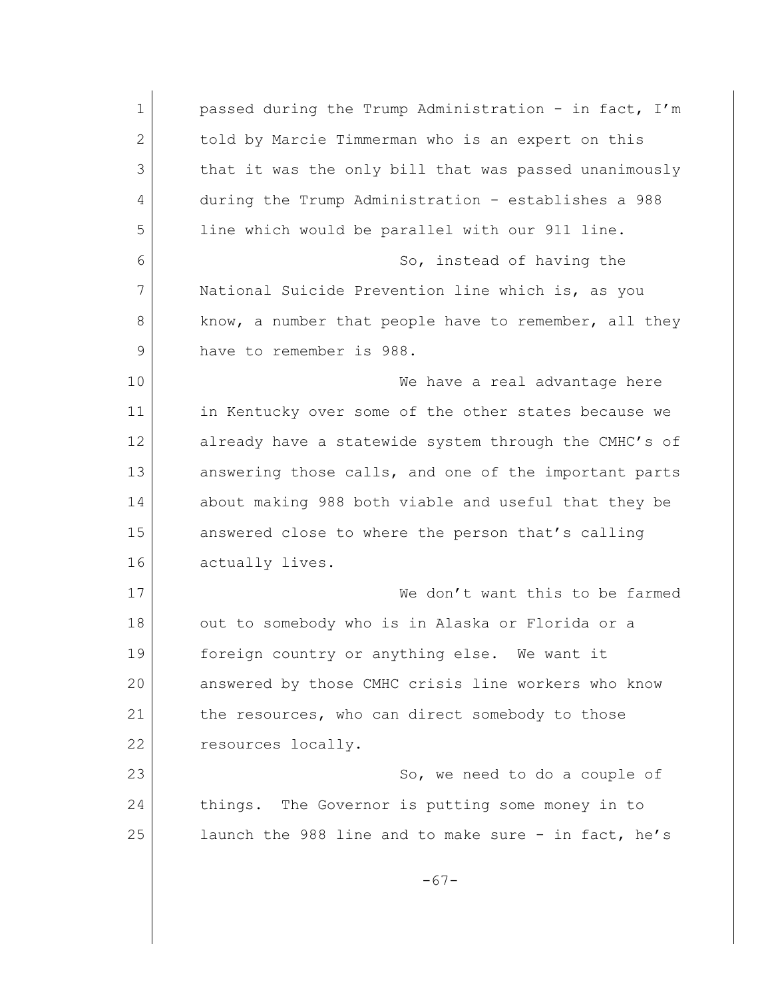1 passed during the Trump Administration - in fact, I'm 2 told by Marcie Timmerman who is an expert on this 3 that it was the only bill that was passed unanimously 4 during the Trump Administration - establishes a 988 5 line which would be parallel with our 911 line. 6 So, instead of having the 7 National Suicide Prevention line which is, as you 8 know, a number that people have to remember, all they 9 have to remember is 988. 10 We have a real advantage here 11 in Kentucky over some of the other states because we 12 already have a statewide system through the CMHC's of 13 answering those calls, and one of the important parts 14 about making 988 both viable and useful that they be 15 answered close to where the person that's calling 16 actually lives. 17 We don't want this to be farmed 18 out to somebody who is in Alaska or Florida or a 19 foreign country or anything else. We want it 20 answered by those CMHC crisis line workers who know 21 the resources, who can direct somebody to those 22 resources locally. 23 So, we need to do a couple of 24 things. The Governor is putting some money in to 25 launch the 988 line and to make sure - in fact, he's -67-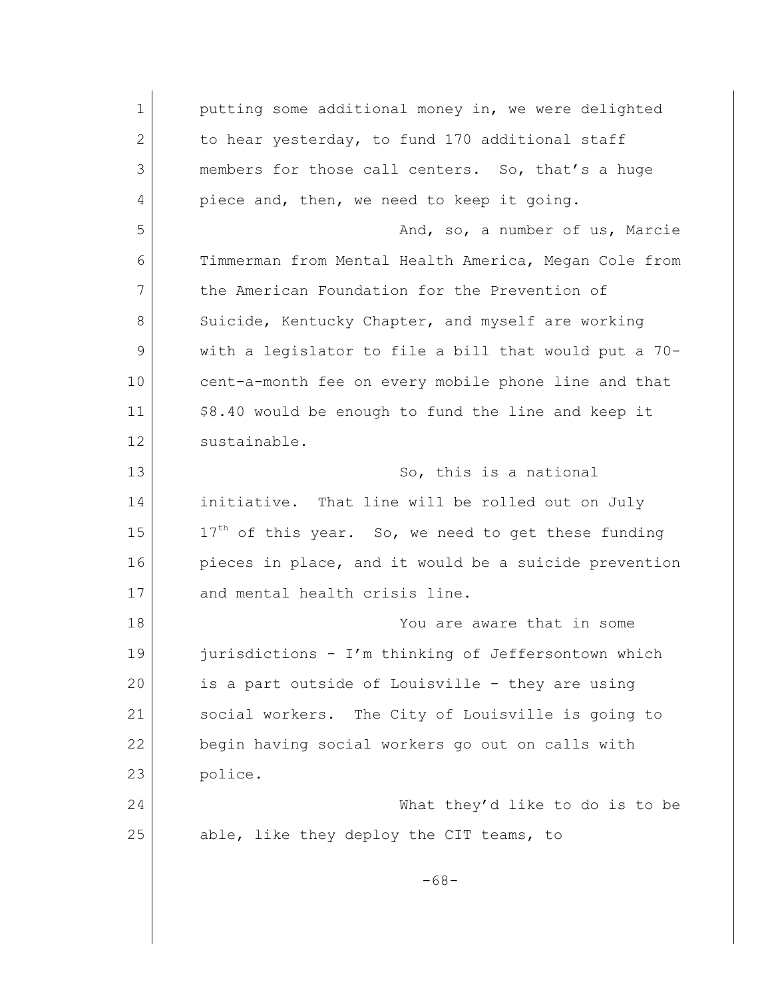1 putting some additional money in, we were delighted 2 to hear yesterday, to fund 170 additional staff 3 members for those call centers. So, that's a huge 4 piece and, then, we need to keep it going. 5 And, so, a number of us, Marcie 6 Timmerman from Mental Health America, Megan Cole from 7 the American Foundation for the Prevention of 8 Suicide, Kentucky Chapter, and myself are working 9 with a legislator to file a bill that would put a 70- 10 cent-a-month fee on every mobile phone line and that 11 | \$8.40 would be enough to fund the line and keep it 12 sustainable. 13 So, this is a national 14 initiative. That line will be rolled out on July  $15$  17<sup>th</sup> of this year. So, we need to get these funding 16 pieces in place, and it would be a suicide prevention 17 and mental health crisis line. 18 You are aware that in some 19 **jurisdictions - I'm thinking of Jeffersontown which** 20 is a part outside of Louisville - they are using 21 Social workers. The City of Louisville is going to 22 begin having social workers go out on calls with 23 police. 24 What they'd like to do is to be 25 able, like they deploy the CIT teams, to -68-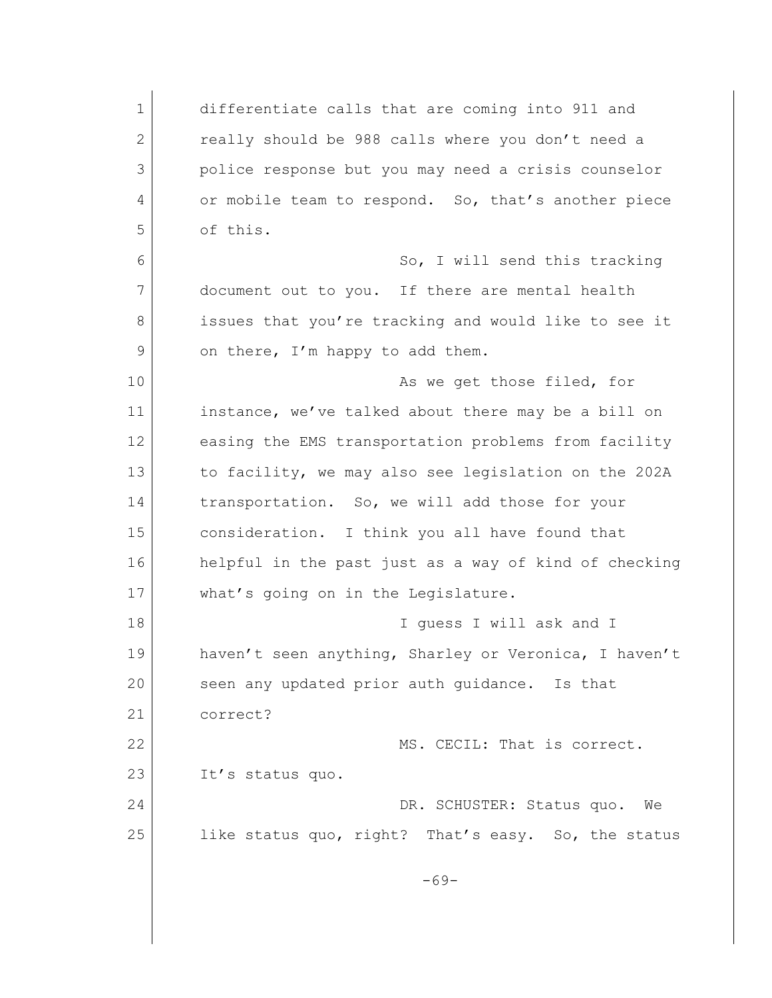1 differentiate calls that are coming into 911 and 2 really should be 988 calls where you don't need a 3 police response but you may need a crisis counselor 4 or mobile team to respond. So, that's another piece 5 of this. 6 So, I will send this tracking 7 document out to you. If there are mental health 8 issues that you're tracking and would like to see it 9 on there, I'm happy to add them. 10 as we get those filed, for 11 instance, we've talked about there may be a bill on 12 easing the EMS transportation problems from facility 13 to facility, we may also see legislation on the 202A 14 transportation. So, we will add those for your 15 consideration. I think you all have found that 16 helpful in the past just as a way of kind of checking 17 what's going on in the Legislature. 18 I guess I will ask and I 19 haven't seen anything, Sharley or Veronica, I haven't 20 seen any updated prior auth quidance. Is that 21 correct? 22 MS. CECIL: That is correct. 23 It's status quo. 24 DR. SCHUSTER: Status quo. We 25 like status quo, right? That's easy. So, the status -69-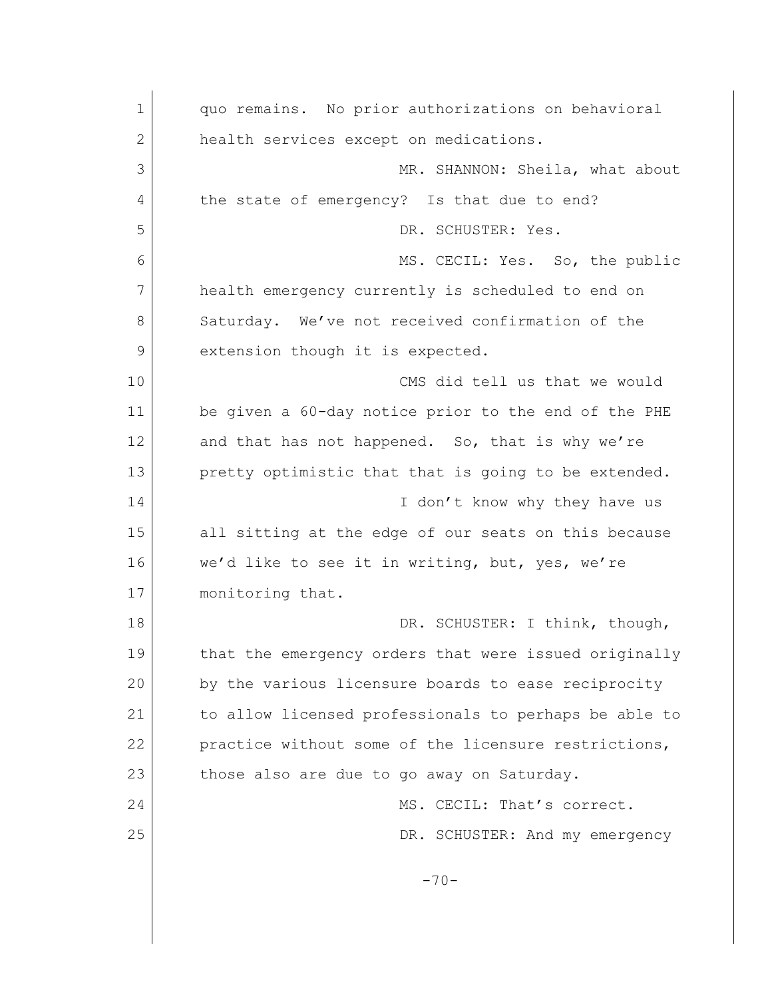1 quo remains. No prior authorizations on behavioral 2 health services except on medications. 3 MR. SHANNON: Sheila, what about 4 the state of emergency? Is that due to end? 5 DR. SCHUSTER: Yes. 6 MS. CECIL: Yes. So, the public 7 health emergency currently is scheduled to end on 8 Saturday. We've not received confirmation of the 9 extension though it is expected. 10 CMS did tell us that we would 11 be given a 60-day notice prior to the end of the PHE 12 and that has not happened. So, that is why we're 13 pretty optimistic that that is going to be extended. 14 I don't know why they have us 15 all sitting at the edge of our seats on this because 16 we'd like to see it in writing, but, yes, we're 17 monitoring that. 18 DR. SCHUSTER: I think, though, 19 that the emergency orders that were issued originally 20 by the various licensure boards to ease reciprocity 21 | to allow licensed professionals to perhaps be able to 22 practice without some of the licensure restrictions, 23 those also are due to go away on Saturday. 24 MS. CECIL: That's correct. 25 DR. SCHUSTER: And my emergency  $-70-$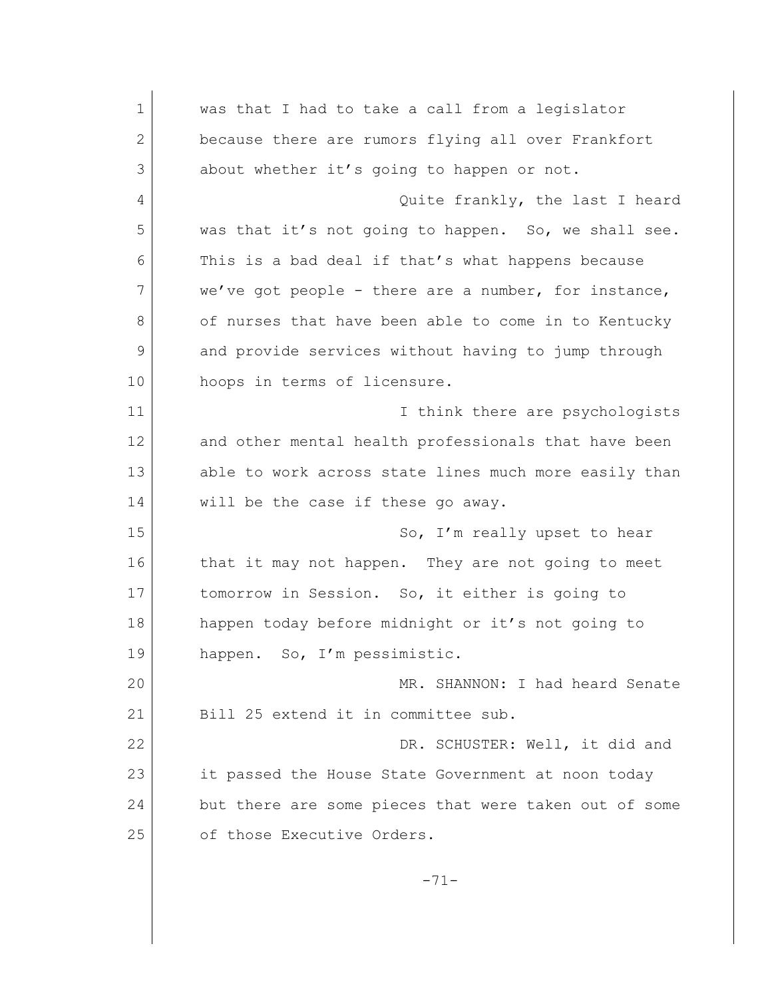1 was that I had to take a call from a legislator 2 because there are rumors flying all over Frankfort 3 about whether it's going to happen or not. 4 Quite frankly, the last I heard 5 was that it's not going to happen. So, we shall see. 6 This is a bad deal if that's what happens because 7 we've got people - there are a number, for instance, 8 of nurses that have been able to come in to Kentucky 9 and provide services without having to jump through 10 hoops in terms of licensure. 11 **I** I think there are psychologists 12 and other mental health professionals that have been 13 able to work across state lines much more easily than 14 will be the case if these go away. 15 So, I'm really upset to hear 16 that it may not happen. They are not going to meet 17 tomorrow in Session. So, it either is going to 18 happen today before midnight or it's not going to 19 happen. So, I'm pessimistic. 20 MR. SHANNON: I had heard Senate 21 Bill 25 extend it in committee sub. 22 DR. SCHUSTER: Well, it did and 23 it passed the House State Government at noon today 24 but there are some pieces that were taken out of some 25 of those Executive Orders. -71-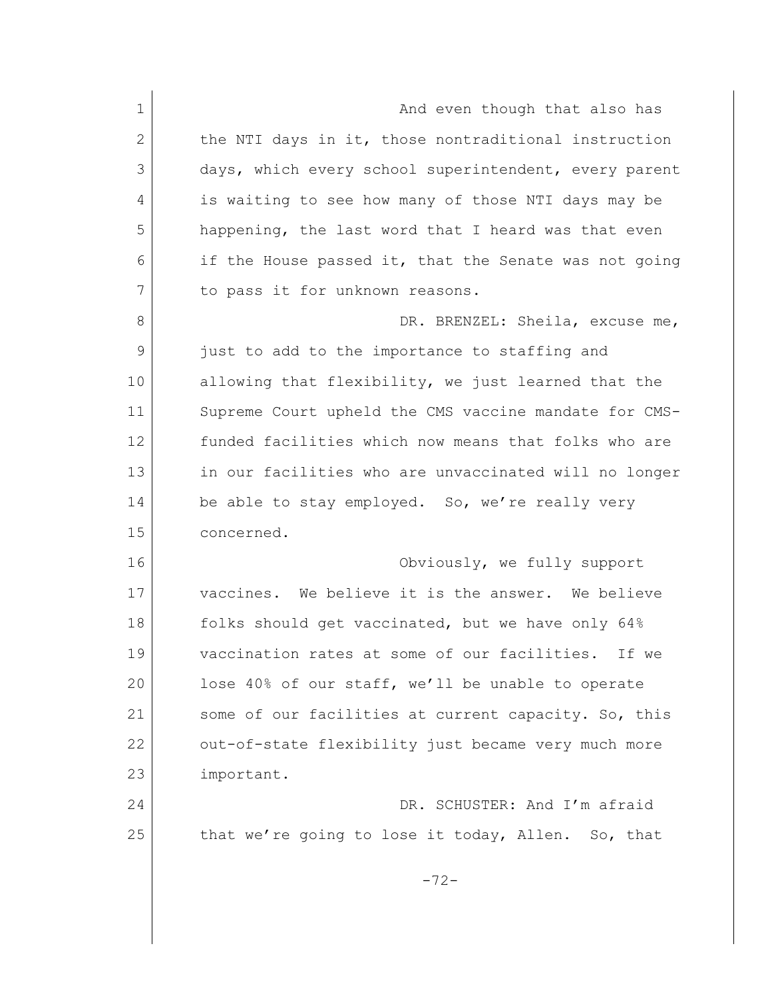| $\mathbf 1$    | And even though that also has                         |
|----------------|-------------------------------------------------------|
| $\mathbf{2}$   | the NTI days in it, those nontraditional instruction  |
| 3              | days, which every school superintendent, every parent |
| 4              | is waiting to see how many of those NTI days may be   |
| 5              | happening, the last word that I heard was that even   |
| 6              | if the House passed it, that the Senate was not going |
| 7              | to pass it for unknown reasons.                       |
| 8              | DR. BRENZEL: Sheila, excuse me,                       |
| $\overline{9}$ | just to add to the importance to staffing and         |
| 10             | allowing that flexibility, we just learned that the   |
| 11             | Supreme Court upheld the CMS vaccine mandate for CMS- |
| 12             | funded facilities which now means that folks who are  |
| 13             | in our facilities who are unvaccinated will no longer |
| 14             | be able to stay employed. So, we're really very       |
| 15             | concerned.                                            |
| 16             | Obviously, we fully support                           |
| 17             | vaccines. We believe it is the answer. We believe     |
| 18             | folks should get vaccinated, but we have only 64%     |
| 19             | vaccination rates at some of our facilities. If we    |
| 20             | lose 40% of our staff, we'll be unable to operate     |
| 21             | some of our facilities at current capacity. So, this  |
| 22             | out-of-state flexibility just became very much more   |
| 23             | important.                                            |
| 24             | DR. SCHUSTER: And I'm afraid                          |
| 25             | that we're going to lose it today, Allen. So, that    |
|                |                                                       |
|                | $-72-$                                                |
|                |                                                       |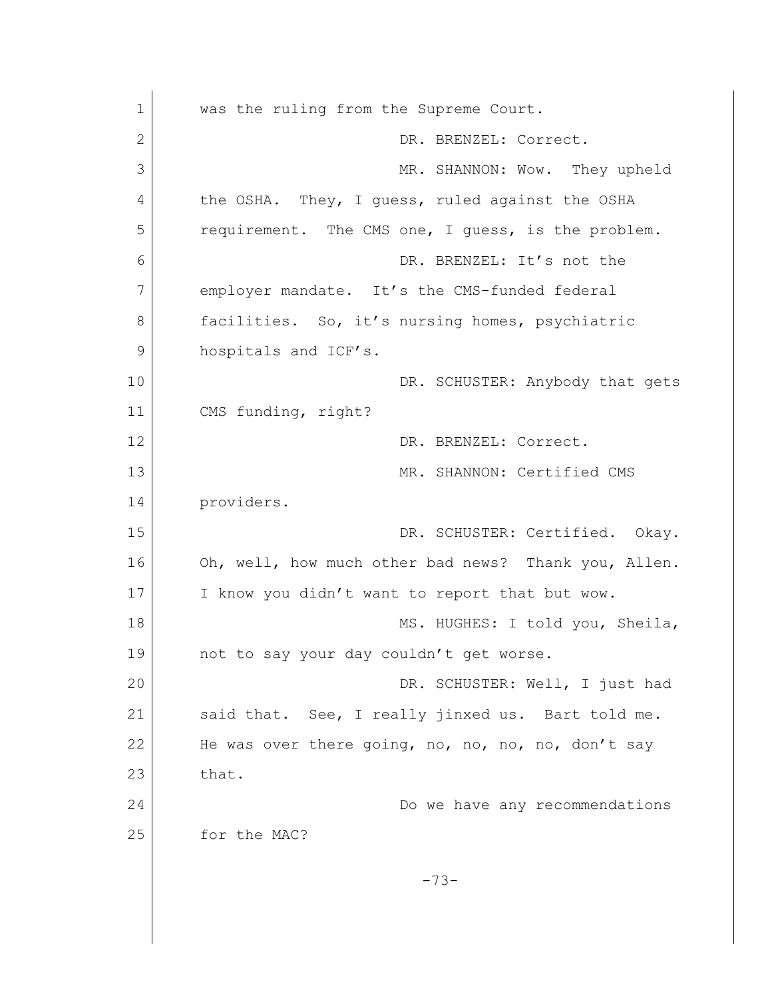1 was the ruling from the Supreme Court. 2 DR. BRENZEL: Correct. 3 MR. SHANNON: Wow. They upheld 4 the OSHA. They, I guess, ruled against the OSHA 5 requirement. The CMS one, I quess, is the problem. 6 DR. BRENZEL: It's not the 7 employer mandate. It's the CMS-funded federal 8 facilities. So, it's nursing homes, psychiatric 9 hospitals and ICF's. 10 DR. SCHUSTER: Anybody that gets 11 CMS funding, right? 12 DR. BRENZEL: Correct. 13 MR. SHANNON: Certified CMS 14 providers. 15 DR. SCHUSTER: Certified. Okay. 16 Oh, well, how much other bad news? Thank you, Allen. 17 I know you didn't want to report that but wow. 18 MS. HUGHES: I told you, Sheila, 19 not to say your day couldn't get worse. 20 DR. SCHUSTER: Well, I just had 21 Said that. See, I really jinxed us. Bart told me. 22 He was over there going, no, no, no, no, don't say  $23$  that. 24 Do we have any recommendations 25 for the MAC? -73-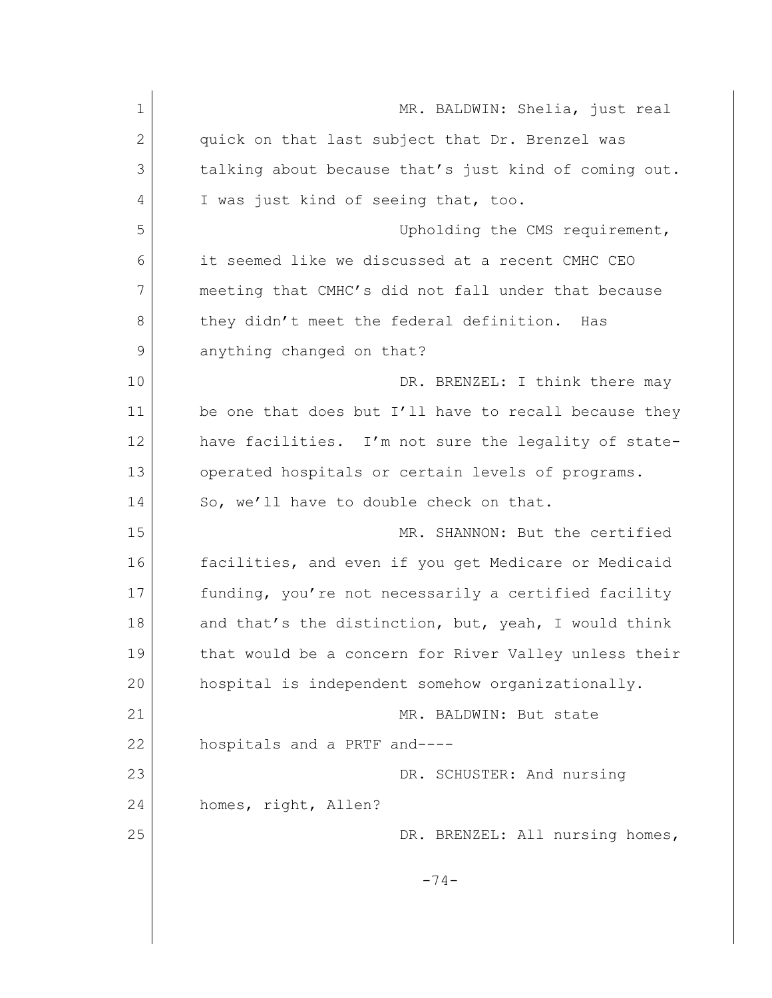| $\mathbf 1$ | MR. BALDWIN: Shelia, just real                        |
|-------------|-------------------------------------------------------|
| 2           | quick on that last subject that Dr. Brenzel was       |
| 3           | talking about because that's just kind of coming out. |
| 4           | I was just kind of seeing that, too.                  |
| 5           | Upholding the CMS requirement,                        |
| 6           | it seemed like we discussed at a recent CMHC CEO      |
| 7           | meeting that CMHC's did not fall under that because   |
| 8           | they didn't meet the federal definition. Has          |
| 9           | anything changed on that?                             |
| 10          | DR. BRENZEL: I think there may                        |
| 11          | be one that does but I'll have to recall because they |
| 12          | have facilities. I'm not sure the legality of state-  |
| 13          | operated hospitals or certain levels of programs.     |
| 14          | So, we'll have to double check on that.               |
| 15          | MR. SHANNON: But the certified                        |
| 16          | facilities, and even if you get Medicare or Medicaid  |
| 17          | funding, you're not necessarily a certified facility  |
| 18          | and that's the distinction, but, yeah, I would think  |
| 19          | that would be a concern for River Valley unless their |
| 20          | hospital is independent somehow organizationally.     |
| 21          | MR. BALDWIN: But state                                |
| 22          | hospitals and a PRTF and----                          |
| 23          | DR. SCHUSTER: And nursing                             |
| 24          | homes, right, Allen?                                  |
| 25          | DR. BRENZEL: All nursing homes,                       |
|             | $-74-$                                                |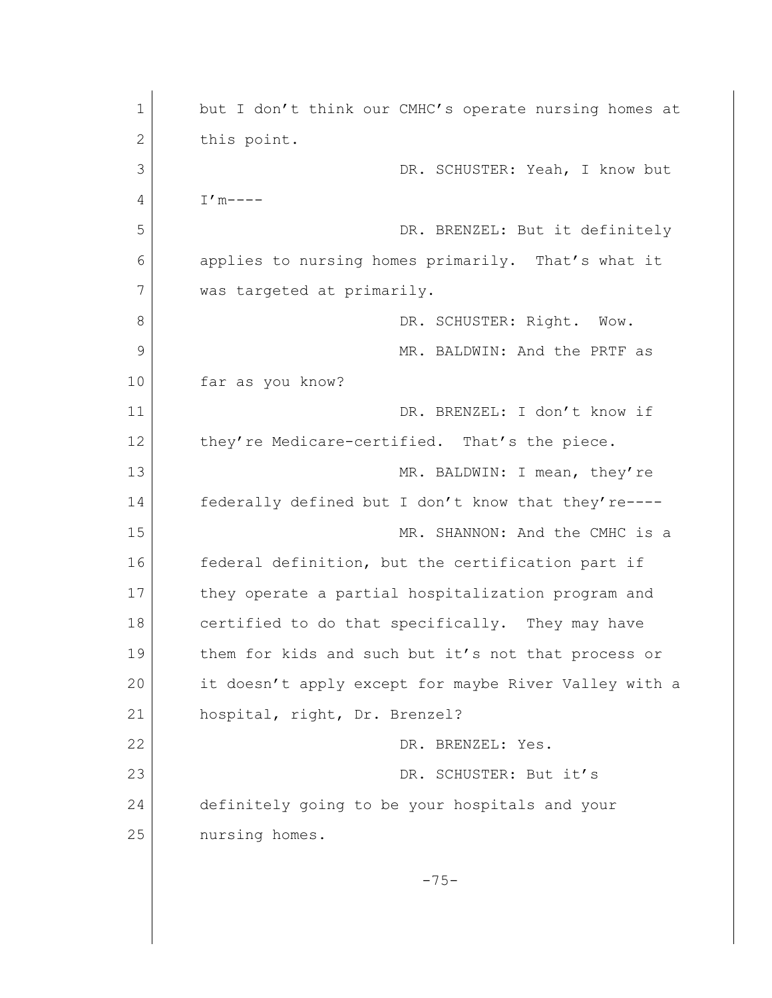1 but I don't think our CMHC's operate nursing homes at 2 this point. 3 DR. SCHUSTER: Yeah, I know but 4 I'm----5 DR. BRENZEL: But it definitely 6 applies to nursing homes primarily. That's what it 7 was targeted at primarily. 8 DR. SCHUSTER: Right. Wow. 9 MR. BALDWIN: And the PRTF as 10 far as you know? 11 DR. BRENZEL: I don't know if 12 they're Medicare-certified. That's the piece. 13 MR. BALDWIN: I mean, they're 14 federally defined but I don't know that they're---- 15 MR. SHANNON: And the CMHC is a 16 federal definition, but the certification part if 17 they operate a partial hospitalization program and 18 certified to do that specifically. They may have 19 them for kids and such but it's not that process or 20 it doesn't apply except for maybe River Valley with a 21 hospital, right, Dr. Brenzel? 22 DR. BRENZEL: Yes. 23 DR. SCHUSTER: But it's 24 definitely going to be your hospitals and your 25 nursing homes.  $-75-$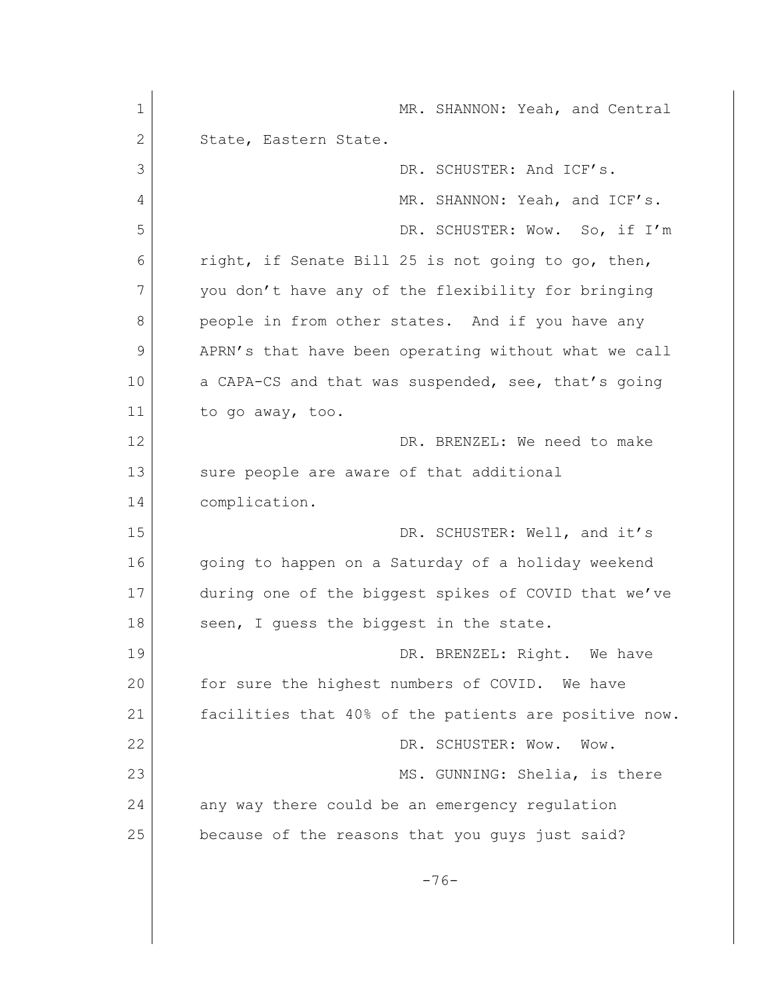1 MR. SHANNON: Yeah, and Central 2 State, Eastern State. 3 DR. SCHUSTER: And ICF's. 4 MR. SHANNON: Yeah, and ICF's. 5 DR. SCHUSTER: Wow. So, if I'm 6 right, if Senate Bill 25 is not going to go, then, 7 you don't have any of the flexibility for bringing 8 people in from other states. And if you have any 9 APRN's that have been operating without what we call 10 a CAPA-CS and that was suspended, see, that's going 11 to go away, too. 12 DR. BRENZEL: We need to make 13 sure people are aware of that additional 14 complication. 15 DR. SCHUSTER: Well, and it's 16 going to happen on a Saturday of a holiday weekend 17 during one of the biggest spikes of COVID that we've 18 seen, I guess the biggest in the state. 19 DR. BRENZEL: Right. We have 20 for sure the highest numbers of COVID. We have 21 facilities that 40% of the patients are positive now. 22 DR. SCHUSTER: Wow. Wow. 23 MS. GUNNING: Shelia, is there 24 any way there could be an emergency regulation 25 because of the reasons that you guys just said? -76-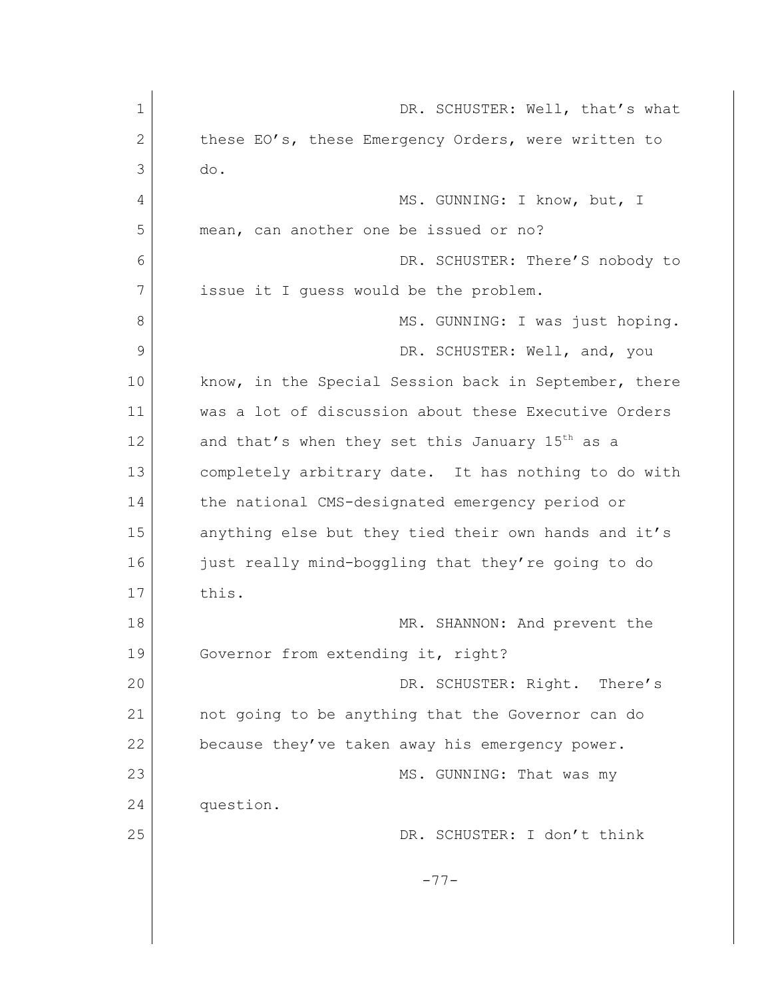| $\mathbf 1$ | DR. SCHUSTER: Well, that's what                             |
|-------------|-------------------------------------------------------------|
| 2           | these EO's, these Emergency Orders, were written to         |
| 3           | do.                                                         |
| 4           | MS. GUNNING: I know, but, I                                 |
| 5           | mean, can another one be issued or no?                      |
| 6           | DR. SCHUSTER: There'S nobody to                             |
| 7           | issue it I quess would be the problem.                      |
| 8           | MS. GUNNING: I was just hoping.                             |
| 9           | DR. SCHUSTER: Well, and, you                                |
| 10          | know, in the Special Session back in September, there       |
| 11          | was a lot of discussion about these Executive Orders        |
| 12          | and that's when they set this January 15 <sup>th</sup> as a |
| 13          | completely arbitrary date. It has nothing to do with        |
| 14          | the national CMS-designated emergency period or             |
| 15          | anything else but they tied their own hands and it's        |
| 16          | just really mind-boggling that they're going to do          |
| 17          | this.                                                       |
| 18          | MR. SHANNON: And prevent the                                |
| 19          | Governor from extending it, right?                          |
| 20          | DR. SCHUSTER: Right. There's                                |
| 21          | not going to be anything that the Governor can do           |
| 22          | because they've taken away his emergency power.             |
| 23          | MS. GUNNING: That was my                                    |
| 24          | question.                                                   |
| 25          | DR. SCHUSTER: I don't think                                 |
|             | $-77-$                                                      |
|             |                                                             |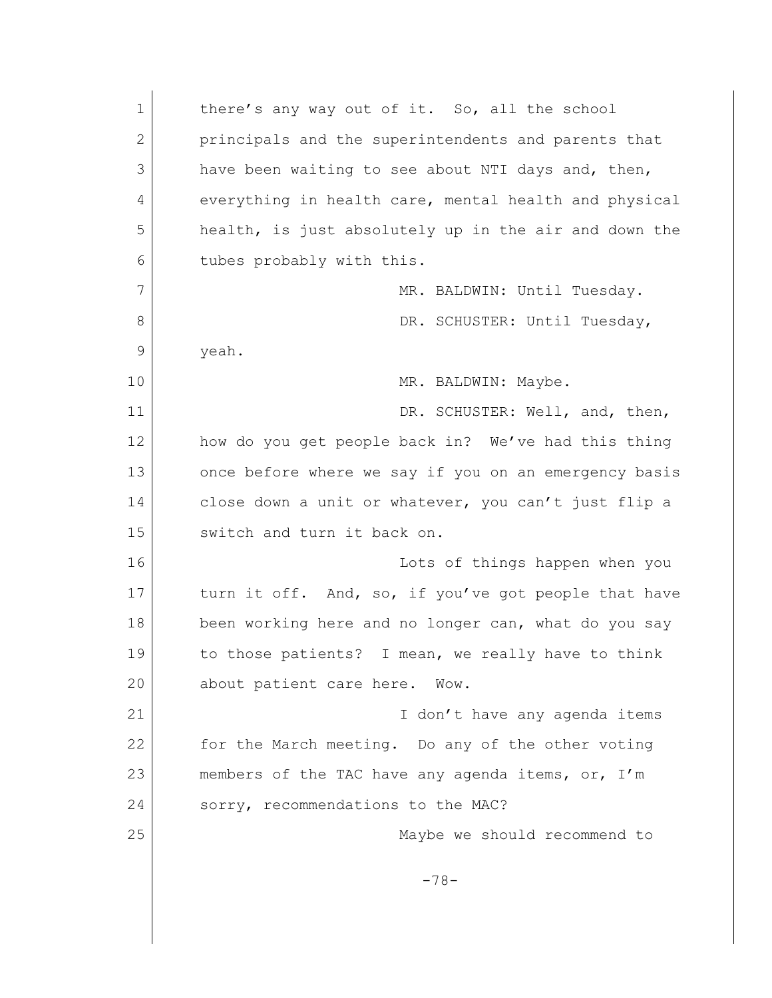| $\mathbf 1$  | there's any way out of it. So, all the school         |
|--------------|-------------------------------------------------------|
| $\mathbf{2}$ | principals and the superintendents and parents that   |
| 3            | have been waiting to see about NTI days and, then,    |
| 4            | everything in health care, mental health and physical |
| 5            | health, is just absolutely up in the air and down the |
| 6            | tubes probably with this.                             |
| 7            | MR. BALDWIN: Until Tuesday.                           |
| 8            | DR. SCHUSTER: Until Tuesday,                          |
| 9            | yeah.                                                 |
| 10           | MR. BALDWIN: Maybe.                                   |
| 11           | DR. SCHUSTER: Well, and, then,                        |
| 12           | how do you get people back in? We've had this thing   |
| 13           | once before where we say if you on an emergency basis |
| 14           | close down a unit or whatever, you can't just flip a  |
| 15           | switch and turn it back on.                           |
| 16           | Lots of things happen when you                        |
| 17           | turn it off. And, so, if you've got people that have  |
| 18           | been working here and no longer can, what do you say  |
| 19           | to those patients? I mean, we really have to think    |
| 20           | about patient care here. Wow.                         |
| 21           | I don't have any agenda items                         |
| 22           | for the March meeting. Do any of the other voting     |
| 23           | members of the TAC have any agenda items, or, I'm     |
| 24           | sorry, recommendations to the MAC?                    |
| 25           | Maybe we should recommend to                          |
|              | $-78-$                                                |
|              |                                                       |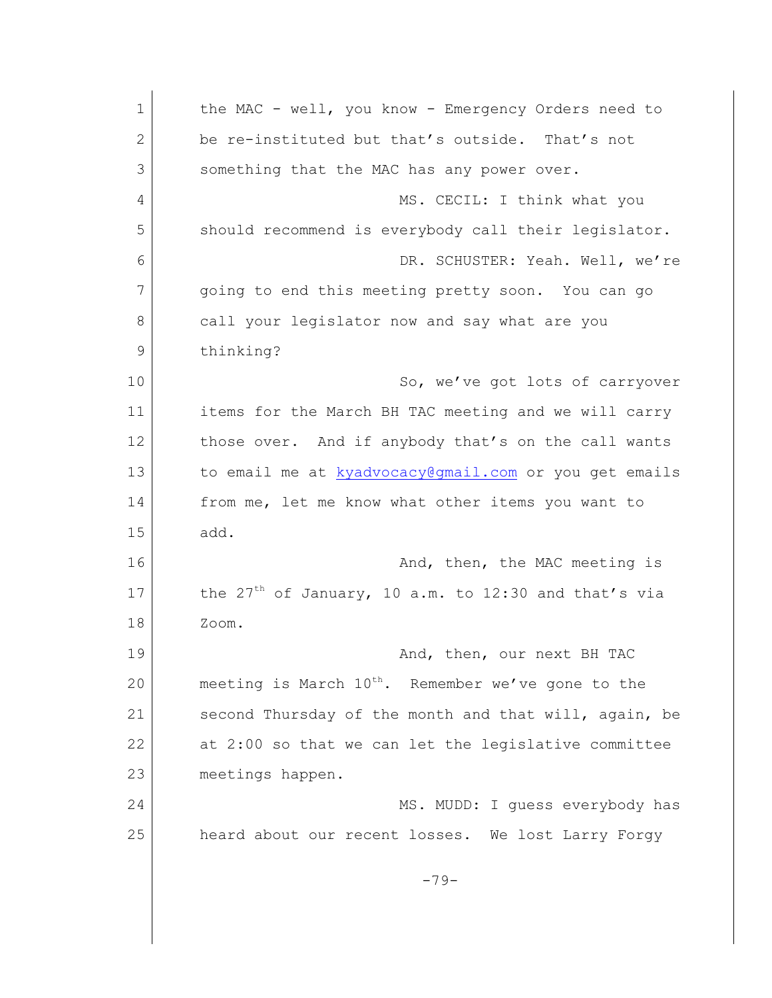| $\mathbf 1$  | the MAC - well, you know - Emergency Orders need to            |
|--------------|----------------------------------------------------------------|
| $\mathbf{2}$ | be re-instituted but that's outside. That's not                |
| 3            | something that the MAC has any power over.                     |
| 4            | MS. CECIL: I think what you                                    |
| 5            | should recommend is everybody call their legislator.           |
| 6            | DR. SCHUSTER: Yeah. Well, we're                                |
| 7            | going to end this meeting pretty soon. You can go              |
| 8            | call your legislator now and say what are you                  |
| 9            | thinking?                                                      |
| 10           | So, we've got lots of carryover                                |
| 11           | items for the March BH TAC meeting and we will carry           |
| 12           | those over. And if anybody that's on the call wants            |
| 13           | to email me at kyadvocacy@gmail.com or you get emails          |
| 14           | from me, let me know what other items you want to              |
| 15           | add.                                                           |
| 16           | And, then, the MAC meeting is                                  |
| 17           | the $27th$ of January, 10 a.m. to 12:30 and that's via         |
| 18           | Zoom.                                                          |
| 19           | And, then, our next BH TAC                                     |
| 20           | meeting is March 10 <sup>th</sup> . Remember we've gone to the |
| 21           | second Thursday of the month and that will, again, be          |
| 22           | at 2:00 so that we can let the legislative committee           |
| 23           | meetings happen.                                               |
| 24           | MS. MUDD: I guess everybody has                                |
| 25           | heard about our recent losses. We lost Larry Forgy             |
|              |                                                                |
|              | $-79-$                                                         |
|              |                                                                |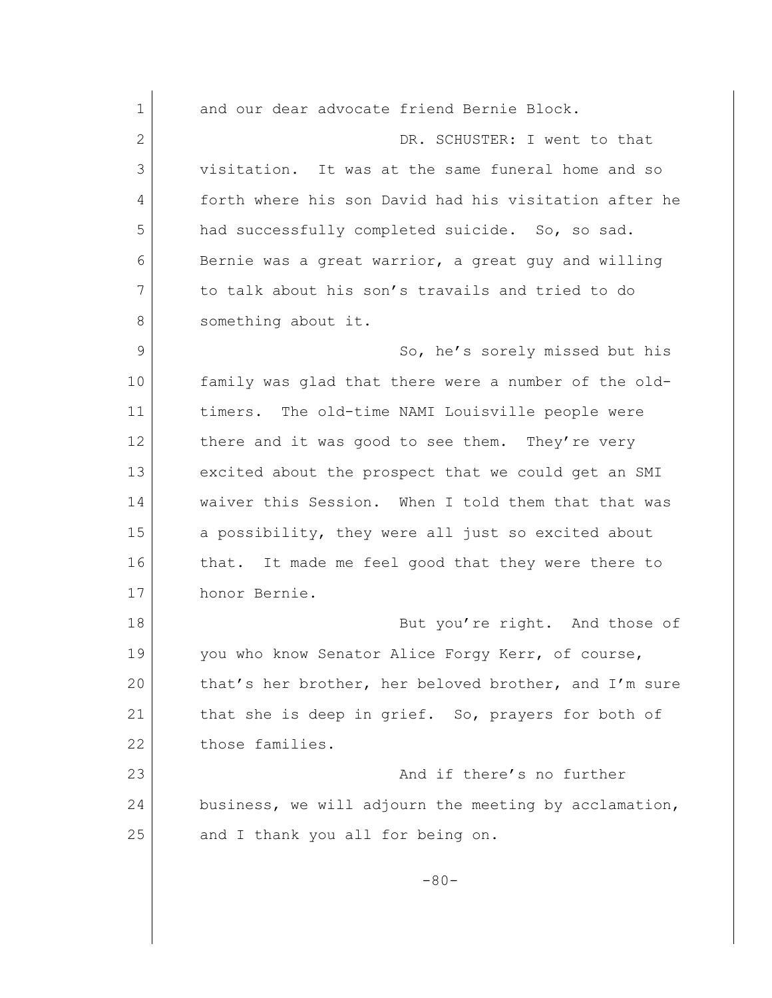1 and our dear advocate friend Bernie Block. 2 DR. SCHUSTER: I went to that 3 visitation. It was at the same funeral home and so 4 forth where his son David had his visitation after he 5 had successfully completed suicide. So, so sad. 6 Bernie was a great warrior, a great guy and willing 7 to talk about his son's travails and tried to do 8 something about it. 9 So, he's sorely missed but his 10 family was glad that there were a number of the old-11 timers. The old-time NAMI Louisville people were 12 there and it was good to see them. They're very 13 excited about the prospect that we could get an SMI 14 waiver this Session. When I told them that that was 15 a possibility, they were all just so excited about 16 that. It made me feel good that they were there to 17 honor Bernie. 18 But you're right. And those of 19 you who know Senator Alice Forgy Kerr, of course, 20 that's her brother, her beloved brother, and I'm sure 21 that she is deep in grief. So, prayers for both of 22 those families. 23 and if there's no further 24 business, we will adjourn the meeting by acclamation, 25 and I thank you all for being on.  $-80-$